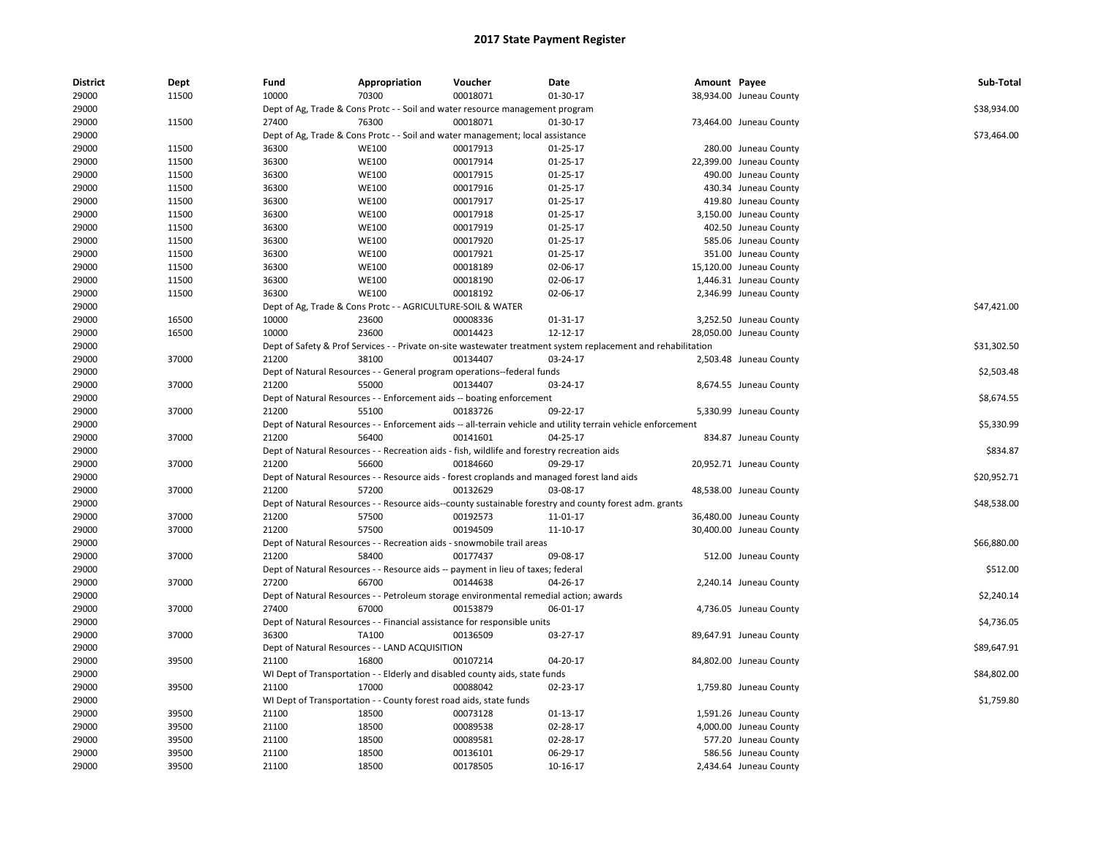| <b>District</b> | <b>Dept</b> | Fund  | Appropriation                                                      | Voucher                                                                                     | Date                                                                                                          | Amount Payee |                         | Sub-Total   |
|-----------------|-------------|-------|--------------------------------------------------------------------|---------------------------------------------------------------------------------------------|---------------------------------------------------------------------------------------------------------------|--------------|-------------------------|-------------|
| 29000           | 11500       | 10000 | 70300                                                              | 00018071                                                                                    | 01-30-17                                                                                                      |              | 38,934.00 Juneau County |             |
| 29000           |             |       |                                                                    | Dept of Ag, Trade & Cons Protc - - Soil and water resource management program               |                                                                                                               |              |                         | \$38,934.00 |
| 29000           | 11500       | 27400 | 76300                                                              | 00018071                                                                                    | 01-30-17                                                                                                      |              | 73,464.00 Juneau County |             |
| 29000           |             |       |                                                                    | Dept of Ag, Trade & Cons Protc - - Soil and water management; local assistance              |                                                                                                               |              |                         | \$73,464.00 |
| 29000           | 11500       | 36300 | <b>WE100</b>                                                       | 00017913                                                                                    | $01 - 25 - 17$                                                                                                |              | 280.00 Juneau County    |             |
| 29000           | 11500       | 36300 | <b>WE100</b>                                                       | 00017914                                                                                    | 01-25-17                                                                                                      |              | 22,399.00 Juneau County |             |
| 29000           | 11500       | 36300 | <b>WE100</b>                                                       | 00017915                                                                                    | 01-25-17                                                                                                      |              | 490.00 Juneau County    |             |
| 29000           | 11500       | 36300 | <b>WE100</b>                                                       | 00017916                                                                                    | 01-25-17                                                                                                      |              | 430.34 Juneau County    |             |
| 29000           | 11500       | 36300 | <b>WE100</b>                                                       | 00017917                                                                                    | $01-25-17$                                                                                                    |              | 419.80 Juneau County    |             |
| 29000           | 11500       | 36300 | <b>WE100</b>                                                       | 00017918                                                                                    | $01-25-17$                                                                                                    |              | 3,150.00 Juneau County  |             |
| 29000           | 11500       | 36300 | <b>WE100</b>                                                       | 00017919                                                                                    | $01 - 25 - 17$                                                                                                |              | 402.50 Juneau County    |             |
| 29000           | 11500       | 36300 | <b>WE100</b>                                                       | 00017920                                                                                    | $01 - 25 - 17$                                                                                                |              | 585.06 Juneau County    |             |
| 29000           | 11500       | 36300 | <b>WE100</b>                                                       | 00017921                                                                                    | $01 - 25 - 17$                                                                                                |              | 351.00 Juneau County    |             |
| 29000           | 11500       | 36300 | <b>WE100</b>                                                       | 00018189                                                                                    | 02-06-17                                                                                                      |              | 15,120.00 Juneau County |             |
| 29000           | 11500       | 36300 | <b>WE100</b>                                                       | 00018190                                                                                    | 02-06-17                                                                                                      |              | 1,446.31 Juneau County  |             |
| 29000           | 11500       | 36300 | <b>WE100</b>                                                       | 00018192                                                                                    | 02-06-17                                                                                                      |              | 2,346.99 Juneau County  |             |
| 29000           |             |       | Dept of Ag, Trade & Cons Protc - - AGRICULTURE-SOIL & WATER        |                                                                                             |                                                                                                               |              |                         | \$47,421.00 |
| 29000           | 16500       | 10000 | 23600                                                              | 00008336                                                                                    | 01-31-17                                                                                                      |              | 3,252.50 Juneau County  |             |
| 29000           | 16500       | 10000 | 23600                                                              | 00014423                                                                                    | 12-12-17                                                                                                      |              | 28,050.00 Juneau County |             |
| 29000           |             |       |                                                                    |                                                                                             | Dept of Safety & Prof Services - - Private on-site wastewater treatment system replacement and rehabilitation |              |                         | \$31,302.50 |
| 29000           | 37000       | 21200 | 38100                                                              | 00134407                                                                                    | 03-24-17                                                                                                      |              | 2,503.48 Juneau County  |             |
| 29000           |             |       |                                                                    | Dept of Natural Resources - - General program operations--federal funds                     |                                                                                                               |              |                         | \$2,503.48  |
| 29000           | 37000       | 21200 | 55000                                                              | 00134407                                                                                    | 03-24-17                                                                                                      |              | 8,674.55 Juneau County  |             |
| 29000           |             |       |                                                                    | Dept of Natural Resources - - Enforcement aids -- boating enforcement                       |                                                                                                               |              |                         | \$8,674.55  |
| 29000           | 37000       | 21200 | 55100                                                              | 00183726                                                                                    | 09-22-17                                                                                                      |              | 5,330.99 Juneau County  |             |
| 29000           |             |       |                                                                    |                                                                                             | Dept of Natural Resources - - Enforcement aids -- all-terrain vehicle and utility terrain vehicle enforcement |              |                         | \$5,330.99  |
| 29000           | 37000       | 21200 | 56400                                                              | 00141601                                                                                    | 04-25-17                                                                                                      |              | 834.87 Juneau County    |             |
| 29000           |             |       |                                                                    | Dept of Natural Resources - - Recreation aids - fish, wildlife and forestry recreation aids |                                                                                                               |              |                         | \$834.87    |
| 29000           | 37000       | 21200 | 56600                                                              | 00184660                                                                                    | 09-29-17                                                                                                      |              | 20,952.71 Juneau County |             |
| 29000           |             |       |                                                                    |                                                                                             | Dept of Natural Resources - - Resource aids - forest croplands and managed forest land aids                   |              |                         | \$20,952.71 |
| 29000           | 37000       | 21200 | 57200                                                              | 00132629                                                                                    | 03-08-17                                                                                                      |              | 48,538.00 Juneau County |             |
|                 |             |       |                                                                    |                                                                                             |                                                                                                               |              |                         |             |
| 29000           |             | 21200 | 57500                                                              |                                                                                             | Dept of Natural Resources - - Resource aids--county sustainable forestry and county forest adm. grants        |              |                         | \$48,538.00 |
| 29000           | 37000       | 21200 |                                                                    | 00192573                                                                                    | 11-01-17                                                                                                      |              | 36,480.00 Juneau County |             |
| 29000           | 37000       |       | 57500                                                              | 00194509                                                                                    | 11-10-17                                                                                                      |              | 30,400.00 Juneau County |             |
| 29000           |             |       |                                                                    | Dept of Natural Resources - - Recreation aids - snowmobile trail areas                      |                                                                                                               |              |                         | \$66,880.00 |
| 29000           | 37000       | 21200 | 58400                                                              | 00177437                                                                                    | 09-08-17                                                                                                      |              | 512.00 Juneau County    |             |
| 29000           |             |       |                                                                    | Dept of Natural Resources - - Resource aids -- payment in lieu of taxes; federal            |                                                                                                               |              |                         | \$512.00    |
| 29000           | 37000       | 27200 | 66700                                                              | 00144638                                                                                    | 04-26-17                                                                                                      |              | 2,240.14 Juneau County  |             |
| 29000           |             |       |                                                                    | Dept of Natural Resources - - Petroleum storage environmental remedial action; awards       |                                                                                                               |              |                         | \$2,240.14  |
| 29000           | 37000       | 27400 | 67000                                                              | 00153879                                                                                    | 06-01-17                                                                                                      |              | 4,736.05 Juneau County  |             |
| 29000           |             |       |                                                                    | Dept of Natural Resources - - Financial assistance for responsible units                    |                                                                                                               |              |                         | \$4,736.05  |
| 29000           | 37000       | 36300 | TA100                                                              | 00136509                                                                                    | 03-27-17                                                                                                      |              | 89,647.91 Juneau County |             |
| 29000           |             |       | Dept of Natural Resources - - LAND ACQUISITION                     |                                                                                             |                                                                                                               |              |                         | \$89,647.91 |
| 29000           | 39500       | 21100 | 16800                                                              | 00107214                                                                                    | 04-20-17                                                                                                      |              | 84,802.00 Juneau County |             |
| 29000           |             |       |                                                                    | WI Dept of Transportation - - Elderly and disabled county aids, state funds                 |                                                                                                               |              |                         | \$84,802.00 |
| 29000           | 39500       | 21100 | 17000                                                              | 00088042                                                                                    | 02-23-17                                                                                                      |              | 1,759.80 Juneau County  |             |
| 29000           |             |       | WI Dept of Transportation - - County forest road aids, state funds |                                                                                             |                                                                                                               |              |                         | \$1,759.80  |
| 29000           | 39500       | 21100 | 18500                                                              | 00073128                                                                                    | 01-13-17                                                                                                      |              | 1,591.26 Juneau County  |             |
| 29000           | 39500       | 21100 | 18500                                                              | 00089538                                                                                    | 02-28-17                                                                                                      |              | 4,000.00 Juneau County  |             |
| 29000           | 39500       | 21100 | 18500                                                              | 00089581                                                                                    | 02-28-17                                                                                                      |              | 577.20 Juneau County    |             |
| 29000           | 39500       | 21100 | 18500                                                              | 00136101                                                                                    | 06-29-17                                                                                                      |              | 586.56 Juneau County    |             |
| 29000           | 39500       | 21100 | 18500                                                              | 00178505                                                                                    | 10-16-17                                                                                                      |              | 2,434.64 Juneau County  |             |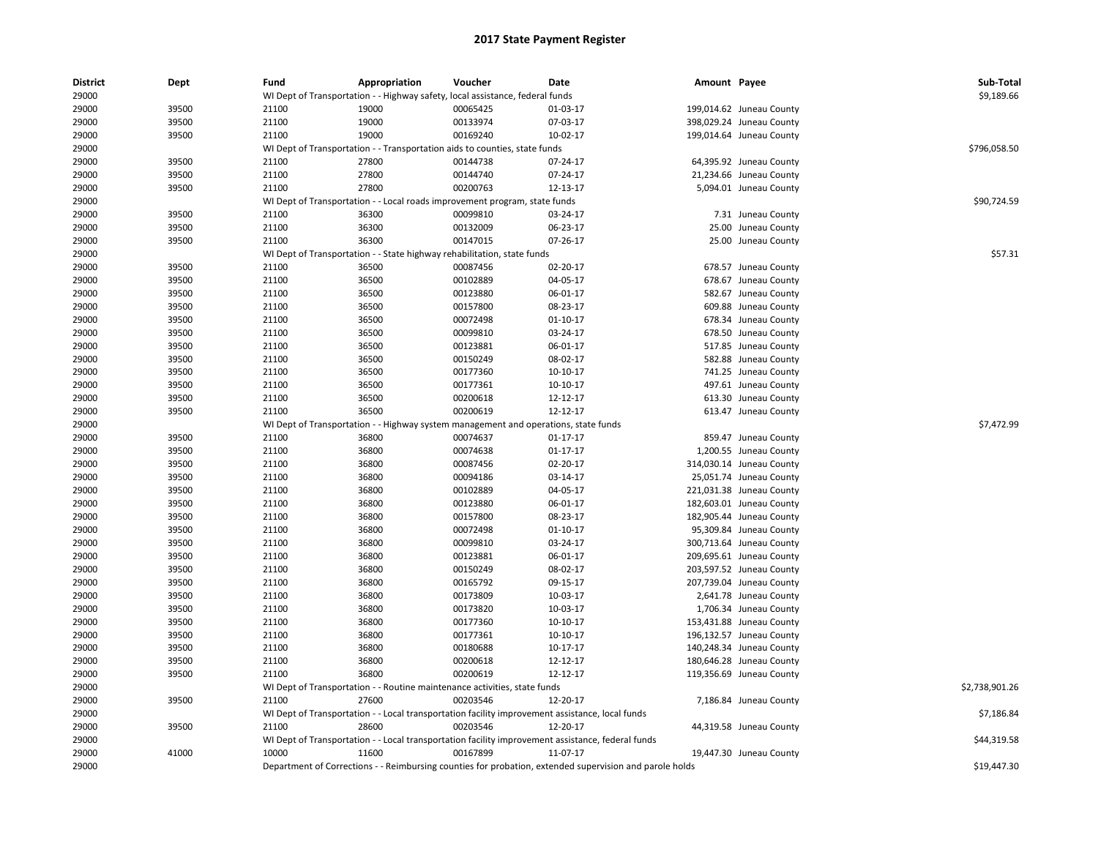| <b>District</b><br>29000 | Dept  | Fund  | Appropriation | Voucher<br>WI Dept of Transportation - - Highway safety, local assistance, federal funds | <b>Date</b>                                                                                             | Amount Payee |                          | Sub-Total<br>\$9,189.66 |
|--------------------------|-------|-------|---------------|------------------------------------------------------------------------------------------|---------------------------------------------------------------------------------------------------------|--------------|--------------------------|-------------------------|
|                          | 39500 | 21100 | 19000         | 00065425                                                                                 |                                                                                                         |              |                          |                         |
| 29000                    |       |       |               |                                                                                          | 01-03-17                                                                                                |              | 199,014.62 Juneau County |                         |
| 29000                    | 39500 | 21100 | 19000         | 00133974                                                                                 | 07-03-17                                                                                                |              | 398,029.24 Juneau County |                         |
| 29000                    | 39500 | 21100 | 19000         | 00169240                                                                                 | 10-02-17                                                                                                |              | 199,014.64 Juneau County |                         |
| 29000                    |       |       |               | WI Dept of Transportation - - Transportation aids to counties, state funds               |                                                                                                         |              |                          | \$796,058.50            |
| 29000                    | 39500 | 21100 | 27800         | 00144738                                                                                 | 07-24-17                                                                                                |              | 64,395.92 Juneau County  |                         |
| 29000                    | 39500 | 21100 | 27800         | 00144740                                                                                 | 07-24-17                                                                                                |              | 21,234.66 Juneau County  |                         |
| 29000                    | 39500 | 21100 | 27800         | 00200763                                                                                 | 12-13-17                                                                                                |              | 5,094.01 Juneau County   |                         |
| 29000                    |       |       |               | WI Dept of Transportation - - Local roads improvement program, state funds               |                                                                                                         |              |                          | \$90,724.59             |
| 29000                    | 39500 | 21100 | 36300         | 00099810                                                                                 | 03-24-17                                                                                                |              | 7.31 Juneau County       |                         |
| 29000                    | 39500 | 21100 | 36300         | 00132009                                                                                 | 06-23-17                                                                                                |              | 25.00 Juneau County      |                         |
| 29000                    | 39500 | 21100 | 36300         | 00147015                                                                                 | 07-26-17                                                                                                |              | 25.00 Juneau County      |                         |
| 29000                    |       |       |               | WI Dept of Transportation - - State highway rehabilitation, state funds                  |                                                                                                         |              |                          | \$57.31                 |
| 29000                    | 39500 | 21100 | 36500         | 00087456                                                                                 | 02-20-17                                                                                                |              | 678.57 Juneau County     |                         |
| 29000                    | 39500 | 21100 | 36500         | 00102889                                                                                 | 04-05-17                                                                                                |              | 678.67 Juneau County     |                         |
| 29000                    | 39500 | 21100 | 36500         | 00123880                                                                                 | 06-01-17                                                                                                |              | 582.67 Juneau County     |                         |
| 29000                    | 39500 | 21100 | 36500         | 00157800                                                                                 | 08-23-17                                                                                                |              | 609.88 Juneau County     |                         |
| 29000                    | 39500 | 21100 | 36500         | 00072498                                                                                 | $01 - 10 - 17$                                                                                          |              | 678.34 Juneau County     |                         |
| 29000                    | 39500 | 21100 | 36500         | 00099810                                                                                 | 03-24-17                                                                                                |              | 678.50 Juneau County     |                         |
| 29000                    | 39500 | 21100 | 36500         | 00123881                                                                                 | 06-01-17                                                                                                |              | 517.85 Juneau County     |                         |
| 29000                    | 39500 | 21100 | 36500         | 00150249                                                                                 | 08-02-17                                                                                                |              | 582.88 Juneau County     |                         |
| 29000                    | 39500 | 21100 | 36500         | 00177360                                                                                 | 10-10-17                                                                                                |              | 741.25 Juneau County     |                         |
| 29000                    | 39500 | 21100 | 36500         | 00177361                                                                                 | 10-10-17                                                                                                |              | 497.61 Juneau County     |                         |
| 29000                    | 39500 | 21100 | 36500         | 00200618                                                                                 | 12-12-17                                                                                                |              | 613.30 Juneau County     |                         |
| 29000                    | 39500 | 21100 | 36500         | 00200619                                                                                 | 12-12-17                                                                                                |              | 613.47 Juneau County     |                         |
| 29000                    |       |       |               | WI Dept of Transportation - - Highway system management and operations, state funds      |                                                                                                         |              |                          | \$7,472.99              |
| 29000                    | 39500 | 21100 | 36800         | 00074637                                                                                 | $01 - 17 - 17$                                                                                          |              | 859.47 Juneau County     |                         |
| 29000                    | 39500 | 21100 | 36800         | 00074638                                                                                 | 01-17-17                                                                                                |              | 1,200.55 Juneau County   |                         |
| 29000                    | 39500 | 21100 | 36800         | 00087456                                                                                 | 02-20-17                                                                                                |              | 314,030.14 Juneau County |                         |
| 29000                    | 39500 | 21100 | 36800         | 00094186                                                                                 | 03-14-17                                                                                                |              | 25,051.74 Juneau County  |                         |
| 29000                    | 39500 | 21100 | 36800         | 00102889                                                                                 | 04-05-17                                                                                                |              | 221,031.38 Juneau County |                         |
| 29000                    | 39500 | 21100 | 36800         | 00123880                                                                                 | 06-01-17                                                                                                |              | 182,603.01 Juneau County |                         |
| 29000                    | 39500 | 21100 | 36800         | 00157800                                                                                 | 08-23-17                                                                                                |              | 182,905.44 Juneau County |                         |
| 29000                    | 39500 | 21100 | 36800         | 00072498                                                                                 | $01 - 10 - 17$                                                                                          |              | 95,309.84 Juneau County  |                         |
| 29000                    | 39500 | 21100 | 36800         | 00099810                                                                                 | 03-24-17                                                                                                |              | 300,713.64 Juneau County |                         |
| 29000                    | 39500 | 21100 | 36800         | 00123881                                                                                 | 06-01-17                                                                                                |              | 209,695.61 Juneau County |                         |
| 29000                    | 39500 | 21100 | 36800         | 00150249                                                                                 | 08-02-17                                                                                                |              | 203,597.52 Juneau County |                         |
| 29000                    | 39500 | 21100 | 36800         | 00165792                                                                                 |                                                                                                         |              | 207,739.04 Juneau County |                         |
|                          |       |       |               |                                                                                          | 09-15-17                                                                                                |              |                          |                         |
| 29000                    | 39500 | 21100 | 36800         | 00173809                                                                                 | 10-03-17                                                                                                |              | 2,641.78 Juneau County   |                         |
| 29000                    | 39500 | 21100 | 36800         | 00173820                                                                                 | 10-03-17                                                                                                |              | 1,706.34 Juneau County   |                         |
| 29000                    | 39500 | 21100 | 36800         | 00177360                                                                                 | 10-10-17                                                                                                |              | 153,431.88 Juneau County |                         |
| 29000                    | 39500 | 21100 | 36800         | 00177361                                                                                 | 10-10-17                                                                                                |              | 196,132.57 Juneau County |                         |
| 29000                    | 39500 | 21100 | 36800         | 00180688                                                                                 | $10-17-17$                                                                                              |              | 140,248.34 Juneau County |                         |
| 29000                    | 39500 | 21100 | 36800         | 00200618                                                                                 | 12-12-17                                                                                                |              | 180,646.28 Juneau County |                         |
| 29000                    | 39500 | 21100 | 36800         | 00200619                                                                                 | 12-12-17                                                                                                |              | 119,356.69 Juneau County |                         |
| 29000                    |       |       |               | WI Dept of Transportation - - Routine maintenance activities, state funds                |                                                                                                         |              |                          | \$2,738,901.26          |
| 29000                    | 39500 | 21100 | 27600         | 00203546                                                                                 | 12-20-17                                                                                                |              | 7,186.84 Juneau County   |                         |
| 29000                    |       |       |               |                                                                                          | WI Dept of Transportation - - Local transportation facility improvement assistance, local funds         |              |                          | \$7,186.84              |
| 29000                    | 39500 | 21100 | 28600         | 00203546                                                                                 | 12-20-17                                                                                                |              | 44,319.58 Juneau County  |                         |
| 29000                    |       |       |               |                                                                                          | WI Dept of Transportation - - Local transportation facility improvement assistance, federal funds       |              |                          | \$44,319.58             |
| 29000                    | 41000 | 10000 | 11600         | 00167899                                                                                 | 11-07-17                                                                                                |              | 19,447.30 Juneau County  |                         |
| 29000                    |       |       |               |                                                                                          | Department of Corrections - - Reimbursing counties for probation, extended supervision and parole holds |              |                          | \$19,447.30             |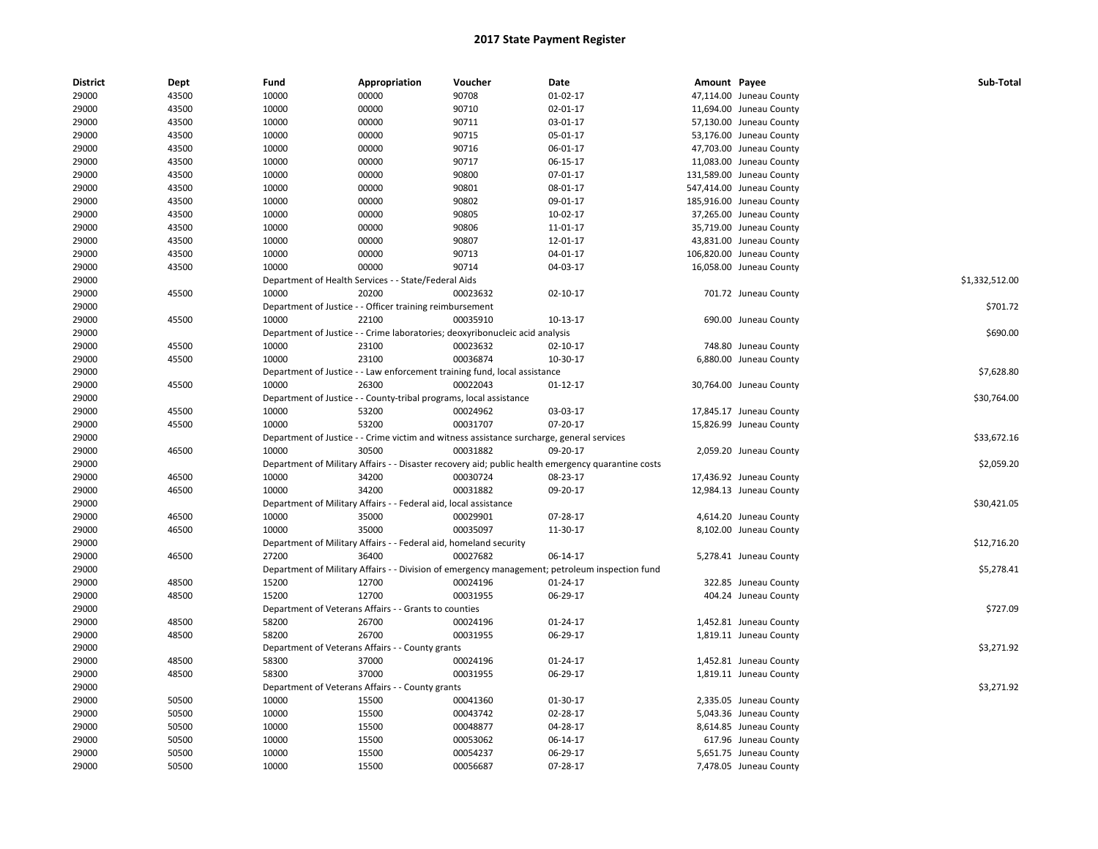| <b>District</b> | Dept  | Fund  | Appropriation                                                              | Voucher                                                                                   | Date                                                                                               | Amount Payee |                          | Sub-Total      |
|-----------------|-------|-------|----------------------------------------------------------------------------|-------------------------------------------------------------------------------------------|----------------------------------------------------------------------------------------------------|--------------|--------------------------|----------------|
| 29000           | 43500 | 10000 | 00000                                                                      | 90708                                                                                     | 01-02-17                                                                                           |              | 47,114.00 Juneau County  |                |
| 29000           | 43500 | 10000 | 00000                                                                      | 90710                                                                                     | 02-01-17                                                                                           |              | 11,694.00 Juneau County  |                |
| 29000           | 43500 | 10000 | 00000                                                                      | 90711                                                                                     | 03-01-17                                                                                           |              | 57,130.00 Juneau County  |                |
| 29000           | 43500 | 10000 | 00000                                                                      | 90715                                                                                     | 05-01-17                                                                                           |              | 53,176.00 Juneau County  |                |
| 29000           | 43500 | 10000 | 00000                                                                      | 90716                                                                                     | 06-01-17                                                                                           |              | 47,703.00 Juneau County  |                |
| 29000           | 43500 | 10000 | 00000                                                                      | 90717                                                                                     | 06-15-17                                                                                           |              | 11,083.00 Juneau County  |                |
| 29000           | 43500 | 10000 | 00000                                                                      | 90800                                                                                     | 07-01-17                                                                                           |              | 131,589.00 Juneau County |                |
| 29000           | 43500 | 10000 | 00000                                                                      | 90801                                                                                     | 08-01-17                                                                                           |              | 547,414.00 Juneau County |                |
| 29000           | 43500 | 10000 | 00000                                                                      | 90802                                                                                     | 09-01-17                                                                                           |              | 185,916.00 Juneau County |                |
| 29000           | 43500 | 10000 | 00000                                                                      | 90805                                                                                     | 10-02-17                                                                                           |              | 37,265.00 Juneau County  |                |
| 29000           | 43500 | 10000 | 00000                                                                      | 90806                                                                                     | 11-01-17                                                                                           |              | 35,719.00 Juneau County  |                |
| 29000           | 43500 | 10000 | 00000                                                                      | 90807                                                                                     | 12-01-17                                                                                           |              | 43,831.00 Juneau County  |                |
| 29000           | 43500 | 10000 | 00000                                                                      | 90713                                                                                     | 04-01-17                                                                                           |              | 106,820.00 Juneau County |                |
| 29000           | 43500 | 10000 | 00000                                                                      | 90714                                                                                     | 04-03-17                                                                                           |              | 16,058.00 Juneau County  |                |
| 29000           |       |       | Department of Health Services - - State/Federal Aids                       |                                                                                           |                                                                                                    |              |                          | \$1,332,512.00 |
| 29000           | 45500 | 10000 | 20200                                                                      | 00023632                                                                                  | $02 - 10 - 17$                                                                                     |              | 701.72 Juneau County     |                |
| 29000           |       |       | Department of Justice - - Officer training reimbursement                   |                                                                                           |                                                                                                    |              |                          | \$701.72       |
| 29000           | 45500 | 10000 | 22100                                                                      | 00035910                                                                                  | 10-13-17                                                                                           |              | 690.00 Juneau County     |                |
| 29000           |       |       |                                                                            | Department of Justice - - Crime laboratories; deoxyribonucleic acid analysis              |                                                                                                    |              |                          | \$690.00       |
| 29000           | 45500 | 10000 | 23100                                                                      | 00023632                                                                                  | 02-10-17                                                                                           |              | 748.80 Juneau County     |                |
| 29000           | 45500 | 10000 | 23100                                                                      | 00036874                                                                                  | 10-30-17                                                                                           |              | 6,880.00 Juneau County   |                |
| 29000           |       |       |                                                                            | Department of Justice - - Law enforcement training fund, local assistance                 |                                                                                                    |              |                          | \$7,628.80     |
| 29000           | 45500 | 10000 | 26300                                                                      | 00022043                                                                                  | $01 - 12 - 17$                                                                                     |              | 30,764.00 Juneau County  |                |
| 29000           |       |       | Department of Justice - - County-tribal programs, local assistance         |                                                                                           |                                                                                                    |              |                          | \$30,764.00    |
| 29000           | 45500 | 10000 | 53200                                                                      | 00024962                                                                                  | 03-03-17                                                                                           |              | 17,845.17 Juneau County  |                |
| 29000           | 45500 | 10000 | 53200                                                                      | 00031707                                                                                  | 07-20-17                                                                                           |              | 15,826.99 Juneau County  |                |
| 29000           |       |       |                                                                            | Department of Justice - - Crime victim and witness assistance surcharge, general services |                                                                                                    |              |                          | \$33,672.16    |
| 29000           | 46500 | 10000 | 30500                                                                      | 00031882                                                                                  | 09-20-17                                                                                           |              | 2,059.20 Juneau County   |                |
| 29000           |       |       |                                                                            |                                                                                           | Department of Military Affairs - - Disaster recovery aid; public health emergency quarantine costs |              |                          | \$2,059.20     |
| 29000           | 46500 | 10000 | 34200                                                                      | 00030724                                                                                  | 08-23-17                                                                                           |              | 17,436.92 Juneau County  |                |
| 29000           | 46500 | 10000 | 34200                                                                      | 00031882                                                                                  | 09-20-17                                                                                           |              | 12,984.13 Juneau County  |                |
| 29000           |       |       | Department of Military Affairs - - Federal aid, local assistance           |                                                                                           |                                                                                                    |              |                          | \$30,421.05    |
| 29000           | 46500 | 10000 | 35000                                                                      | 00029901                                                                                  | 07-28-17                                                                                           |              | 4,614.20 Juneau County   |                |
|                 |       | 10000 |                                                                            |                                                                                           |                                                                                                    |              |                          |                |
| 29000<br>29000  | 46500 |       | 35000<br>Department of Military Affairs - - Federal aid, homeland security | 00035097                                                                                  | 11-30-17                                                                                           |              | 8,102.00 Juneau County   | \$12,716.20    |
|                 |       |       |                                                                            |                                                                                           |                                                                                                    |              |                          |                |
| 29000           | 46500 | 27200 | 36400                                                                      | 00027682                                                                                  | 06-14-17                                                                                           |              | 5,278.41 Juneau County   |                |
| 29000           |       |       |                                                                            |                                                                                           | Department of Military Affairs - - Division of emergency management; petroleum inspection fund     |              |                          | \$5,278.41     |
| 29000           | 48500 | 15200 | 12700                                                                      | 00024196                                                                                  | $01 - 24 - 17$                                                                                     |              | 322.85 Juneau County     |                |
| 29000           | 48500 | 15200 | 12700                                                                      | 00031955                                                                                  | 06-29-17                                                                                           |              | 404.24 Juneau County     |                |
| 29000           |       |       | Department of Veterans Affairs - - Grants to counties                      |                                                                                           |                                                                                                    |              |                          | \$727.09       |
| 29000           | 48500 | 58200 | 26700                                                                      | 00024196                                                                                  | 01-24-17                                                                                           |              | 1,452.81 Juneau County   |                |
| 29000           | 48500 | 58200 | 26700                                                                      | 00031955                                                                                  | 06-29-17                                                                                           |              | 1,819.11 Juneau County   |                |
| 29000           |       |       | Department of Veterans Affairs - - County grants                           |                                                                                           |                                                                                                    |              |                          | \$3,271.92     |
| 29000           | 48500 | 58300 | 37000                                                                      | 00024196                                                                                  | 01-24-17                                                                                           |              | 1,452.81 Juneau County   |                |
| 29000           | 48500 | 58300 | 37000                                                                      | 00031955                                                                                  | 06-29-17                                                                                           |              | 1,819.11 Juneau County   |                |
| 29000           |       |       | Department of Veterans Affairs - - County grants                           |                                                                                           |                                                                                                    |              |                          | \$3,271.92     |
| 29000           | 50500 | 10000 | 15500                                                                      | 00041360                                                                                  | 01-30-17                                                                                           |              | 2,335.05 Juneau County   |                |
| 29000           | 50500 | 10000 | 15500                                                                      | 00043742                                                                                  | 02-28-17                                                                                           |              | 5,043.36 Juneau County   |                |
| 29000           | 50500 | 10000 | 15500                                                                      | 00048877                                                                                  | 04-28-17                                                                                           |              | 8,614.85 Juneau County   |                |
| 29000           | 50500 | 10000 | 15500                                                                      | 00053062                                                                                  | 06-14-17                                                                                           |              | 617.96 Juneau County     |                |
| 29000           | 50500 | 10000 | 15500                                                                      | 00054237                                                                                  | 06-29-17                                                                                           |              | 5,651.75 Juneau County   |                |
| 29000           | 50500 | 10000 | 15500                                                                      | 00056687                                                                                  | 07-28-17                                                                                           |              | 7,478.05 Juneau County   |                |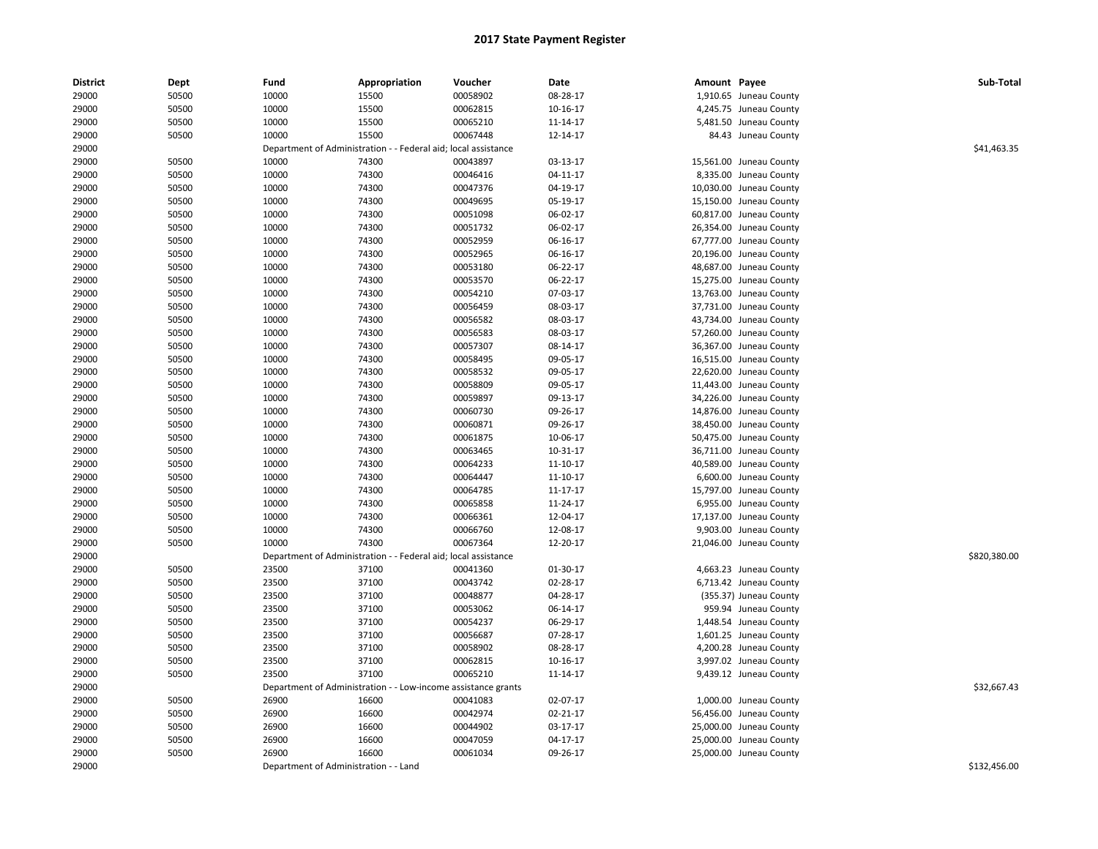| <b>District</b> | Dept  | Fund                                  | Appropriation                                                  | Voucher                         | Date     | Amount Payee |                         | Sub-Total    |
|-----------------|-------|---------------------------------------|----------------------------------------------------------------|---------------------------------|----------|--------------|-------------------------|--------------|
| 29000           | 50500 | 10000                                 | 15500                                                          | 00058902                        | 08-28-17 |              | 1,910.65 Juneau County  |              |
| 29000           | 50500 | 10000                                 | 15500                                                          | 00062815                        | 10-16-17 |              | 4,245.75 Juneau County  |              |
| 29000           | 50500 | 10000                                 | 15500                                                          | 00065210                        | 11-14-17 |              | 5,481.50 Juneau County  |              |
| 29000           | 50500 | 10000                                 | 15500                                                          | 00067448                        | 12-14-17 |              | 84.43 Juneau County     |              |
| 29000           |       | Department of Administration          |                                                                | - Federal aid; local assistance |          |              |                         | \$41,463.35  |
| 29000           | 50500 | 10000                                 | 74300                                                          | 00043897                        | 03-13-17 |              | 15,561.00 Juneau County |              |
| 29000           | 50500 | 10000                                 | 74300                                                          | 00046416                        | 04-11-17 |              | 8,335.00 Juneau County  |              |
| 29000           | 50500 | 10000                                 | 74300                                                          | 00047376                        | 04-19-17 |              | 10,030.00 Juneau County |              |
| 29000           | 50500 | 10000                                 | 74300                                                          | 00049695                        | 05-19-17 |              | 15,150.00 Juneau County |              |
| 29000           | 50500 | 10000                                 | 74300                                                          | 00051098                        | 06-02-17 |              | 60,817.00 Juneau County |              |
| 29000           | 50500 | 10000                                 | 74300                                                          | 00051732                        | 06-02-17 |              | 26,354.00 Juneau County |              |
| 29000           | 50500 | 10000                                 | 74300                                                          | 00052959                        | 06-16-17 |              | 67,777.00 Juneau County |              |
| 29000           | 50500 | 10000                                 | 74300                                                          | 00052965                        | 06-16-17 |              | 20,196.00 Juneau County |              |
| 29000           | 50500 | 10000                                 | 74300                                                          | 00053180                        | 06-22-17 |              | 48,687.00 Juneau County |              |
| 29000           | 50500 | 10000                                 | 74300                                                          | 00053570                        | 06-22-17 |              | 15,275.00 Juneau County |              |
| 29000           | 50500 | 10000                                 | 74300                                                          | 00054210                        | 07-03-17 |              | 13,763.00 Juneau County |              |
| 29000           | 50500 | 10000                                 | 74300                                                          | 00056459                        | 08-03-17 |              | 37,731.00 Juneau County |              |
| 29000           | 50500 | 10000                                 | 74300                                                          | 00056582                        | 08-03-17 |              | 43,734.00 Juneau County |              |
| 29000           | 50500 | 10000                                 | 74300                                                          | 00056583                        | 08-03-17 |              | 57,260.00 Juneau County |              |
| 29000           | 50500 | 10000                                 | 74300                                                          | 00057307                        | 08-14-17 |              | 36,367.00 Juneau County |              |
| 29000           | 50500 | 10000                                 | 74300                                                          | 00058495                        | 09-05-17 |              | 16,515.00 Juneau County |              |
| 29000           | 50500 | 10000                                 | 74300                                                          | 00058532                        | 09-05-17 |              | 22,620.00 Juneau County |              |
| 29000           | 50500 | 10000                                 | 74300                                                          | 00058809                        | 09-05-17 |              | 11,443.00 Juneau County |              |
| 29000           | 50500 | 10000                                 | 74300                                                          | 00059897                        | 09-13-17 |              | 34,226.00 Juneau County |              |
| 29000           | 50500 | 10000                                 | 74300                                                          | 00060730                        | 09-26-17 |              | 14,876.00 Juneau County |              |
| 29000           | 50500 | 10000                                 | 74300                                                          | 00060871                        | 09-26-17 |              | 38,450.00 Juneau County |              |
| 29000           | 50500 | 10000                                 | 74300                                                          | 00061875                        | 10-06-17 |              | 50,475.00 Juneau County |              |
| 29000           | 50500 | 10000                                 | 74300                                                          | 00063465                        | 10-31-17 |              | 36,711.00 Juneau County |              |
| 29000           | 50500 | 10000                                 | 74300                                                          | 00064233                        | 11-10-17 |              | 40,589.00 Juneau County |              |
| 29000           | 50500 | 10000                                 | 74300                                                          | 00064447                        | 11-10-17 |              | 6,600.00 Juneau County  |              |
| 29000           | 50500 | 10000                                 | 74300                                                          | 00064785                        | 11-17-17 |              | 15,797.00 Juneau County |              |
| 29000           | 50500 | 10000                                 | 74300                                                          | 00065858                        | 11-24-17 |              | 6,955.00 Juneau County  |              |
| 29000           | 50500 | 10000                                 | 74300                                                          | 00066361                        | 12-04-17 |              | 17,137.00 Juneau County |              |
| 29000           | 50500 | 10000                                 | 74300                                                          | 00066760                        | 12-08-17 |              | 9,903.00 Juneau County  |              |
| 29000           | 50500 | 10000                                 | 74300                                                          | 00067364                        | 12-20-17 |              | 21,046.00 Juneau County |              |
| 29000           |       |                                       | Department of Administration - - Federal aid; local assistance |                                 |          |              |                         | \$820,380.00 |
| 29000           | 50500 | 23500                                 | 37100                                                          | 00041360                        | 01-30-17 |              | 4,663.23 Juneau County  |              |
| 29000           | 50500 | 23500                                 | 37100                                                          | 00043742                        | 02-28-17 |              | 6,713.42 Juneau County  |              |
| 29000           | 50500 | 23500                                 | 37100                                                          | 00048877                        | 04-28-17 |              | (355.37) Juneau County  |              |
| 29000           | 50500 | 23500                                 | 37100                                                          | 00053062                        | 06-14-17 |              | 959.94 Juneau County    |              |
| 29000           | 50500 | 23500                                 | 37100                                                          | 00054237                        | 06-29-17 |              | 1,448.54 Juneau County  |              |
| 29000           | 50500 | 23500                                 | 37100                                                          | 00056687                        | 07-28-17 |              | 1,601.25 Juneau County  |              |
| 29000           | 50500 | 23500                                 | 37100                                                          | 00058902                        | 08-28-17 |              | 4,200.28 Juneau County  |              |
| 29000           | 50500 | 23500                                 | 37100                                                          | 00062815                        | 10-16-17 |              | 3,997.02 Juneau County  |              |
| 29000           | 50500 | 23500                                 | 37100                                                          | 00065210                        | 11-14-17 |              | 9,439.12 Juneau County  |              |
| 29000           |       |                                       | Department of Administration - - Low-income assistance grants  |                                 |          |              |                         | \$32,667.43  |
| 29000           | 50500 | 26900                                 | 16600                                                          | 00041083                        | 02-07-17 |              | 1,000.00 Juneau County  |              |
| 29000           | 50500 | 26900                                 | 16600                                                          | 00042974                        | 02-21-17 |              | 56,456.00 Juneau County |              |
| 29000           | 50500 | 26900                                 | 16600                                                          | 00044902                        | 03-17-17 |              | 25,000.00 Juneau County |              |
| 29000           | 50500 | 26900                                 | 16600                                                          | 00047059                        | 04-17-17 |              | 25,000.00 Juneau County |              |
| 29000           | 50500 | 26900                                 | 16600                                                          | 00061034                        | 09-26-17 |              | 25,000.00 Juneau County |              |
| 29000           |       | Department of Administration - - Land |                                                                |                                 |          |              |                         | \$132,456.00 |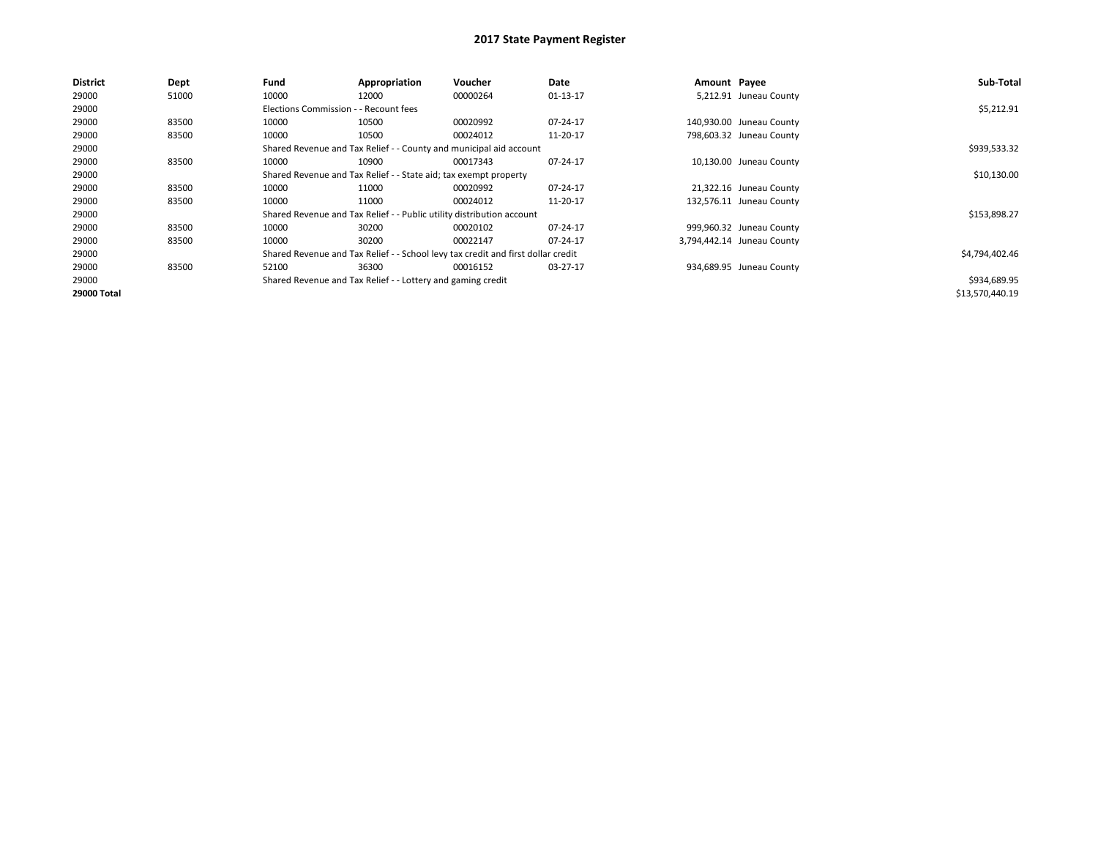| <b>District</b> | Dept  | Fund                                  | Appropriation                                                         | Voucher                                                                          | Date     | Amount Payee |                            | Sub-Total       |  |  |
|-----------------|-------|---------------------------------------|-----------------------------------------------------------------------|----------------------------------------------------------------------------------|----------|--------------|----------------------------|-----------------|--|--|
| 29000           | 51000 | 10000                                 | 12000                                                                 | 00000264                                                                         | 01-13-17 |              | 5,212.91 Juneau County     |                 |  |  |
| 29000           |       | Elections Commission - - Recount fees |                                                                       |                                                                                  |          |              |                            | \$5,212.91      |  |  |
| 29000           | 83500 | 10000                                 | 10500                                                                 | 00020992                                                                         | 07-24-17 |              | 140,930.00 Juneau County   |                 |  |  |
| 29000           | 83500 | 10000                                 | 10500                                                                 | 00024012                                                                         | 11-20-17 |              | 798,603.32 Juneau County   |                 |  |  |
| 29000           |       |                                       |                                                                       | Shared Revenue and Tax Relief - - County and municipal aid account               |          |              |                            | \$939,533.32    |  |  |
| 29000           | 83500 | 10000                                 | 10900                                                                 | 00017343                                                                         | 07-24-17 |              | 10,130.00 Juneau County    |                 |  |  |
| 29000           |       |                                       | Shared Revenue and Tax Relief - - State aid; tax exempt property      |                                                                                  |          |              |                            |                 |  |  |
| 29000           | 83500 | 10000                                 | 11000                                                                 | 00020992                                                                         | 07-24-17 |              | 21,322.16 Juneau County    |                 |  |  |
| 29000           | 83500 | 10000                                 | 11000                                                                 | 00024012                                                                         | 11-20-17 |              | 132,576.11 Juneau County   |                 |  |  |
| 29000           |       |                                       | Shared Revenue and Tax Relief - - Public utility distribution account |                                                                                  |          |              |                            | \$153,898.27    |  |  |
| 29000           | 83500 | 10000                                 | 30200                                                                 | 00020102                                                                         | 07-24-17 |              | 999,960.32 Juneau County   |                 |  |  |
| 29000           | 83500 | 10000                                 | 30200                                                                 | 00022147                                                                         | 07-24-17 |              | 3,794,442.14 Juneau County |                 |  |  |
| 29000           |       |                                       |                                                                       | Shared Revenue and Tax Relief - - School levy tax credit and first dollar credit |          |              |                            | \$4,794,402.46  |  |  |
| 29000           | 83500 | 52100                                 | 36300                                                                 | 00016152                                                                         | 03-27-17 |              | 934,689.95 Juneau County   |                 |  |  |
| 29000           |       |                                       | Shared Revenue and Tax Relief - - Lottery and gaming credit           |                                                                                  |          |              |                            | \$934,689.95    |  |  |
| 29000 Total     |       |                                       |                                                                       |                                                                                  |          |              |                            | \$13,570,440.19 |  |  |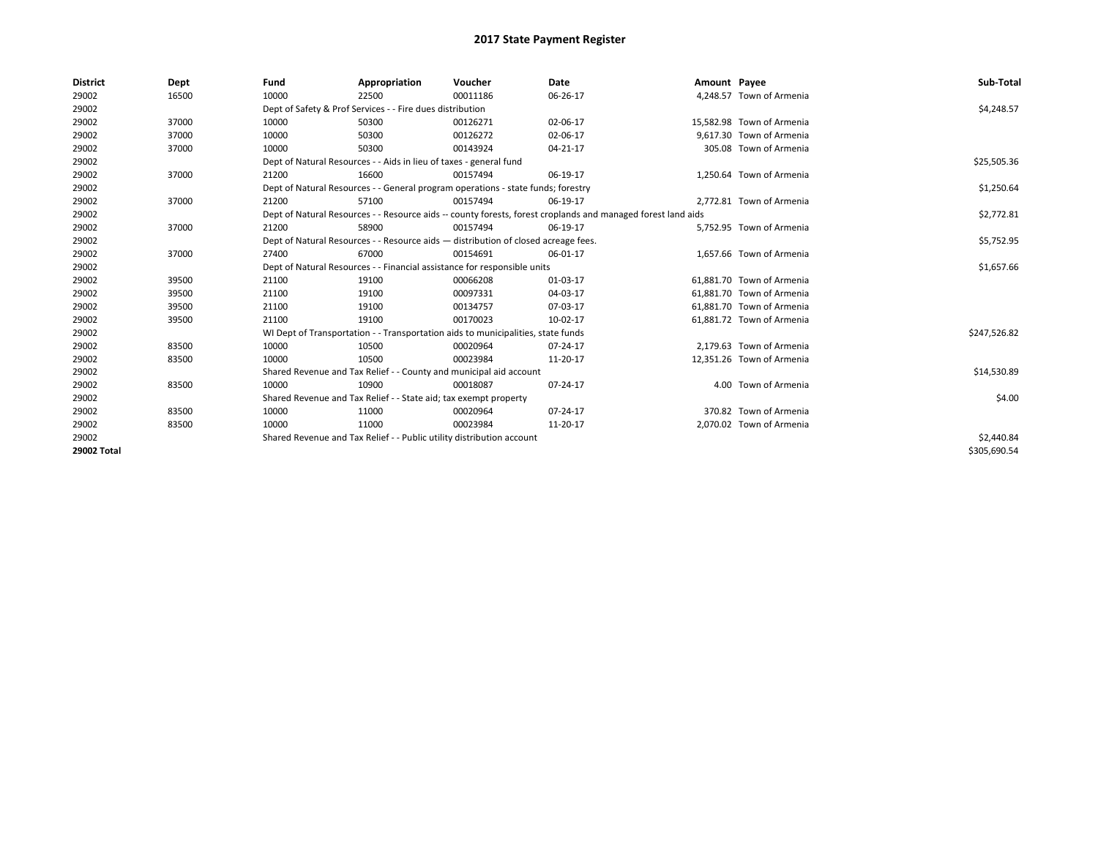| <b>District</b>    | Dept  | Fund  | Appropriation                                                                                                | Voucher  | Date       | Amount Payee |                           | Sub-Total    |
|--------------------|-------|-------|--------------------------------------------------------------------------------------------------------------|----------|------------|--------------|---------------------------|--------------|
| 29002              | 16500 | 10000 | 22500                                                                                                        | 00011186 | 06-26-17   |              | 4,248.57 Town of Armenia  |              |
| 29002              |       |       | Dept of Safety & Prof Services - - Fire dues distribution                                                    |          |            |              |                           | \$4,248.57   |
| 29002              | 37000 | 10000 | 50300                                                                                                        | 00126271 | 02-06-17   |              | 15,582.98 Town of Armenia |              |
| 29002              | 37000 | 10000 | 50300                                                                                                        | 00126272 | 02-06-17   |              | 9,617.30 Town of Armenia  |              |
| 29002              | 37000 | 10000 | 50300                                                                                                        | 00143924 | 04-21-17   |              | 305.08 Town of Armenia    |              |
| 29002              |       |       | Dept of Natural Resources - - Aids in lieu of taxes - general fund                                           |          |            |              |                           | \$25,505.36  |
| 29002              | 37000 | 21200 | 16600                                                                                                        | 00157494 | 06-19-17   |              | 1,250.64 Town of Armenia  |              |
| 29002              |       |       | Dept of Natural Resources - - General program operations - state funds; forestry                             |          |            |              |                           | \$1,250.64   |
| 29002              | 37000 | 21200 | 57100                                                                                                        | 00157494 | 06-19-17   |              | 2,772.81 Town of Armenia  |              |
| 29002              |       |       | Dept of Natural Resources - - Resource aids -- county forests, forest croplands and managed forest land aids |          | \$2,772.81 |              |                           |              |
| 29002              | 37000 | 21200 | 58900                                                                                                        | 00157494 | 06-19-17   |              | 5.752.95 Town of Armenia  |              |
| 29002              |       |       | Dept of Natural Resources - - Resource aids - distribution of closed acreage fees.                           |          |            |              |                           | \$5,752.95   |
| 29002              | 37000 | 27400 | 67000                                                                                                        | 00154691 | 06-01-17   |              | 1,657.66 Town of Armenia  |              |
| 29002              |       |       | Dept of Natural Resources - - Financial assistance for responsible units                                     |          |            |              |                           | \$1,657.66   |
| 29002              | 39500 | 21100 | 19100                                                                                                        | 00066208 | 01-03-17   |              | 61.881.70 Town of Armenia |              |
| 29002              | 39500 | 21100 | 19100                                                                                                        | 00097331 | 04-03-17   |              | 61,881.70 Town of Armenia |              |
| 29002              | 39500 | 21100 | 19100                                                                                                        | 00134757 | 07-03-17   |              | 61,881.70 Town of Armenia |              |
| 29002              | 39500 | 21100 | 19100                                                                                                        | 00170023 | 10-02-17   |              | 61,881.72 Town of Armenia |              |
| 29002              |       |       | WI Dept of Transportation - - Transportation aids to municipalities, state funds                             |          |            |              |                           | \$247,526.82 |
| 29002              | 83500 | 10000 | 10500                                                                                                        | 00020964 | 07-24-17   |              | 2,179.63 Town of Armenia  |              |
| 29002              | 83500 | 10000 | 10500                                                                                                        | 00023984 | 11-20-17   |              | 12,351.26 Town of Armenia |              |
| 29002              |       |       | Shared Revenue and Tax Relief - - County and municipal aid account                                           |          |            |              |                           | \$14,530.89  |
| 29002              | 83500 | 10000 | 10900                                                                                                        | 00018087 | 07-24-17   |              | 4.00 Town of Armenia      |              |
| 29002              |       |       | Shared Revenue and Tax Relief - - State aid; tax exempt property                                             |          |            |              |                           | \$4.00       |
| 29002              | 83500 | 10000 | 11000                                                                                                        | 00020964 | 07-24-17   |              | 370.82 Town of Armenia    |              |
| 29002              | 83500 | 10000 | 11000                                                                                                        | 00023984 | 11-20-17   |              | 2,070.02 Town of Armenia  |              |
| 29002              |       |       | Shared Revenue and Tax Relief - - Public utility distribution account                                        |          |            |              |                           | \$2,440.84   |
| <b>29002 Total</b> |       |       |                                                                                                              |          |            |              |                           | \$305,690.54 |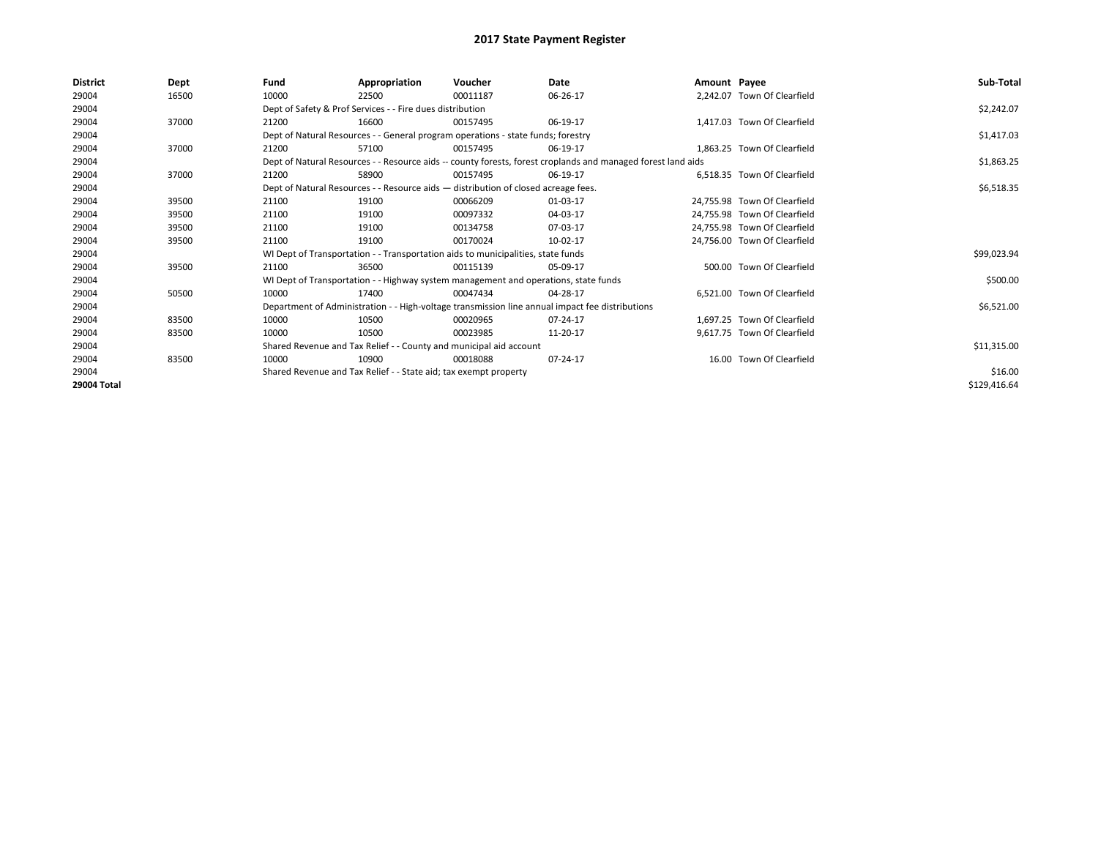| <b>District</b>    | <b>Dept</b> | Fund  | Appropriation                                                                       | Voucher  | Date                                                                                                         | Amount Payee |                              | Sub-Total    |
|--------------------|-------------|-------|-------------------------------------------------------------------------------------|----------|--------------------------------------------------------------------------------------------------------------|--------------|------------------------------|--------------|
| 29004              | 16500       | 10000 | 22500                                                                               | 00011187 | 06-26-17                                                                                                     |              | 2,242.07 Town Of Clearfield  |              |
| 29004              |             |       | Dept of Safety & Prof Services - - Fire dues distribution                           |          |                                                                                                              |              |                              | \$2,242.07   |
| 29004              | 37000       | 21200 | 16600                                                                               | 00157495 | 06-19-17                                                                                                     |              | 1.417.03 Town Of Clearfield  |              |
| 29004              |             |       | Dept of Natural Resources - - General program operations - state funds; forestry    |          |                                                                                                              |              |                              | \$1,417.03   |
| 29004              | 37000       | 21200 | 57100                                                                               | 00157495 | 06-19-17                                                                                                     |              | 1.863.25 Town Of Clearfield  |              |
| 29004              |             |       |                                                                                     |          | Dept of Natural Resources - - Resource aids -- county forests, forest croplands and managed forest land aids |              |                              | \$1,863.25   |
| 29004              | 37000       | 21200 | 58900                                                                               | 00157495 | 06-19-17                                                                                                     |              | 6.518.35 Town Of Clearfield  |              |
| 29004              |             |       | Dept of Natural Resources - - Resource aids - distribution of closed acreage fees.  |          |                                                                                                              |              |                              | \$6,518.35   |
| 29004              | 39500       | 21100 | 19100                                                                               | 00066209 | 01-03-17                                                                                                     |              | 24.755.98 Town Of Clearfield |              |
| 29004              | 39500       | 21100 | 19100                                                                               | 00097332 | 04-03-17                                                                                                     |              | 24,755.98 Town Of Clearfield |              |
| 29004              | 39500       | 21100 | 19100                                                                               | 00134758 | 07-03-17                                                                                                     |              | 24.755.98 Town Of Clearfield |              |
| 29004              | 39500       | 21100 | 19100                                                                               | 00170024 | 10-02-17                                                                                                     |              | 24,756.00 Town Of Clearfield |              |
| 29004              |             |       | WI Dept of Transportation - - Transportation aids to municipalities, state funds    |          |                                                                                                              |              |                              | \$99,023.94  |
| 29004              | 39500       | 21100 | 36500                                                                               | 00115139 | 05-09-17                                                                                                     |              | 500.00 Town Of Clearfield    |              |
| 29004              |             |       | WI Dept of Transportation - - Highway system management and operations, state funds |          |                                                                                                              |              |                              | \$500.00     |
| 29004              | 50500       | 10000 | 17400                                                                               | 00047434 | 04-28-17                                                                                                     |              | 6.521.00 Town Of Clearfield  |              |
| 29004              |             |       |                                                                                     |          | Department of Administration - - High-voltage transmission line annual impact fee distributions              |              |                              | \$6,521.00   |
| 29004              | 83500       | 10000 | 10500                                                                               | 00020965 | 07-24-17                                                                                                     |              | 1,697.25 Town Of Clearfield  |              |
| 29004              | 83500       | 10000 | 10500                                                                               | 00023985 | 11-20-17                                                                                                     |              | 9.617.75 Town Of Clearfield  |              |
| 29004              |             |       | Shared Revenue and Tax Relief - - County and municipal aid account                  |          |                                                                                                              |              |                              | \$11,315.00  |
| 29004              | 83500       | 10000 | 10900                                                                               | 00018088 | 07-24-17                                                                                                     |              | 16.00 Town Of Clearfield     |              |
| 29004              |             |       | Shared Revenue and Tax Relief - - State aid; tax exempt property                    |          |                                                                                                              |              |                              | \$16.00      |
| <b>29004 Total</b> |             |       |                                                                                     |          |                                                                                                              |              |                              | \$129,416.64 |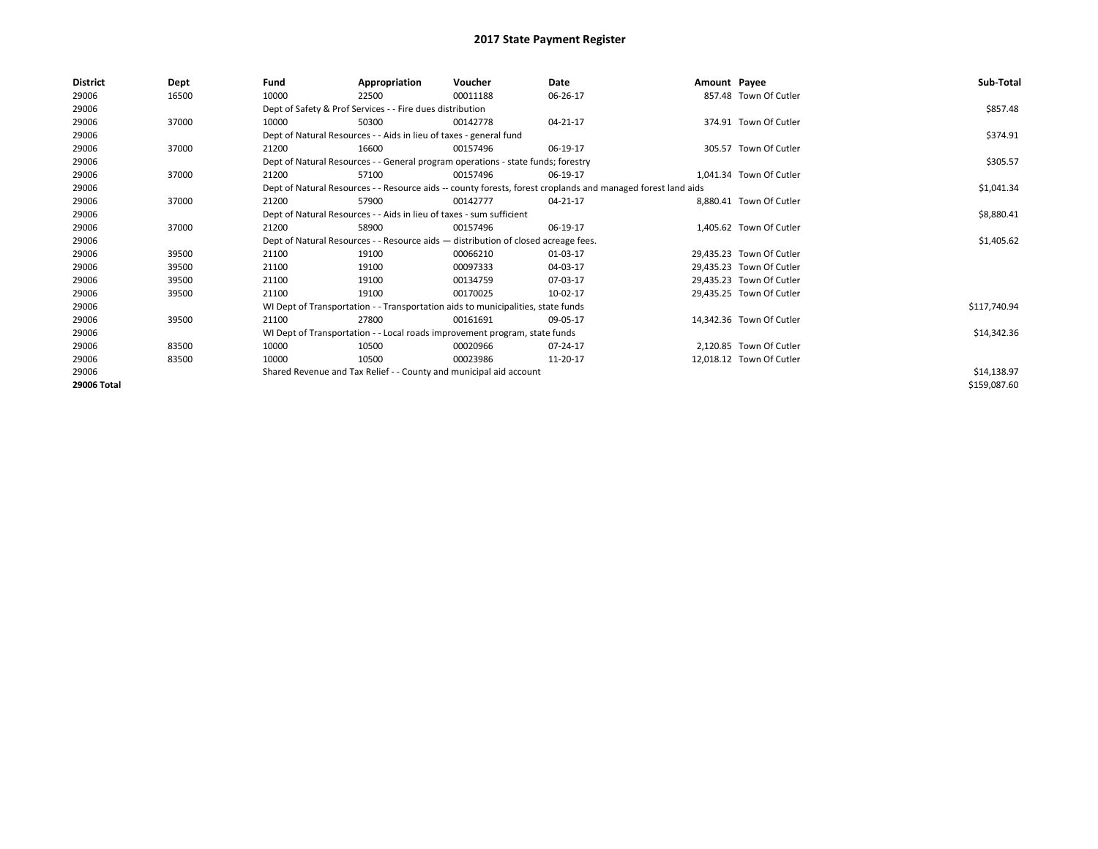| <b>District</b> | <b>Dept</b> | Fund  | Appropriation                                                                      | Voucher  | Date                                                                                                         | Amount Payee |                          | Sub-Total    |
|-----------------|-------------|-------|------------------------------------------------------------------------------------|----------|--------------------------------------------------------------------------------------------------------------|--------------|--------------------------|--------------|
| 29006           | 16500       | 10000 | 22500                                                                              | 00011188 | 06-26-17                                                                                                     |              | 857.48 Town Of Cutler    |              |
| 29006           |             |       | Dept of Safety & Prof Services - - Fire dues distribution                          |          |                                                                                                              |              |                          | \$857.48     |
| 29006           | 37000       | 10000 | 50300                                                                              | 00142778 | 04-21-17                                                                                                     |              | 374.91 Town Of Cutler    |              |
| 29006           |             |       | Dept of Natural Resources - - Aids in lieu of taxes - general fund                 |          |                                                                                                              |              |                          | \$374.91     |
| 29006           | 37000       | 21200 | 16600                                                                              | 00157496 | 06-19-17                                                                                                     |              | 305.57 Town Of Cutler    |              |
| 29006           |             |       | Dept of Natural Resources - - General program operations - state funds; forestry   |          |                                                                                                              |              |                          | \$305.57     |
| 29006           | 37000       | 21200 | 57100                                                                              | 00157496 | 06-19-17                                                                                                     |              | 1.041.34 Town Of Cutler  |              |
| 29006           |             |       |                                                                                    |          | Dept of Natural Resources - - Resource aids -- county forests, forest croplands and managed forest land aids |              |                          | \$1,041.34   |
| 29006           | 37000       | 21200 | 57900                                                                              | 00142777 | 04-21-17                                                                                                     |              | 8,880.41 Town Of Cutler  |              |
| 29006           |             |       | Dept of Natural Resources - - Aids in lieu of taxes - sum sufficient               |          | \$8,880.41                                                                                                   |              |                          |              |
| 29006           | 37000       | 21200 | 58900                                                                              | 00157496 | 06-19-17                                                                                                     |              | 1.405.62 Town Of Cutler  |              |
| 29006           |             |       | Dept of Natural Resources - - Resource aids - distribution of closed acreage fees. |          |                                                                                                              |              |                          | \$1,405.62   |
| 29006           | 39500       | 21100 | 19100                                                                              | 00066210 | 01-03-17                                                                                                     |              | 29.435.23 Town Of Cutler |              |
| 29006           | 39500       | 21100 | 19100                                                                              | 00097333 | 04-03-17                                                                                                     |              | 29,435.23 Town Of Cutler |              |
| 29006           | 39500       | 21100 | 19100                                                                              | 00134759 | 07-03-17                                                                                                     |              | 29,435.23 Town Of Cutler |              |
| 29006           | 39500       | 21100 | 19100                                                                              | 00170025 | 10-02-17                                                                                                     |              | 29,435.25 Town Of Cutler |              |
| 29006           |             |       | WI Dept of Transportation - - Transportation aids to municipalities, state funds   |          |                                                                                                              |              |                          | \$117,740.94 |
| 29006           | 39500       | 21100 | 27800                                                                              | 00161691 | 09-05-17                                                                                                     |              | 14.342.36 Town Of Cutler |              |
| 29006           |             |       | WI Dept of Transportation - - Local roads improvement program, state funds         |          |                                                                                                              |              |                          | \$14,342.36  |
| 29006           | 83500       | 10000 | 10500                                                                              | 00020966 | 07-24-17                                                                                                     |              | 2.120.85 Town Of Cutler  |              |
| 29006           | 83500       | 10000 | 10500                                                                              | 00023986 | 11-20-17                                                                                                     |              | 12,018.12 Town Of Cutler |              |
| 29006           |             |       | Shared Revenue and Tax Relief - - County and municipal aid account                 |          |                                                                                                              |              |                          | \$14,138.97  |
| 29006 Total     |             |       |                                                                                    |          |                                                                                                              |              |                          | \$159,087.60 |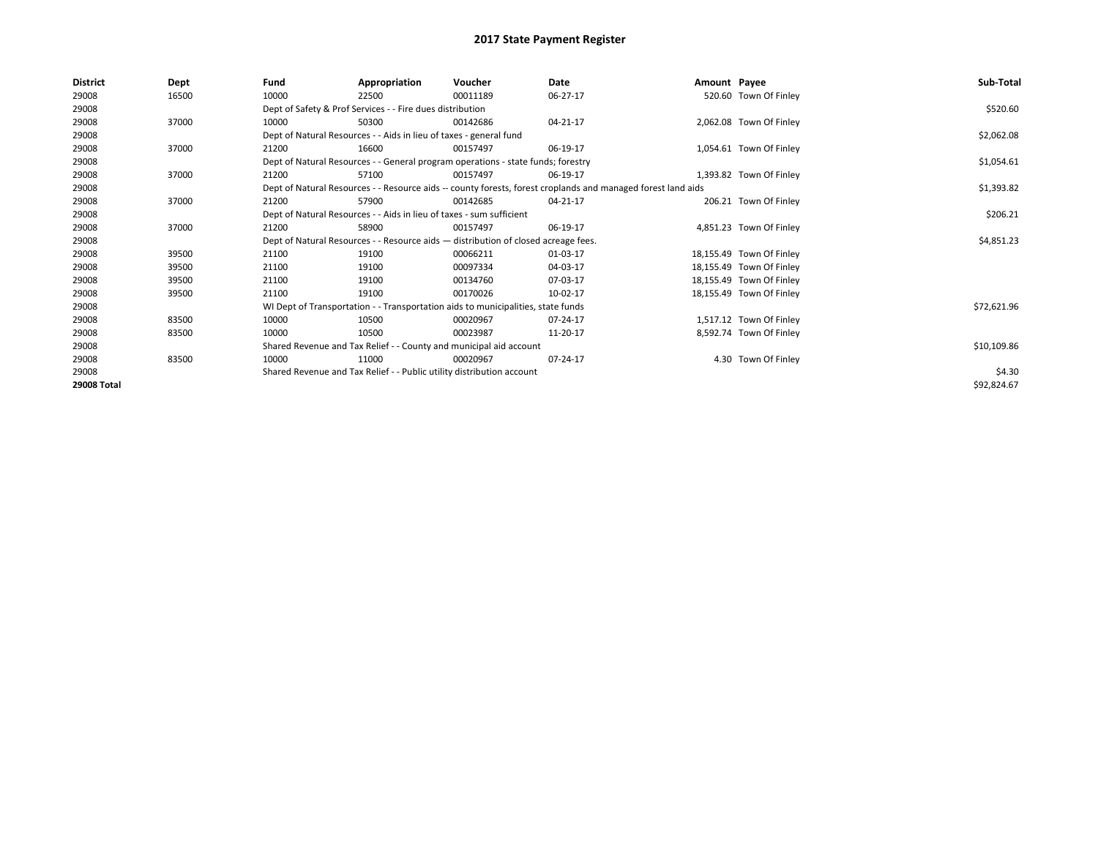| District    | Dept  | Fund  | Appropriation                                                                      | Voucher  | Date                                                                                                         | Amount Payee |                          | Sub-Total   |
|-------------|-------|-------|------------------------------------------------------------------------------------|----------|--------------------------------------------------------------------------------------------------------------|--------------|--------------------------|-------------|
| 29008       | 16500 | 10000 | 22500                                                                              | 00011189 | 06-27-17                                                                                                     |              | 520.60 Town Of Finley    |             |
| 29008       |       |       | Dept of Safety & Prof Services - - Fire dues distribution                          |          |                                                                                                              |              |                          | \$520.60    |
| 29008       | 37000 | 10000 | 50300                                                                              | 00142686 | 04-21-17                                                                                                     |              | 2,062.08 Town Of Finley  |             |
| 29008       |       |       | Dept of Natural Resources - - Aids in lieu of taxes - general fund                 |          |                                                                                                              |              |                          | \$2,062.08  |
| 29008       | 37000 | 21200 | 16600                                                                              | 00157497 | 06-19-17                                                                                                     |              | 1,054.61 Town Of Finley  |             |
| 29008       |       |       | Dept of Natural Resources - - General program operations - state funds; forestry   |          |                                                                                                              |              |                          | \$1,054.61  |
| 29008       | 37000 | 21200 | 57100                                                                              | 00157497 | 06-19-17                                                                                                     |              | 1,393.82 Town Of Finley  |             |
| 29008       |       |       |                                                                                    |          | Dept of Natural Resources - - Resource aids -- county forests, forest croplands and managed forest land aids |              |                          | \$1,393.82  |
| 29008       | 37000 | 21200 | 57900                                                                              | 00142685 | 04-21-17                                                                                                     |              | 206.21 Town Of Finley    |             |
| 29008       |       |       | Dept of Natural Resources - - Aids in lieu of taxes - sum sufficient               |          | \$206.21                                                                                                     |              |                          |             |
| 29008       | 37000 | 21200 | 58900                                                                              | 00157497 | 06-19-17                                                                                                     |              | 4,851.23 Town Of Finley  |             |
| 29008       |       |       | Dept of Natural Resources - - Resource aids - distribution of closed acreage fees. |          |                                                                                                              |              |                          | \$4,851.23  |
| 29008       | 39500 | 21100 | 19100                                                                              | 00066211 | 01-03-17                                                                                                     |              | 18,155.49 Town Of Finley |             |
| 29008       | 39500 | 21100 | 19100                                                                              | 00097334 | 04-03-17                                                                                                     |              | 18,155.49 Town Of Finley |             |
| 29008       | 39500 | 21100 | 19100                                                                              | 00134760 | 07-03-17                                                                                                     |              | 18,155.49 Town Of Finley |             |
| 29008       | 39500 | 21100 | 19100                                                                              | 00170026 | 10-02-17                                                                                                     |              | 18,155.49 Town Of Finley |             |
| 29008       |       |       | WI Dept of Transportation - - Transportation aids to municipalities, state funds   |          |                                                                                                              |              |                          | \$72,621.96 |
| 29008       | 83500 | 10000 | 10500                                                                              | 00020967 | 07-24-17                                                                                                     |              | 1,517.12 Town Of Finley  |             |
| 29008       | 83500 | 10000 | 10500                                                                              | 00023987 | 11-20-17                                                                                                     |              | 8,592.74 Town Of Finley  |             |
| 29008       |       |       | Shared Revenue and Tax Relief - - County and municipal aid account                 |          |                                                                                                              |              |                          | \$10,109.86 |
| 29008       | 83500 | 10000 | 11000                                                                              | 00020967 | 07-24-17                                                                                                     |              | 4.30 Town Of Finley      |             |
| 29008       |       |       | Shared Revenue and Tax Relief - - Public utility distribution account              |          |                                                                                                              |              |                          | \$4.30      |
| 29008 Total |       |       |                                                                                    |          |                                                                                                              |              |                          | \$92,824.67 |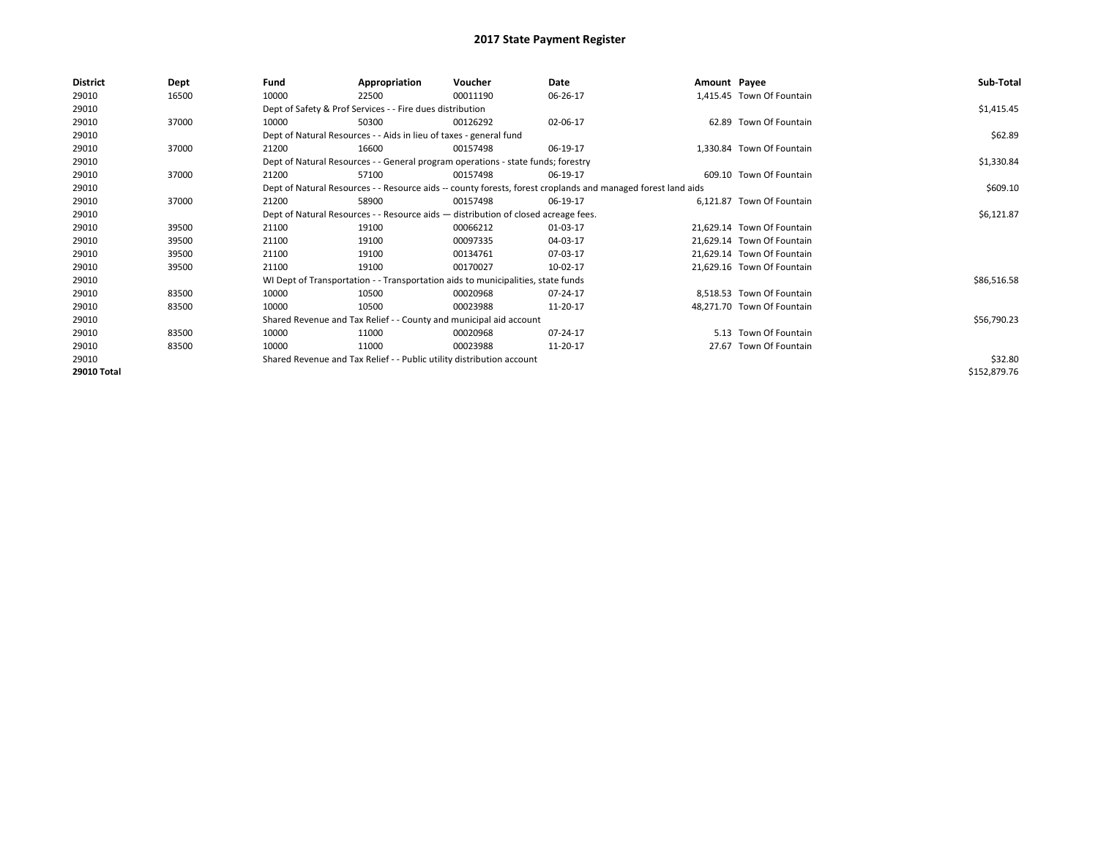| District    | Dept  | Fund  | Appropriation                                                                                                | Voucher  | Date       | Amount Payee |                            | Sub-Total    |
|-------------|-------|-------|--------------------------------------------------------------------------------------------------------------|----------|------------|--------------|----------------------------|--------------|
| 29010       | 16500 | 10000 | 22500                                                                                                        | 00011190 | 06-26-17   |              | 1,415.45 Town Of Fountain  |              |
| 29010       |       |       | Dept of Safety & Prof Services - - Fire dues distribution                                                    |          |            |              |                            | \$1,415.45   |
| 29010       | 37000 | 10000 | 50300                                                                                                        | 00126292 | 02-06-17   |              | 62.89 Town Of Fountain     |              |
| 29010       |       |       | Dept of Natural Resources - - Aids in lieu of taxes - general fund                                           |          |            |              |                            | \$62.89      |
| 29010       | 37000 | 21200 | 16600                                                                                                        | 00157498 | 06-19-17   |              | 1,330.84 Town Of Fountain  |              |
| 29010       |       |       | Dept of Natural Resources - - General program operations - state funds; forestry                             |          |            |              |                            | \$1,330.84   |
| 29010       | 37000 | 21200 | 57100                                                                                                        | 00157498 | 06-19-17   |              | 609.10 Town Of Fountain    |              |
| 29010       |       |       | Dept of Natural Resources - - Resource aids -- county forests, forest croplands and managed forest land aids |          | \$609.10   |              |                            |              |
| 29010       | 37000 | 21200 | 58900                                                                                                        | 00157498 | 06-19-17   |              | 6,121.87 Town Of Fountain  |              |
| 29010       |       |       | Dept of Natural Resources - - Resource aids - distribution of closed acreage fees.                           |          | \$6,121.87 |              |                            |              |
| 29010       | 39500 | 21100 | 19100                                                                                                        | 00066212 | 01-03-17   |              | 21,629.14 Town Of Fountain |              |
| 29010       | 39500 | 21100 | 19100                                                                                                        | 00097335 | 04-03-17   |              | 21,629.14 Town Of Fountain |              |
| 29010       | 39500 | 21100 | 19100                                                                                                        | 00134761 | 07-03-17   |              | 21,629.14 Town Of Fountain |              |
| 29010       | 39500 | 21100 | 19100                                                                                                        | 00170027 | 10-02-17   |              | 21,629.16 Town Of Fountain |              |
| 29010       |       |       | WI Dept of Transportation - - Transportation aids to municipalities, state funds                             |          |            |              |                            | \$86,516.58  |
| 29010       | 83500 | 10000 | 10500                                                                                                        | 00020968 | 07-24-17   |              | 8,518.53 Town Of Fountain  |              |
| 29010       | 83500 | 10000 | 10500                                                                                                        | 00023988 | 11-20-17   |              | 48,271.70 Town Of Fountain |              |
| 29010       |       |       | Shared Revenue and Tax Relief - - County and municipal aid account                                           |          |            |              |                            | \$56,790.23  |
| 29010       | 83500 | 10000 | 11000                                                                                                        | 00020968 | 07-24-17   |              | 5.13 Town Of Fountain      |              |
| 29010       | 83500 | 10000 | 11000                                                                                                        | 00023988 | 11-20-17   |              | 27.67 Town Of Fountain     |              |
| 29010       |       |       | Shared Revenue and Tax Relief - - Public utility distribution account                                        |          |            |              |                            | \$32.80      |
| 29010 Total |       |       |                                                                                                              |          |            |              |                            | \$152,879.76 |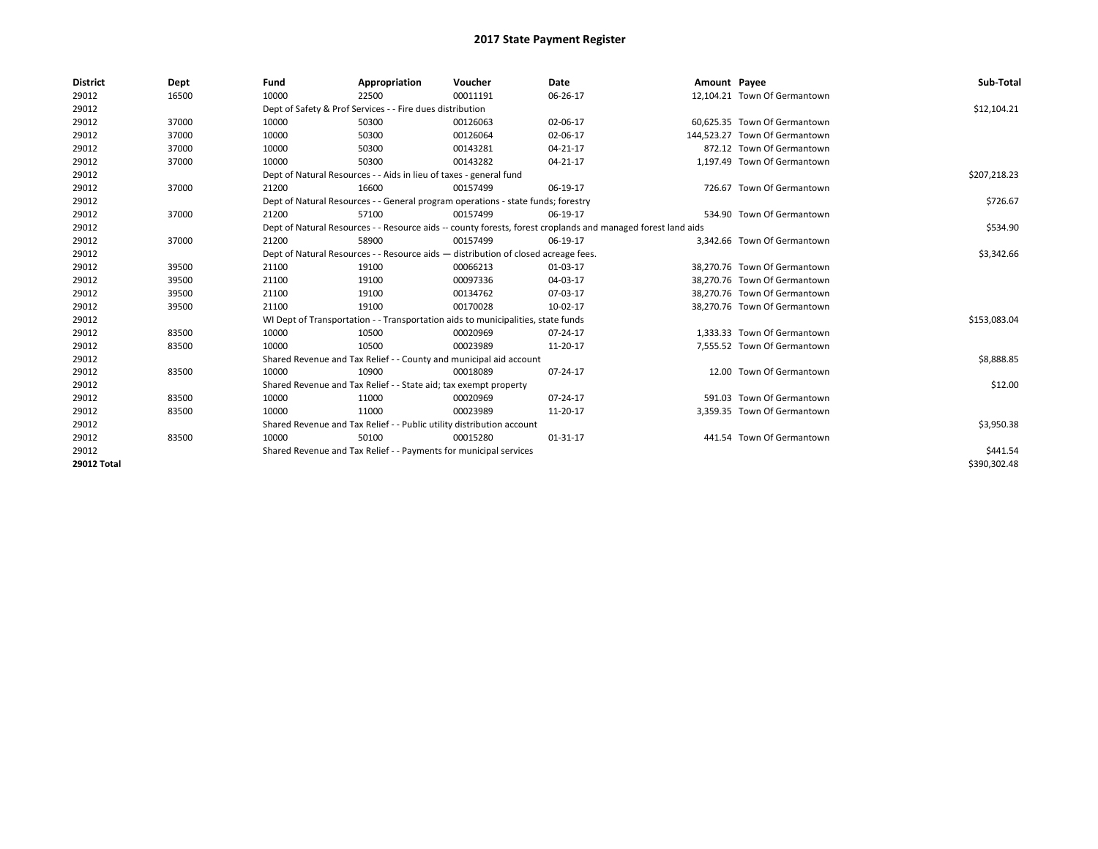| <b>District</b>    | Dept  | Fund  | Appropriation                                                                      | Voucher  | Date                                                                                                         | Amount Payee |                               | Sub-Total    |
|--------------------|-------|-------|------------------------------------------------------------------------------------|----------|--------------------------------------------------------------------------------------------------------------|--------------|-------------------------------|--------------|
| 29012              | 16500 | 10000 | 22500                                                                              | 00011191 | 06-26-17                                                                                                     |              | 12,104.21 Town Of Germantown  |              |
| 29012              |       |       | Dept of Safety & Prof Services - - Fire dues distribution                          |          |                                                                                                              |              |                               | \$12,104.21  |
| 29012              | 37000 | 10000 | 50300                                                                              | 00126063 | 02-06-17                                                                                                     |              | 60,625.35 Town Of Germantown  |              |
| 29012              | 37000 | 10000 | 50300                                                                              | 00126064 | 02-06-17                                                                                                     |              | 144.523.27 Town Of Germantown |              |
| 29012              | 37000 | 10000 | 50300                                                                              | 00143281 | 04-21-17                                                                                                     |              | 872.12 Town Of Germantown     |              |
| 29012              | 37000 | 10000 | 50300                                                                              | 00143282 | 04-21-17                                                                                                     |              | 1,197.49 Town Of Germantown   |              |
| 29012              |       |       | Dept of Natural Resources - - Aids in lieu of taxes - general fund                 |          |                                                                                                              |              |                               | \$207,218.23 |
| 29012              | 37000 | 21200 | 16600                                                                              | 00157499 | 06-19-17                                                                                                     |              | 726.67 Town Of Germantown     |              |
| 29012              |       |       | Dept of Natural Resources - - General program operations - state funds; forestry   |          |                                                                                                              |              |                               | \$726.67     |
| 29012              | 37000 | 21200 | 57100                                                                              | 00157499 | 06-19-17                                                                                                     |              | 534.90 Town Of Germantown     |              |
| 29012              |       |       |                                                                                    |          | Dept of Natural Resources - - Resource aids -- county forests, forest croplands and managed forest land aids |              |                               | \$534.90     |
| 29012              | 37000 | 21200 | 58900                                                                              | 00157499 | 06-19-17                                                                                                     |              | 3,342.66 Town Of Germantown   |              |
| 29012              |       |       | Dept of Natural Resources - - Resource aids - distribution of closed acreage fees. |          |                                                                                                              |              |                               | \$3,342.66   |
| 29012              | 39500 | 21100 | 19100                                                                              | 00066213 | 01-03-17                                                                                                     |              | 38,270.76 Town Of Germantown  |              |
| 29012              | 39500 | 21100 | 19100                                                                              | 00097336 | 04-03-17                                                                                                     |              | 38,270.76 Town Of Germantown  |              |
| 29012              | 39500 | 21100 | 19100                                                                              | 00134762 | 07-03-17                                                                                                     |              | 38,270.76 Town Of Germantown  |              |
| 29012              | 39500 | 21100 | 19100                                                                              | 00170028 | 10-02-17                                                                                                     |              | 38,270.76 Town Of Germantown  |              |
| 29012              |       |       | WI Dept of Transportation - - Transportation aids to municipalities, state funds   |          |                                                                                                              |              |                               | \$153,083.04 |
| 29012              | 83500 | 10000 | 10500                                                                              | 00020969 | 07-24-17                                                                                                     |              | 1.333.33 Town Of Germantown   |              |
| 29012              | 83500 | 10000 | 10500                                                                              | 00023989 | 11-20-17                                                                                                     |              | 7,555.52 Town Of Germantown   |              |
| 29012              |       |       | Shared Revenue and Tax Relief - - County and municipal aid account                 |          |                                                                                                              |              |                               | \$8,888.85   |
| 29012              | 83500 | 10000 | 10900                                                                              | 00018089 | 07-24-17                                                                                                     |              | 12.00 Town Of Germantown      |              |
| 29012              |       |       | Shared Revenue and Tax Relief - - State aid; tax exempt property                   |          |                                                                                                              |              |                               | \$12.00      |
| 29012              | 83500 | 10000 | 11000                                                                              | 00020969 | 07-24-17                                                                                                     |              | 591.03 Town Of Germantown     |              |
| 29012              | 83500 | 10000 | 11000                                                                              | 00023989 | 11-20-17                                                                                                     |              | 3,359.35 Town Of Germantown   |              |
| 29012              |       |       | Shared Revenue and Tax Relief - - Public utility distribution account              |          |                                                                                                              |              |                               | \$3,950.38   |
| 29012              | 83500 | 10000 | 50100                                                                              | 00015280 | 01-31-17                                                                                                     |              | 441.54 Town Of Germantown     |              |
| 29012              |       |       | Shared Revenue and Tax Relief - - Payments for municipal services                  |          |                                                                                                              |              |                               | \$441.54     |
| <b>29012 Total</b> |       |       |                                                                                    |          |                                                                                                              |              |                               | \$390,302.48 |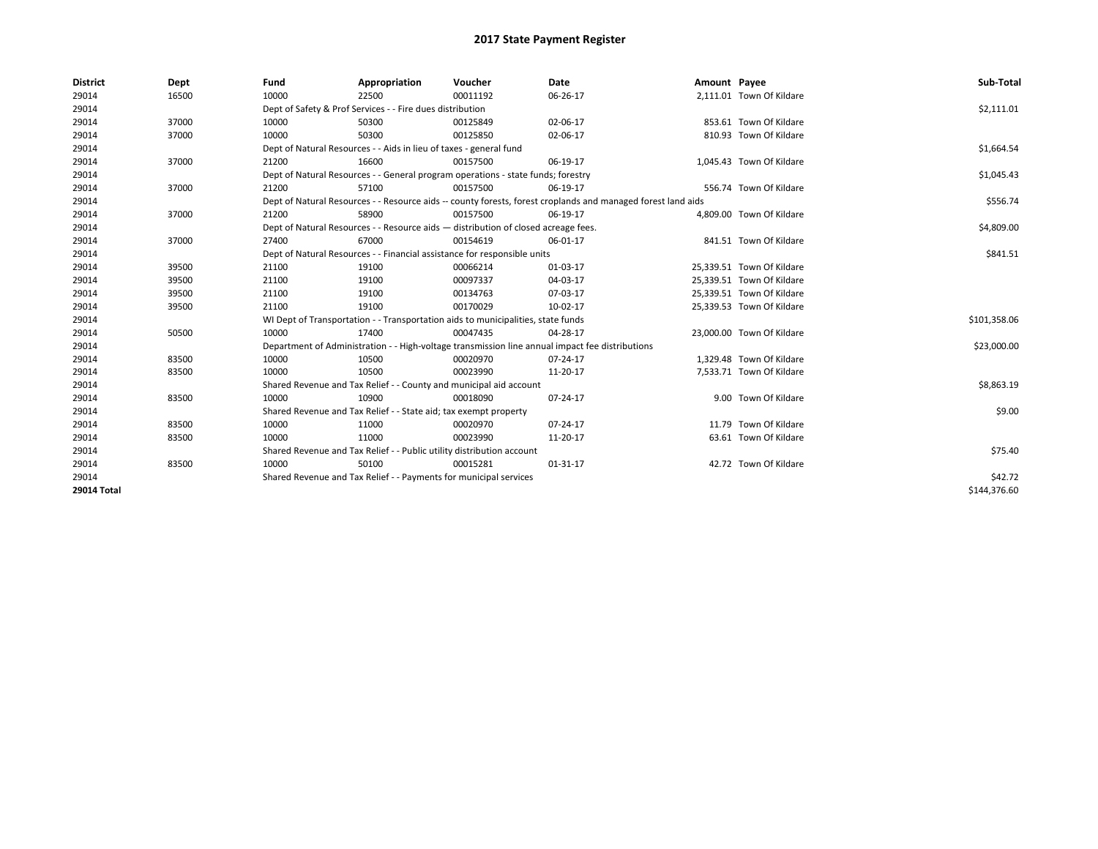| <b>District</b>    | Dept  | Fund  | Appropriation                                                         | Voucher                                                                            | Date                                                                                                         | Amount Payee |                           | Sub-Total    |
|--------------------|-------|-------|-----------------------------------------------------------------------|------------------------------------------------------------------------------------|--------------------------------------------------------------------------------------------------------------|--------------|---------------------------|--------------|
| 29014              | 16500 | 10000 | 22500                                                                 | 00011192                                                                           | 06-26-17                                                                                                     |              | 2,111.01 Town Of Kildare  |              |
| 29014              |       |       | Dept of Safety & Prof Services - - Fire dues distribution             |                                                                                    |                                                                                                              |              |                           | \$2,111.01   |
| 29014              | 37000 | 10000 | 50300                                                                 | 00125849                                                                           | 02-06-17                                                                                                     |              | 853.61 Town Of Kildare    |              |
| 29014              | 37000 | 10000 | 50300                                                                 | 00125850                                                                           | 02-06-17                                                                                                     |              | 810.93 Town Of Kildare    |              |
| 29014              |       |       | Dept of Natural Resources - - Aids in lieu of taxes - general fund    |                                                                                    |                                                                                                              |              |                           | \$1,664.54   |
| 29014              | 37000 | 21200 | 16600                                                                 | 00157500                                                                           | 06-19-17                                                                                                     |              | 1,045.43 Town Of Kildare  |              |
| 29014              |       |       |                                                                       | Dept of Natural Resources - - General program operations - state funds; forestry   |                                                                                                              |              |                           | \$1,045.43   |
| 29014              | 37000 | 21200 | 57100                                                                 | 00157500                                                                           | 06-19-17                                                                                                     |              | 556.74 Town Of Kildare    |              |
| 29014              |       |       |                                                                       |                                                                                    | Dept of Natural Resources - - Resource aids -- county forests, forest croplands and managed forest land aids |              |                           | \$556.74     |
| 29014              | 37000 | 21200 | 58900                                                                 | 00157500                                                                           | 06-19-17                                                                                                     |              | 4,809.00 Town Of Kildare  |              |
| 29014              |       |       |                                                                       | Dept of Natural Resources - - Resource aids - distribution of closed acreage fees. |                                                                                                              |              |                           | \$4,809.00   |
| 29014              | 37000 | 27400 | 67000                                                                 | 00154619                                                                           | 06-01-17                                                                                                     |              | 841.51 Town Of Kildare    |              |
| 29014              |       |       |                                                                       | Dept of Natural Resources - - Financial assistance for responsible units           |                                                                                                              |              |                           | \$841.51     |
| 29014              | 39500 | 21100 | 19100                                                                 | 00066214                                                                           | 01-03-17                                                                                                     |              | 25,339.51 Town Of Kildare |              |
| 29014              | 39500 | 21100 | 19100                                                                 | 00097337                                                                           | 04-03-17                                                                                                     |              | 25,339.51 Town Of Kildare |              |
| 29014              | 39500 | 21100 | 19100                                                                 | 00134763                                                                           | 07-03-17                                                                                                     |              | 25,339.51 Town Of Kildare |              |
| 29014              | 39500 | 21100 | 19100                                                                 | 00170029                                                                           | 10-02-17                                                                                                     |              | 25,339.53 Town Of Kildare |              |
| 29014              |       |       |                                                                       | WI Dept of Transportation - - Transportation aids to municipalities, state funds   |                                                                                                              |              |                           | \$101,358.06 |
| 29014              | 50500 | 10000 | 17400                                                                 | 00047435                                                                           | 04-28-17                                                                                                     |              | 23,000.00 Town Of Kildare |              |
| 29014              |       |       |                                                                       |                                                                                    | Department of Administration - - High-voltage transmission line annual impact fee distributions              |              |                           | \$23,000.00  |
| 29014              | 83500 | 10000 | 10500                                                                 | 00020970                                                                           | $07 - 24 - 17$                                                                                               |              | 1,329.48 Town Of Kildare  |              |
| 29014              | 83500 | 10000 | 10500                                                                 | 00023990                                                                           | 11-20-17                                                                                                     |              | 7,533.71 Town Of Kildare  |              |
| 29014              |       |       | Shared Revenue and Tax Relief - - County and municipal aid account    |                                                                                    |                                                                                                              |              |                           | \$8,863.19   |
| 29014              | 83500 | 10000 | 10900                                                                 | 00018090                                                                           | 07-24-17                                                                                                     |              | 9.00 Town Of Kildare      |              |
| 29014              |       |       | Shared Revenue and Tax Relief - - State aid; tax exempt property      |                                                                                    |                                                                                                              |              |                           | \$9.00       |
| 29014              | 83500 | 10000 | 11000                                                                 | 00020970                                                                           | 07-24-17                                                                                                     |              | 11.79 Town Of Kildare     |              |
| 29014              | 83500 | 10000 | 11000                                                                 | 00023990                                                                           | 11-20-17                                                                                                     |              | 63.61 Town Of Kildare     |              |
| 29014              |       |       | Shared Revenue and Tax Relief - - Public utility distribution account |                                                                                    |                                                                                                              |              |                           | \$75.40      |
| 29014              | 83500 | 10000 | 50100                                                                 | 00015281                                                                           | $01 - 31 - 17$                                                                                               |              | 42.72 Town Of Kildare     |              |
| 29014              |       |       | Shared Revenue and Tax Relief - - Payments for municipal services     |                                                                                    |                                                                                                              |              |                           | \$42.72      |
| <b>29014 Total</b> |       |       |                                                                       |                                                                                    |                                                                                                              |              |                           | \$144.376.60 |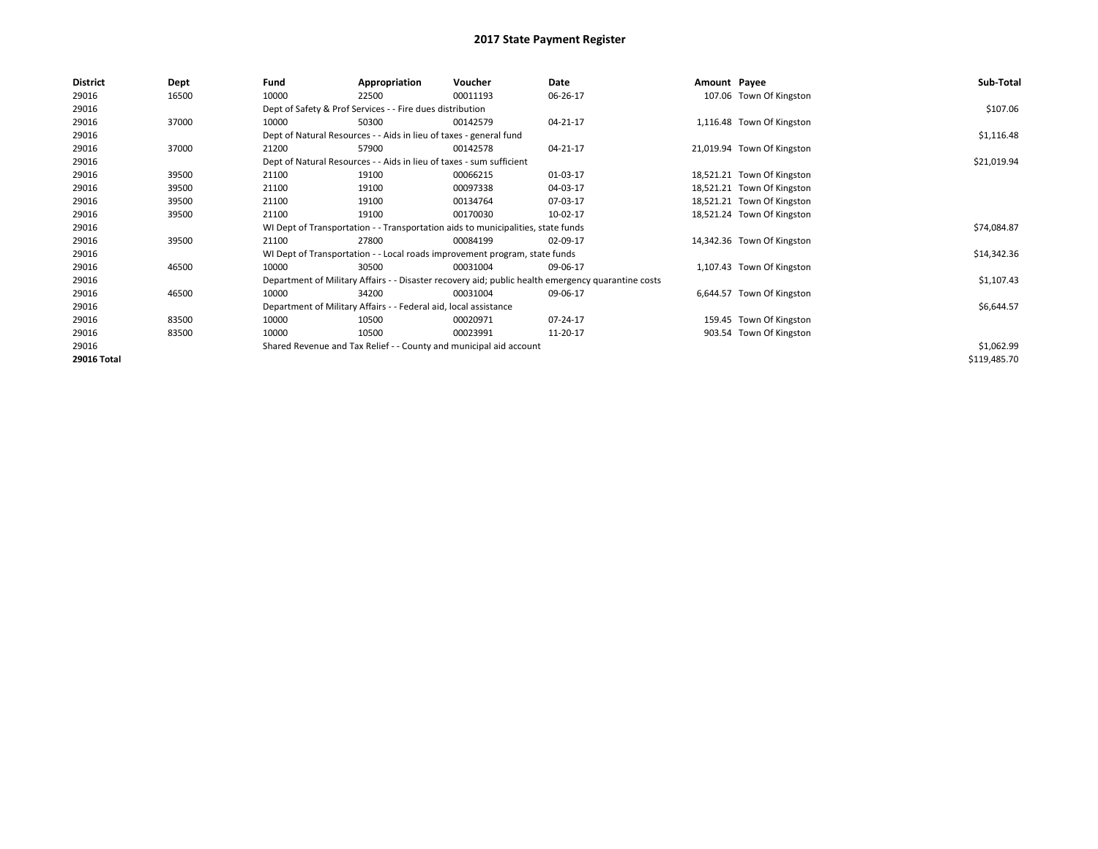| <b>District</b>    | Dept  | Fund  | Appropriation                                                                                      | Voucher  | Date     | Amount Payee |                            | Sub-Total    |
|--------------------|-------|-------|----------------------------------------------------------------------------------------------------|----------|----------|--------------|----------------------------|--------------|
| 29016              | 16500 | 10000 | 22500                                                                                              | 00011193 | 06-26-17 |              | 107.06 Town Of Kingston    |              |
| 29016              |       |       | Dept of Safety & Prof Services - - Fire dues distribution                                          |          |          |              |                            | \$107.06     |
| 29016              | 37000 | 10000 | 50300                                                                                              | 00142579 | 04-21-17 |              | 1,116.48 Town Of Kingston  |              |
| 29016              |       |       | Dept of Natural Resources - - Aids in lieu of taxes - general fund                                 |          |          |              |                            | \$1,116.48   |
| 29016              | 37000 | 21200 | 57900                                                                                              | 00142578 | 04-21-17 |              | 21,019.94 Town Of Kingston |              |
| 29016              |       |       | Dept of Natural Resources - - Aids in lieu of taxes - sum sufficient                               |          |          |              |                            | \$21,019.94  |
| 29016              | 39500 | 21100 | 19100                                                                                              | 00066215 | 01-03-17 |              | 18,521.21 Town Of Kingston |              |
| 29016              | 39500 | 21100 | 19100                                                                                              | 00097338 | 04-03-17 |              | 18,521.21 Town Of Kingston |              |
| 29016              | 39500 | 21100 | 19100                                                                                              | 00134764 | 07-03-17 |              | 18,521.21 Town Of Kingston |              |
| 29016              | 39500 | 21100 | 19100                                                                                              | 00170030 | 10-02-17 |              | 18,521.24 Town Of Kingston |              |
| 29016              |       |       | WI Dept of Transportation - - Transportation aids to municipalities, state funds                   |          |          |              |                            | \$74,084.87  |
| 29016              | 39500 | 21100 | 27800                                                                                              | 00084199 | 02-09-17 |              | 14,342.36 Town Of Kingston |              |
| 29016              |       |       | WI Dept of Transportation - - Local roads improvement program, state funds                         |          |          |              |                            | \$14,342.36  |
| 29016              | 46500 | 10000 | 30500                                                                                              | 00031004 | 09-06-17 |              | 1,107.43 Town Of Kingston  |              |
| 29016              |       |       | Department of Military Affairs - - Disaster recovery aid; public health emergency quarantine costs |          |          |              |                            | \$1,107.43   |
| 29016              | 46500 | 10000 | 34200                                                                                              | 00031004 | 09-06-17 |              | 6,644.57 Town Of Kingston  |              |
| 29016              |       |       | Department of Military Affairs - - Federal aid, local assistance                                   |          |          |              |                            | \$6,644.57   |
| 29016              | 83500 | 10000 | 10500                                                                                              | 00020971 | 07-24-17 |              | 159.45 Town Of Kingston    |              |
| 29016              | 83500 | 10000 | 10500                                                                                              | 00023991 | 11-20-17 |              | 903.54 Town Of Kingston    |              |
| 29016              |       |       | Shared Revenue and Tax Relief - - County and municipal aid account                                 |          |          |              |                            | \$1,062.99   |
| <b>29016 Total</b> |       |       |                                                                                                    |          |          |              |                            | \$119,485.70 |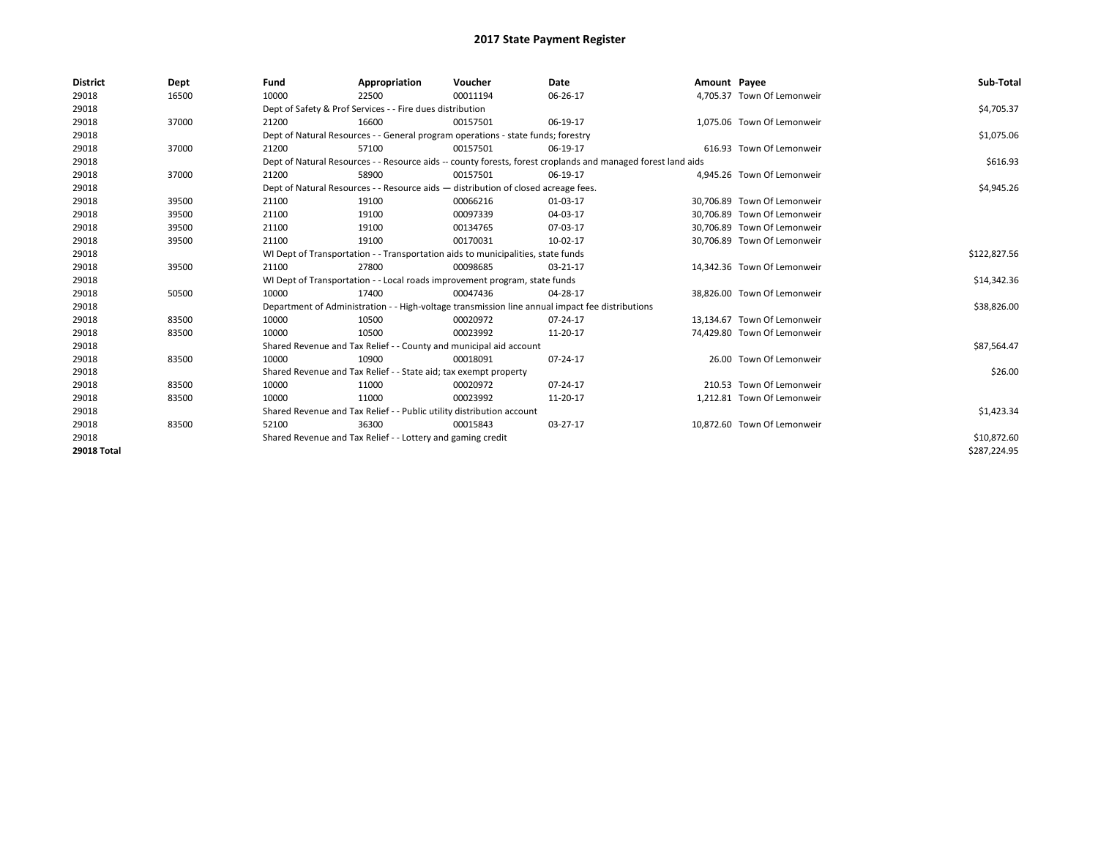| <b>District</b>    | Dept  | Fund  | Appropriation                                                                      | Voucher  | <b>Date</b>                                                                                                  | Amount Payee |                             | Sub-Total    |  |  |  |
|--------------------|-------|-------|------------------------------------------------------------------------------------|----------|--------------------------------------------------------------------------------------------------------------|--------------|-----------------------------|--------------|--|--|--|
| 29018              | 16500 | 10000 | 22500                                                                              | 00011194 | 06-26-17                                                                                                     |              | 4,705.37 Town Of Lemonweir  |              |  |  |  |
| 29018              |       |       | Dept of Safety & Prof Services - - Fire dues distribution                          |          |                                                                                                              |              |                             | \$4,705.37   |  |  |  |
| 29018              | 37000 | 21200 | 16600                                                                              | 00157501 | 06-19-17                                                                                                     |              | 1,075.06 Town Of Lemonweir  |              |  |  |  |
| 29018              |       |       | Dept of Natural Resources - - General program operations - state funds; forestry   |          |                                                                                                              |              |                             | \$1,075.06   |  |  |  |
| 29018              | 37000 | 21200 | 57100                                                                              | 00157501 | 06-19-17                                                                                                     |              | 616.93 Town Of Lemonweir    |              |  |  |  |
| 29018              |       |       |                                                                                    |          | Dept of Natural Resources - - Resource aids -- county forests, forest croplands and managed forest land aids |              |                             | \$616.93     |  |  |  |
| 29018              | 37000 | 21200 | 58900                                                                              | 00157501 | 06-19-17                                                                                                     |              | 4,945.26 Town Of Lemonweir  |              |  |  |  |
| 29018              |       |       | Dept of Natural Resources - - Resource aids - distribution of closed acreage fees. |          |                                                                                                              |              |                             | \$4,945.26   |  |  |  |
| 29018              | 39500 | 21100 | 19100                                                                              | 00066216 | 01-03-17                                                                                                     |              | 30,706.89 Town Of Lemonweir |              |  |  |  |
| 29018              | 39500 | 21100 | 19100                                                                              | 00097339 | 04-03-17                                                                                                     |              | 30.706.89 Town Of Lemonweir |              |  |  |  |
| 29018              | 39500 | 21100 | 19100                                                                              | 00134765 | 07-03-17                                                                                                     |              | 30.706.89 Town Of Lemonweir |              |  |  |  |
| 29018              | 39500 | 21100 | 19100                                                                              | 00170031 | 10-02-17                                                                                                     |              | 30,706.89 Town Of Lemonweir |              |  |  |  |
| 29018              |       |       | WI Dept of Transportation - - Transportation aids to municipalities, state funds   |          |                                                                                                              |              |                             |              |  |  |  |
| 29018              | 39500 | 21100 | 27800                                                                              | 00098685 | 03-21-17                                                                                                     |              | 14.342.36 Town Of Lemonweir |              |  |  |  |
| 29018              |       |       | WI Dept of Transportation - - Local roads improvement program, state funds         |          |                                                                                                              |              |                             | \$14,342.36  |  |  |  |
| 29018              | 50500 | 10000 | 17400                                                                              | 00047436 | 04-28-17                                                                                                     |              | 38,826.00 Town Of Lemonweir |              |  |  |  |
| 29018              |       |       |                                                                                    |          | Department of Administration - - High-voltage transmission line annual impact fee distributions              |              |                             | \$38,826.00  |  |  |  |
| 29018              | 83500 | 10000 | 10500                                                                              | 00020972 | 07-24-17                                                                                                     |              | 13.134.67 Town Of Lemonweir |              |  |  |  |
| 29018              | 83500 | 10000 | 10500                                                                              | 00023992 | 11-20-17                                                                                                     |              | 74,429.80 Town Of Lemonweir |              |  |  |  |
| 29018              |       |       | Shared Revenue and Tax Relief - - County and municipal aid account                 |          |                                                                                                              |              |                             | \$87,564.47  |  |  |  |
| 29018              | 83500 | 10000 | 10900                                                                              | 00018091 | 07-24-17                                                                                                     |              | 26.00 Town Of Lemonweir     |              |  |  |  |
| 29018              |       |       | Shared Revenue and Tax Relief - - State aid; tax exempt property                   |          |                                                                                                              |              |                             | \$26.00      |  |  |  |
| 29018              | 83500 | 10000 | 11000                                                                              | 00020972 | 07-24-17                                                                                                     |              | 210.53 Town Of Lemonweir    |              |  |  |  |
| 29018              | 83500 | 10000 | 11000                                                                              | 00023992 | 11-20-17                                                                                                     |              | 1,212.81 Town Of Lemonweir  |              |  |  |  |
| 29018              |       |       | Shared Revenue and Tax Relief - - Public utility distribution account              |          |                                                                                                              |              |                             | \$1,423.34   |  |  |  |
| 29018              | 83500 | 52100 | 36300                                                                              | 00015843 | 03-27-17                                                                                                     |              | 10,872.60 Town Of Lemonweir |              |  |  |  |
| 29018              |       |       | Shared Revenue and Tax Relief - - Lottery and gaming credit                        |          |                                                                                                              |              |                             | \$10,872.60  |  |  |  |
| <b>29018 Total</b> |       |       |                                                                                    |          |                                                                                                              |              |                             | \$287,224.95 |  |  |  |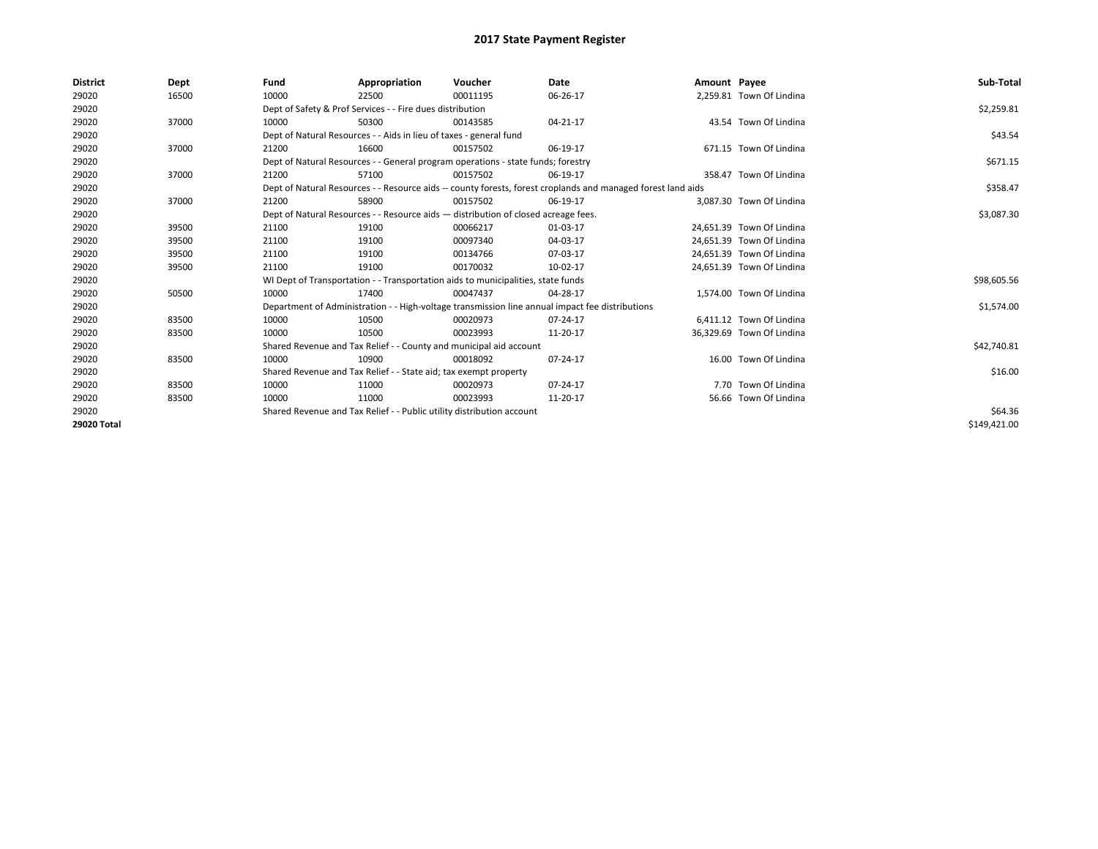| <b>District</b> | Dept  | Fund  | Appropriation                                                                                                | Voucher  | Date           | Amount Payee |                           | Sub-Total    |
|-----------------|-------|-------|--------------------------------------------------------------------------------------------------------------|----------|----------------|--------------|---------------------------|--------------|
| 29020           | 16500 | 10000 | 22500                                                                                                        | 00011195 | 06-26-17       |              | 2,259.81 Town Of Lindina  |              |
| 29020           |       |       | Dept of Safety & Prof Services - - Fire dues distribution                                                    |          |                |              |                           | \$2,259.81   |
| 29020           | 37000 | 10000 | 50300                                                                                                        | 00143585 | $04 - 21 - 17$ |              | 43.54 Town Of Lindina     |              |
| 29020           |       |       | Dept of Natural Resources - - Aids in lieu of taxes - general fund                                           |          |                |              |                           | \$43.54      |
| 29020           | 37000 | 21200 | 16600                                                                                                        | 00157502 | 06-19-17       |              | 671.15 Town Of Lindina    |              |
| 29020           |       |       | Dept of Natural Resources - - General program operations - state funds; forestry                             |          |                |              |                           | \$671.15     |
| 29020           | 37000 | 21200 | 57100                                                                                                        | 00157502 | 06-19-17       |              | 358.47 Town Of Lindina    |              |
| 29020           |       |       | Dept of Natural Resources - - Resource aids -- county forests, forest croplands and managed forest land aids |          |                |              |                           | \$358.47     |
| 29020           | 37000 | 21200 | 58900                                                                                                        | 00157502 | 06-19-17       |              | 3.087.30 Town Of Lindina  |              |
| 29020           |       |       | Dept of Natural Resources - - Resource aids - distribution of closed acreage fees.                           |          | \$3,087.30     |              |                           |              |
| 29020           | 39500 | 21100 | 19100                                                                                                        | 00066217 | 01-03-17       |              | 24.651.39 Town Of Lindina |              |
| 29020           | 39500 | 21100 | 19100                                                                                                        | 00097340 | 04-03-17       |              | 24,651.39 Town Of Lindina |              |
| 29020           | 39500 | 21100 | 19100                                                                                                        | 00134766 | 07-03-17       |              | 24,651.39 Town Of Lindina |              |
| 29020           | 39500 | 21100 | 19100                                                                                                        | 00170032 | 10-02-17       |              | 24,651.39 Town Of Lindina |              |
| 29020           |       |       | WI Dept of Transportation - - Transportation aids to municipalities, state funds                             |          |                |              |                           | \$98,605.56  |
| 29020           | 50500 | 10000 | 17400                                                                                                        | 00047437 | 04-28-17       |              | 1,574.00 Town Of Lindina  |              |
| 29020           |       |       | Department of Administration - - High-voltage transmission line annual impact fee distributions              |          |                |              |                           | \$1,574.00   |
| 29020           | 83500 | 10000 | 10500                                                                                                        | 00020973 | 07-24-17       |              | 6,411.12 Town Of Lindina  |              |
| 29020           | 83500 | 10000 | 10500                                                                                                        | 00023993 | 11-20-17       |              | 36.329.69 Town Of Lindina |              |
| 29020           |       |       | Shared Revenue and Tax Relief - - County and municipal aid account                                           |          |                |              |                           | \$42,740.81  |
| 29020           | 83500 | 10000 | 10900                                                                                                        | 00018092 | 07-24-17       |              | 16.00 Town Of Lindina     |              |
| 29020           |       |       | Shared Revenue and Tax Relief - - State aid; tax exempt property                                             |          |                |              |                           | \$16.00      |
| 29020           | 83500 | 10000 | 11000                                                                                                        | 00020973 | 07-24-17       |              | 7.70 Town Of Lindina      |              |
| 29020           | 83500 | 10000 | 11000                                                                                                        | 00023993 | 11-20-17       |              | 56.66 Town Of Lindina     |              |
| 29020           |       |       | Shared Revenue and Tax Relief - - Public utility distribution account                                        |          |                |              |                           | \$64.36      |
| 29020 Total     |       |       |                                                                                                              |          |                |              |                           | \$149,421.00 |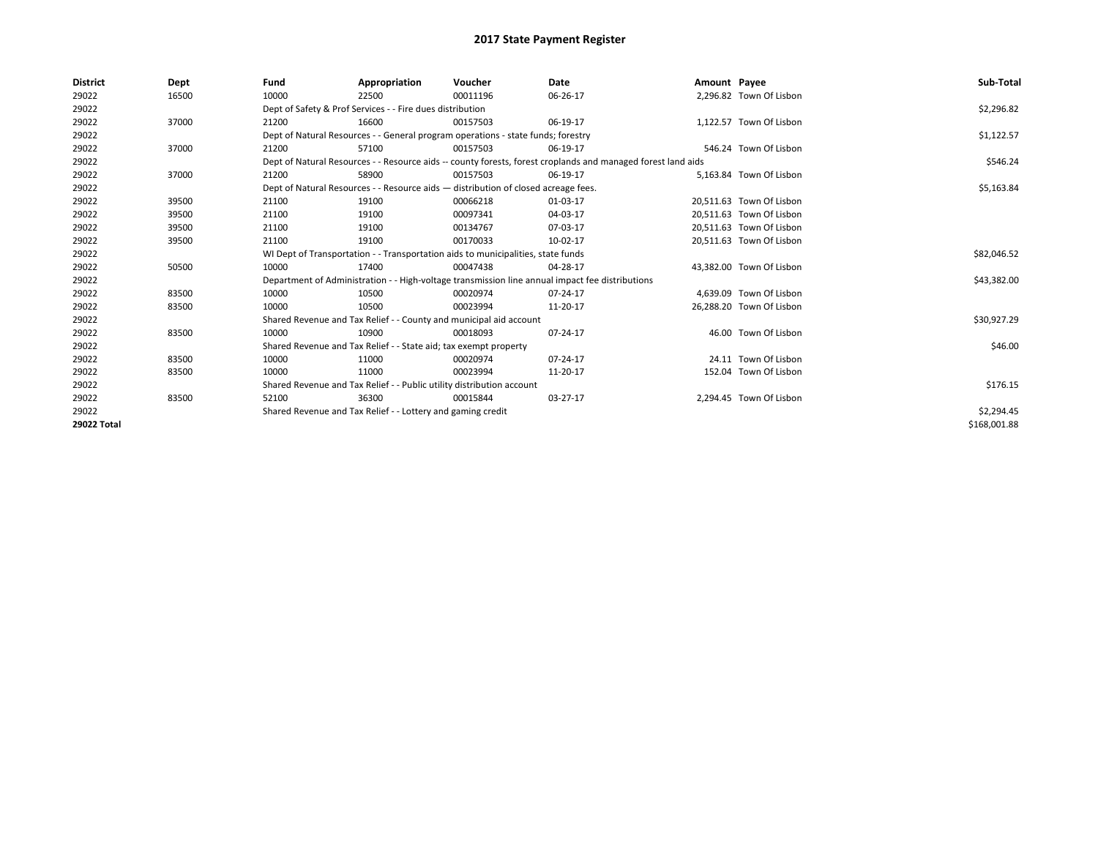| <b>District</b>    | Dept  | Fund                                                                             | Appropriation                                                                      | Voucher     | Date                                                                                                         | Amount Payee |                          | Sub-Total    |
|--------------------|-------|----------------------------------------------------------------------------------|------------------------------------------------------------------------------------|-------------|--------------------------------------------------------------------------------------------------------------|--------------|--------------------------|--------------|
| 29022              | 16500 | 10000                                                                            | 22500                                                                              | 00011196    | 06-26-17                                                                                                     |              | 2,296.82 Town Of Lisbon  |              |
| 29022              |       |                                                                                  | Dept of Safety & Prof Services - - Fire dues distribution                          |             |                                                                                                              |              |                          | \$2,296.82   |
| 29022              | 37000 | 21200                                                                            | 16600                                                                              | 00157503    | 06-19-17                                                                                                     |              | 1.122.57 Town Of Lisbon  |              |
| 29022              |       |                                                                                  | Dept of Natural Resources - - General program operations - state funds; forestry   |             |                                                                                                              |              |                          | \$1,122.57   |
| 29022              | 37000 | 21200                                                                            | 57100                                                                              | 00157503    | 06-19-17                                                                                                     |              | 546.24 Town Of Lisbon    |              |
| 29022              |       |                                                                                  |                                                                                    |             | Dept of Natural Resources - - Resource aids -- county forests, forest croplands and managed forest land aids |              |                          | \$546.24     |
| 29022              | 37000 | 21200                                                                            | 58900                                                                              | 00157503    | 06-19-17                                                                                                     |              | 5,163.84 Town Of Lisbon  |              |
| 29022              |       |                                                                                  | Dept of Natural Resources - - Resource aids - distribution of closed acreage fees. |             |                                                                                                              |              |                          | \$5,163.84   |
| 29022              | 39500 | 21100                                                                            | 19100                                                                              | 00066218    | 01-03-17                                                                                                     |              | 20,511.63 Town Of Lisbon |              |
| 29022              | 39500 | 21100                                                                            | 19100                                                                              | 00097341    | 04-03-17                                                                                                     |              | 20,511.63 Town Of Lisbon |              |
| 29022              | 39500 | 21100                                                                            | 19100                                                                              | 00134767    | 07-03-17                                                                                                     |              | 20,511.63 Town Of Lisbon |              |
| 29022              | 39500 | 21100                                                                            | 19100                                                                              | 00170033    | 10-02-17                                                                                                     |              | 20,511.63 Town Of Lisbon |              |
| 29022              |       | WI Dept of Transportation - - Transportation aids to municipalities, state funds |                                                                                    | \$82,046.52 |                                                                                                              |              |                          |              |
| 29022              | 50500 | 10000                                                                            | 17400                                                                              | 00047438    | 04-28-17                                                                                                     |              | 43,382.00 Town Of Lisbon |              |
| 29022              |       |                                                                                  |                                                                                    |             | Department of Administration - - High-voltage transmission line annual impact fee distributions              |              |                          | \$43,382.00  |
| 29022              | 83500 | 10000                                                                            | 10500                                                                              | 00020974    | $07 - 24 - 17$                                                                                               |              | 4,639.09 Town Of Lisbon  |              |
| 29022              | 83500 | 10000                                                                            | 10500                                                                              | 00023994    | 11-20-17                                                                                                     |              | 26,288.20 Town Of Lisbon |              |
| 29022              |       |                                                                                  | Shared Revenue and Tax Relief - - County and municipal aid account                 |             |                                                                                                              |              |                          | \$30,927.29  |
| 29022              | 83500 | 10000                                                                            | 10900                                                                              | 00018093    | 07-24-17                                                                                                     |              | 46.00 Town Of Lisbon     |              |
| 29022              |       |                                                                                  | Shared Revenue and Tax Relief - - State aid; tax exempt property                   |             |                                                                                                              |              |                          | \$46.00      |
| 29022              | 83500 | 10000                                                                            | 11000                                                                              | 00020974    | 07-24-17                                                                                                     |              | 24.11 Town Of Lisbon     |              |
| 29022              | 83500 | 10000                                                                            | 11000                                                                              | 00023994    | 11-20-17                                                                                                     |              | 152.04 Town Of Lisbon    |              |
| 29022              |       |                                                                                  | Shared Revenue and Tax Relief - - Public utility distribution account              |             |                                                                                                              |              |                          | \$176.15     |
| 29022              | 83500 | 52100                                                                            | 36300                                                                              | 00015844    | 03-27-17                                                                                                     |              | 2,294.45 Town Of Lisbon  |              |
| 29022              |       |                                                                                  | Shared Revenue and Tax Relief - - Lottery and gaming credit                        |             |                                                                                                              |              |                          | \$2,294.45   |
| <b>29022 Total</b> |       |                                                                                  |                                                                                    |             |                                                                                                              |              |                          | \$168,001.88 |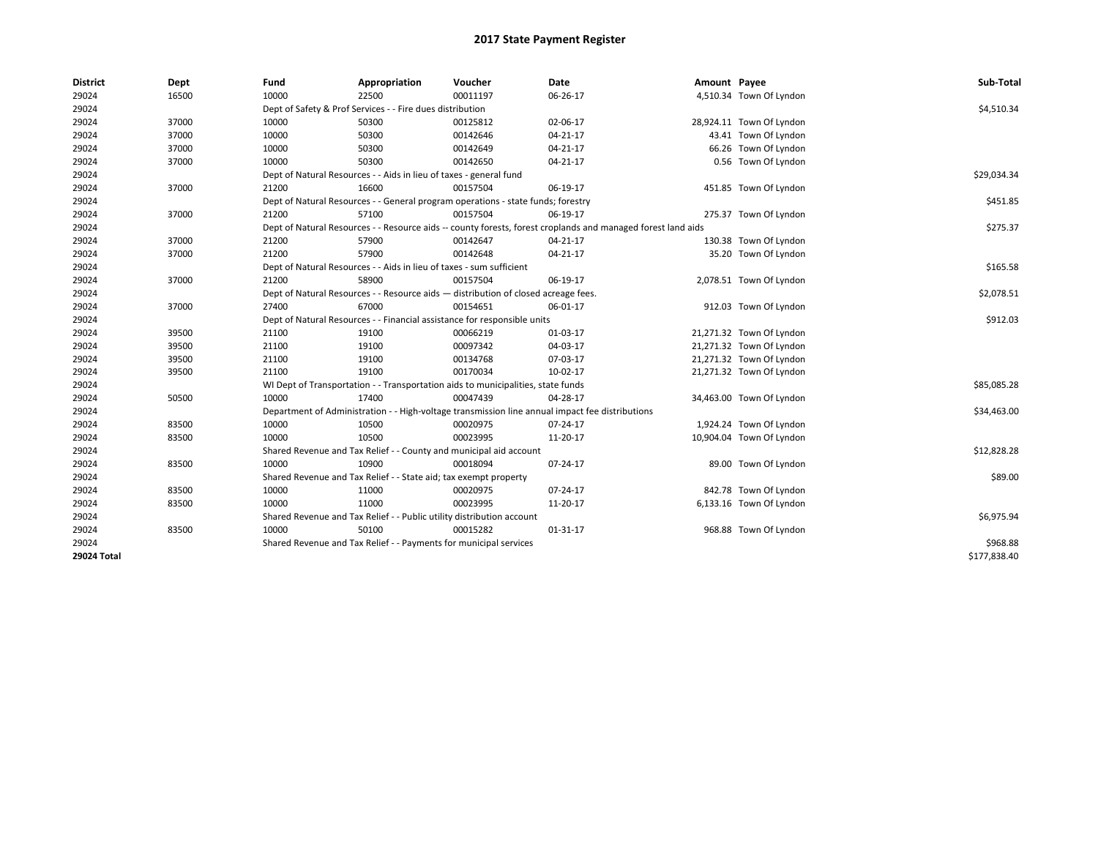| <b>District</b> | Dept  | Fund  | Appropriation                                                                                                | Voucher  | Date           | Amount Payee |                          | Sub-Total    |
|-----------------|-------|-------|--------------------------------------------------------------------------------------------------------------|----------|----------------|--------------|--------------------------|--------------|
| 29024           | 16500 | 10000 | 22500                                                                                                        | 00011197 | 06-26-17       |              | 4,510.34 Town Of Lyndon  |              |
| 29024           |       |       | Dept of Safety & Prof Services - - Fire dues distribution                                                    |          |                |              |                          | \$4,510.34   |
| 29024           | 37000 | 10000 | 50300                                                                                                        | 00125812 | 02-06-17       |              | 28,924.11 Town Of Lyndon |              |
| 29024           | 37000 | 10000 | 50300                                                                                                        | 00142646 | 04-21-17       |              | 43.41 Town Of Lyndon     |              |
| 29024           | 37000 | 10000 | 50300                                                                                                        | 00142649 | 04-21-17       |              | 66.26 Town Of Lyndon     |              |
| 29024           | 37000 | 10000 | 50300                                                                                                        | 00142650 | 04-21-17       |              | 0.56 Town Of Lyndon      |              |
| 29024           |       |       | Dept of Natural Resources - - Aids in lieu of taxes - general fund                                           |          |                |              |                          | \$29,034.34  |
| 29024           | 37000 | 21200 | 16600                                                                                                        | 00157504 | 06-19-17       |              | 451.85 Town Of Lyndon    |              |
| 29024           |       |       | Dept of Natural Resources - - General program operations - state funds; forestry                             |          |                |              |                          | \$451.85     |
| 29024           | 37000 | 21200 | 57100                                                                                                        | 00157504 | 06-19-17       |              | 275.37 Town Of Lyndon    |              |
| 29024           |       |       | Dept of Natural Resources - - Resource aids -- county forests, forest croplands and managed forest land aids |          |                |              |                          | \$275.37     |
| 29024           | 37000 | 21200 | 57900                                                                                                        | 00142647 | 04-21-17       |              | 130.38 Town Of Lyndon    |              |
| 29024           | 37000 | 21200 | 57900                                                                                                        | 00142648 | $04 - 21 - 17$ |              | 35.20 Town Of Lyndon     |              |
| 29024           |       |       | Dept of Natural Resources - - Aids in lieu of taxes - sum sufficient                                         |          |                |              |                          | \$165.58     |
| 29024           | 37000 | 21200 | 58900                                                                                                        | 00157504 | 06-19-17       |              | 2,078.51 Town Of Lyndon  |              |
| 29024           |       |       | Dept of Natural Resources - - Resource aids - distribution of closed acreage fees.                           |          |                |              |                          | \$2,078.51   |
| 29024           | 37000 | 27400 | 67000                                                                                                        | 00154651 | 06-01-17       |              | 912.03 Town Of Lyndon    |              |
| 29024           |       |       | Dept of Natural Resources - - Financial assistance for responsible units                                     |          |                |              |                          | \$912.03     |
| 29024           | 39500 | 21100 | 19100                                                                                                        | 00066219 | 01-03-17       |              | 21,271.32 Town Of Lyndon |              |
| 29024           | 39500 | 21100 | 19100                                                                                                        | 00097342 | 04-03-17       |              | 21,271.32 Town Of Lyndon |              |
| 29024           | 39500 | 21100 | 19100                                                                                                        | 00134768 | 07-03-17       |              | 21,271.32 Town Of Lyndon |              |
| 29024           | 39500 | 21100 | 19100                                                                                                        | 00170034 | 10-02-17       |              | 21,271.32 Town Of Lyndon |              |
| 29024           |       |       | WI Dept of Transportation - - Transportation aids to municipalities, state funds                             |          |                |              |                          | \$85,085.28  |
| 29024           | 50500 | 10000 | 17400                                                                                                        | 00047439 | 04-28-17       |              | 34,463.00 Town Of Lyndon |              |
| 29024           |       |       | Department of Administration - - High-voltage transmission line annual impact fee distributions              |          |                |              |                          | \$34,463.00  |
| 29024           | 83500 | 10000 | 10500                                                                                                        | 00020975 | 07-24-17       |              | 1,924.24 Town Of Lyndon  |              |
| 29024           | 83500 | 10000 | 10500                                                                                                        | 00023995 | 11-20-17       |              | 10,904.04 Town Of Lyndon |              |
| 29024           |       |       | Shared Revenue and Tax Relief - - County and municipal aid account                                           |          |                |              |                          | \$12,828.28  |
| 29024           | 83500 | 10000 | 10900                                                                                                        | 00018094 | 07-24-17       |              | 89.00 Town Of Lyndon     |              |
| 29024           |       |       | Shared Revenue and Tax Relief - - State aid; tax exempt property                                             |          |                |              |                          | \$89.00      |
| 29024           | 83500 | 10000 | 11000                                                                                                        | 00020975 | 07-24-17       |              | 842.78 Town Of Lyndon    |              |
| 29024           | 83500 | 10000 | 11000                                                                                                        | 00023995 | 11-20-17       |              | 6,133.16 Town Of Lyndon  |              |
| 29024           |       |       | Shared Revenue and Tax Relief - - Public utility distribution account                                        |          |                |              |                          | \$6,975.94   |
| 29024           | 83500 | 10000 | 50100                                                                                                        | 00015282 | 01-31-17       |              | 968.88 Town Of Lyndon    |              |
| 29024           |       |       | Shared Revenue and Tax Relief - - Payments for municipal services                                            |          |                |              |                          | \$968.88     |
| 29024 Total     |       |       |                                                                                                              |          |                |              |                          | \$177,838.40 |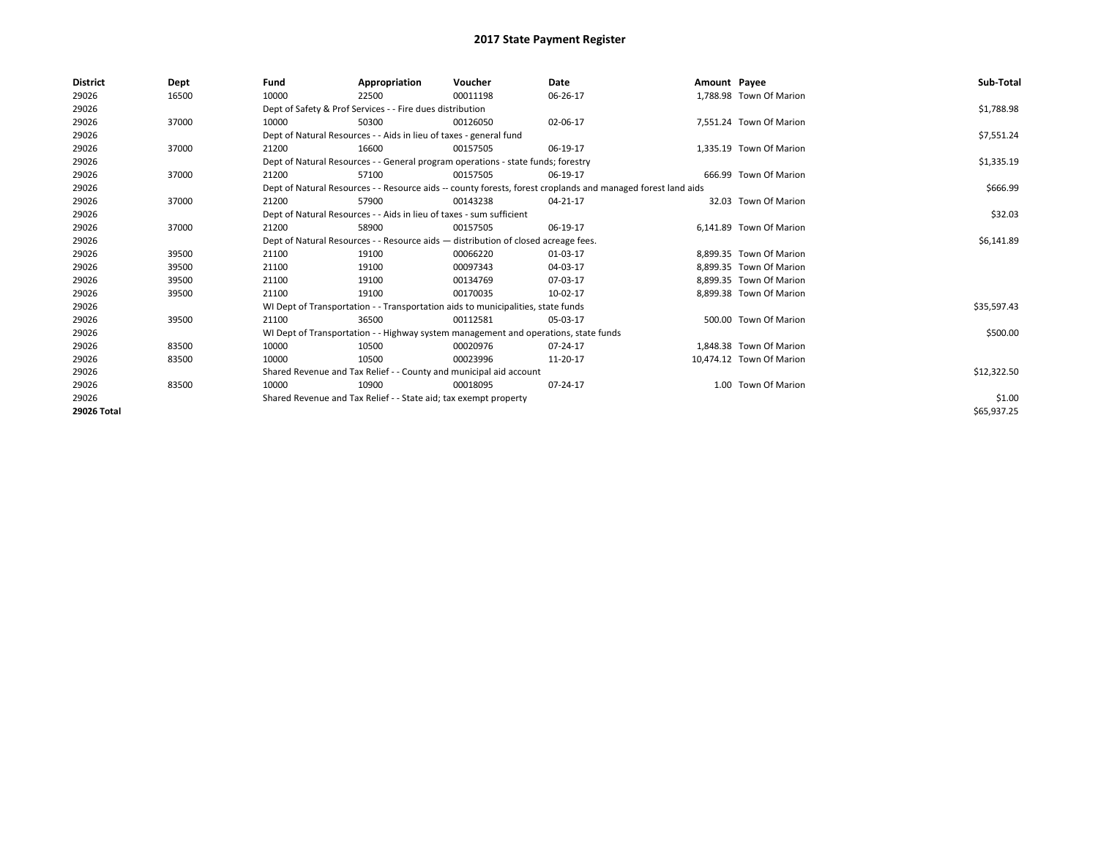| <b>District</b> | Dept  | Fund  | Appropriation                                                                       | Voucher  | Date                                                                                                         | Amount Payee |                          | Sub-Total   |
|-----------------|-------|-------|-------------------------------------------------------------------------------------|----------|--------------------------------------------------------------------------------------------------------------|--------------|--------------------------|-------------|
| 29026           | 16500 | 10000 | 22500                                                                               | 00011198 | 06-26-17                                                                                                     |              | 1.788.98 Town Of Marion  |             |
| 29026           |       |       | Dept of Safety & Prof Services - - Fire dues distribution                           |          |                                                                                                              |              |                          | \$1,788.98  |
| 29026           | 37000 | 10000 | 50300                                                                               | 00126050 | 02-06-17                                                                                                     |              | 7.551.24 Town Of Marion  |             |
| 29026           |       |       | Dept of Natural Resources - - Aids in lieu of taxes - general fund                  |          |                                                                                                              |              |                          | \$7,551.24  |
| 29026           | 37000 | 21200 | 16600                                                                               | 00157505 | 06-19-17                                                                                                     |              | 1.335.19 Town Of Marion  |             |
| 29026           |       |       | Dept of Natural Resources - - General program operations - state funds; forestry    |          |                                                                                                              |              |                          | \$1,335.19  |
| 29026           | 37000 | 21200 | 57100                                                                               | 00157505 | 06-19-17                                                                                                     |              | 666.99 Town Of Marion    |             |
| 29026           |       |       |                                                                                     |          | Dept of Natural Resources - - Resource aids -- county forests, forest croplands and managed forest land aids |              |                          | \$666.99    |
| 29026           | 37000 | 21200 | 57900                                                                               | 00143238 | 04-21-17                                                                                                     |              | 32.03 Town Of Marion     |             |
| 29026           |       |       | Dept of Natural Resources - - Aids in lieu of taxes - sum sufficient                |          |                                                                                                              |              |                          | \$32.03     |
| 29026           | 37000 | 21200 | 58900                                                                               | 00157505 | 06-19-17                                                                                                     |              | 6,141.89 Town Of Marion  |             |
| 29026           |       |       | Dept of Natural Resources - - Resource aids - distribution of closed acreage fees.  |          |                                                                                                              |              |                          | \$6,141.89  |
| 29026           | 39500 | 21100 | 19100                                                                               | 00066220 | 01-03-17                                                                                                     |              | 8.899.35 Town Of Marion  |             |
| 29026           | 39500 | 21100 | 19100                                                                               | 00097343 | 04-03-17                                                                                                     |              | 8,899.35 Town Of Marion  |             |
| 29026           | 39500 | 21100 | 19100                                                                               | 00134769 | 07-03-17                                                                                                     |              | 8,899.35 Town Of Marion  |             |
| 29026           | 39500 | 21100 | 19100                                                                               | 00170035 | 10-02-17                                                                                                     |              | 8.899.38 Town Of Marion  |             |
| 29026           |       |       | WI Dept of Transportation - - Transportation aids to municipalities, state funds    |          |                                                                                                              |              |                          | \$35,597.43 |
| 29026           | 39500 | 21100 | 36500                                                                               | 00112581 | 05-03-17                                                                                                     |              | 500.00 Town Of Marion    |             |
| 29026           |       |       | WI Dept of Transportation - - Highway system management and operations, state funds |          |                                                                                                              |              |                          | \$500.00    |
| 29026           | 83500 | 10000 | 10500                                                                               | 00020976 | 07-24-17                                                                                                     |              | 1.848.38 Town Of Marion  |             |
| 29026           | 83500 | 10000 | 10500                                                                               | 00023996 | 11-20-17                                                                                                     |              | 10.474.12 Town Of Marion |             |
| 29026           |       |       | Shared Revenue and Tax Relief - - County and municipal aid account                  |          |                                                                                                              |              |                          | \$12,322.50 |
| 29026           | 83500 | 10000 | 10900                                                                               | 00018095 | 07-24-17                                                                                                     |              | 1.00 Town Of Marion      |             |
| 29026           |       |       | Shared Revenue and Tax Relief - - State aid; tax exempt property                    |          |                                                                                                              |              |                          | \$1.00      |
| 29026 Total     |       |       |                                                                                     |          |                                                                                                              |              |                          | \$65,937.25 |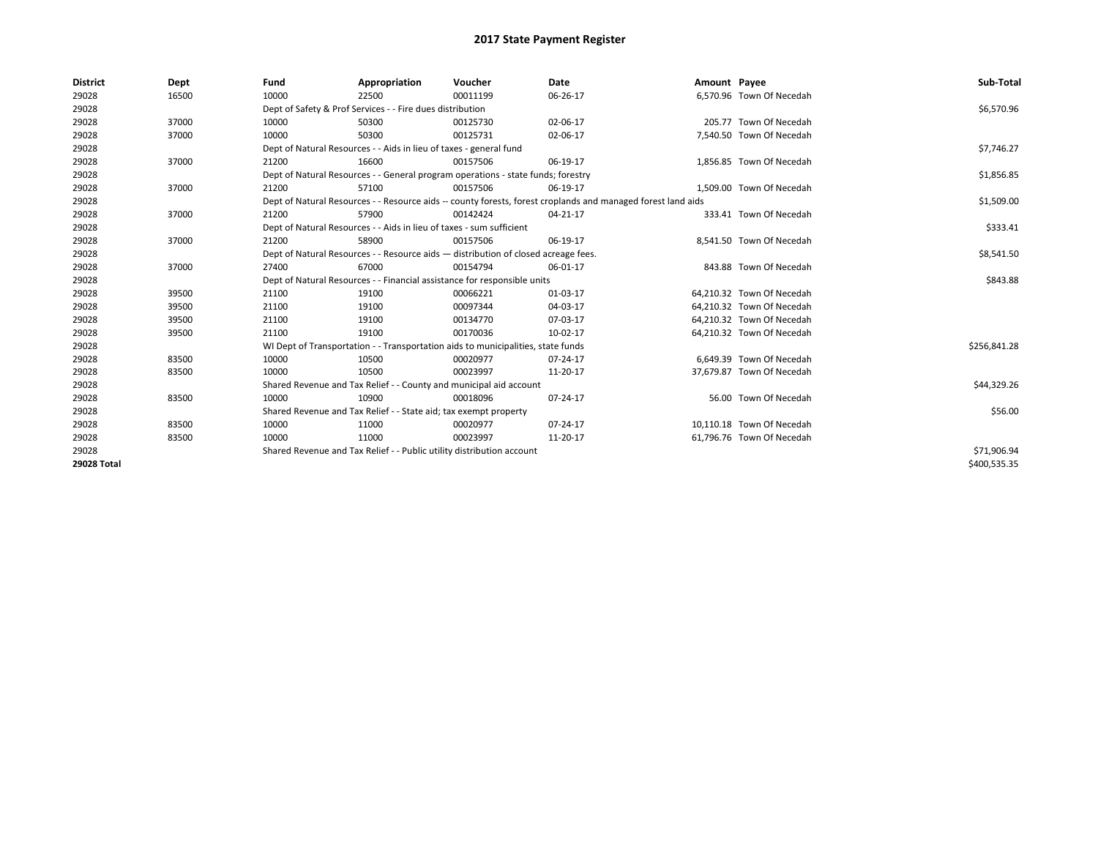| <b>District</b>    | Dept  | Fund                                                                               | Appropriation                                                                    | Voucher    | Date                                                                                                         | Amount Payee |                           | Sub-Total    |
|--------------------|-------|------------------------------------------------------------------------------------|----------------------------------------------------------------------------------|------------|--------------------------------------------------------------------------------------------------------------|--------------|---------------------------|--------------|
| 29028              | 16500 | 10000                                                                              | 22500                                                                            | 00011199   | 06-26-17                                                                                                     |              | 6,570.96 Town Of Necedah  |              |
| 29028              |       |                                                                                    | Dept of Safety & Prof Services - - Fire dues distribution                        |            |                                                                                                              |              |                           | \$6,570.96   |
| 29028              | 37000 | 10000                                                                              | 50300                                                                            | 00125730   | 02-06-17                                                                                                     |              | 205.77 Town Of Necedah    |              |
| 29028              | 37000 | 10000                                                                              | 50300                                                                            | 00125731   | 02-06-17                                                                                                     |              | 7,540.50 Town Of Necedah  |              |
| 29028              |       |                                                                                    | Dept of Natural Resources - - Aids in lieu of taxes - general fund               |            |                                                                                                              |              |                           | \$7,746.27   |
| 29028              | 37000 | 21200                                                                              | 16600                                                                            | 00157506   | 06-19-17                                                                                                     |              | 1,856.85 Town Of Necedah  |              |
| 29028              |       |                                                                                    | Dept of Natural Resources - - General program operations - state funds; forestry |            |                                                                                                              |              |                           | \$1,856.85   |
| 29028              | 37000 | 21200                                                                              | 57100                                                                            | 00157506   | 06-19-17                                                                                                     |              | 1.509.00 Town Of Necedah  |              |
| 29028              |       |                                                                                    |                                                                                  |            | Dept of Natural Resources - - Resource aids -- county forests, forest croplands and managed forest land aids |              |                           | \$1,509.00   |
| 29028              | 37000 | 21200                                                                              | 57900                                                                            | 00142424   | 04-21-17                                                                                                     |              | 333.41 Town Of Necedah    |              |
| 29028              |       |                                                                                    | Dept of Natural Resources - - Aids in lieu of taxes - sum sufficient             |            |                                                                                                              |              |                           | \$333.41     |
| 29028              | 37000 | 21200                                                                              | 58900                                                                            | 00157506   | 06-19-17                                                                                                     |              | 8,541.50 Town Of Necedah  |              |
| 29028              |       | Dept of Natural Resources - - Resource aids - distribution of closed acreage fees. |                                                                                  | \$8,541.50 |                                                                                                              |              |                           |              |
| 29028              | 37000 | 27400                                                                              | 67000                                                                            | 00154794   | 06-01-17                                                                                                     |              | 843.88 Town Of Necedah    |              |
| 29028              |       |                                                                                    | Dept of Natural Resources - - Financial assistance for responsible units         |            |                                                                                                              |              |                           | \$843.88     |
| 29028              | 39500 | 21100                                                                              | 19100                                                                            | 00066221   | 01-03-17                                                                                                     |              | 64.210.32 Town Of Necedah |              |
| 29028              | 39500 | 21100                                                                              | 19100                                                                            | 00097344   | 04-03-17                                                                                                     |              | 64,210.32 Town Of Necedah |              |
| 29028              | 39500 | 21100                                                                              | 19100                                                                            | 00134770   | 07-03-17                                                                                                     |              | 64,210.32 Town Of Necedah |              |
| 29028              | 39500 | 21100                                                                              | 19100                                                                            | 00170036   | 10-02-17                                                                                                     |              | 64,210.32 Town Of Necedah |              |
| 29028              |       |                                                                                    | WI Dept of Transportation - - Transportation aids to municipalities, state funds |            |                                                                                                              |              |                           | \$256,841.28 |
| 29028              | 83500 | 10000                                                                              | 10500                                                                            | 00020977   | 07-24-17                                                                                                     |              | 6.649.39 Town Of Necedah  |              |
| 29028              | 83500 | 10000                                                                              | 10500                                                                            | 00023997   | 11-20-17                                                                                                     |              | 37,679.87 Town Of Necedah |              |
| 29028              |       |                                                                                    | Shared Revenue and Tax Relief - - County and municipal aid account               |            |                                                                                                              |              |                           | \$44,329.26  |
| 29028              | 83500 | 10000                                                                              | 10900                                                                            | 00018096   | 07-24-17                                                                                                     |              | 56.00 Town Of Necedah     |              |
| 29028              |       |                                                                                    | Shared Revenue and Tax Relief - - State aid; tax exempt property                 |            |                                                                                                              |              |                           | \$56.00      |
| 29028              | 83500 | 10000                                                                              | 11000                                                                            | 00020977   | 07-24-17                                                                                                     |              | 10,110.18 Town Of Necedah |              |
| 29028              | 83500 | 10000                                                                              | 11000                                                                            | 00023997   | 11-20-17                                                                                                     |              | 61,796.76 Town Of Necedah |              |
| 29028              |       |                                                                                    | Shared Revenue and Tax Relief - - Public utility distribution account            |            |                                                                                                              |              |                           | \$71,906.94  |
| <b>29028 Total</b> |       |                                                                                    |                                                                                  |            |                                                                                                              |              |                           | \$400,535.35 |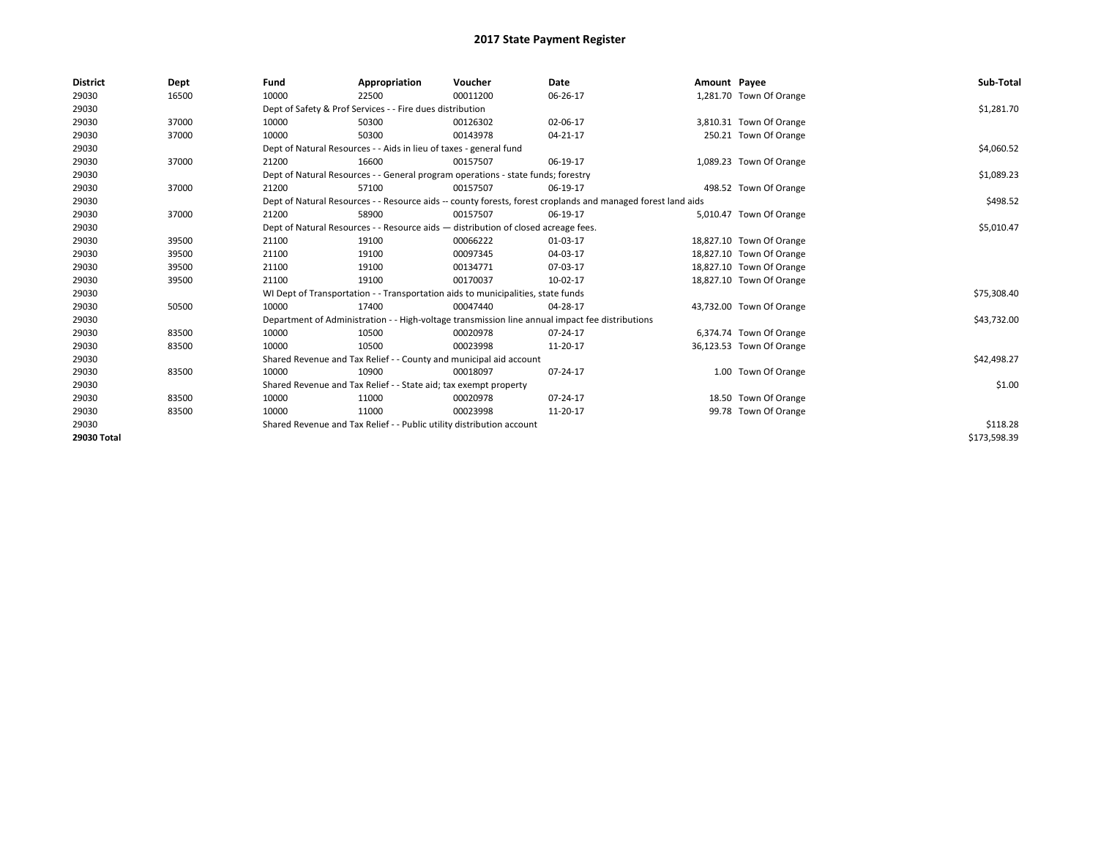| <b>District</b> | Dept  | Fund  | Appropriation                                                                      | Voucher  | <b>Date</b>                                                                                                  | Amount Payee |                          | Sub-Total    |
|-----------------|-------|-------|------------------------------------------------------------------------------------|----------|--------------------------------------------------------------------------------------------------------------|--------------|--------------------------|--------------|
| 29030           | 16500 | 10000 | 22500                                                                              | 00011200 | 06-26-17                                                                                                     |              | 1,281.70 Town Of Orange  |              |
| 29030           |       |       | Dept of Safety & Prof Services - - Fire dues distribution                          |          |                                                                                                              |              |                          | \$1,281.70   |
| 29030           | 37000 | 10000 | 50300                                                                              | 00126302 | 02-06-17                                                                                                     |              | 3,810.31 Town Of Orange  |              |
| 29030           | 37000 | 10000 | 50300                                                                              | 00143978 | 04-21-17                                                                                                     |              | 250.21 Town Of Orange    |              |
| 29030           |       |       | Dept of Natural Resources - - Aids in lieu of taxes - general fund                 |          |                                                                                                              |              |                          | \$4,060.52   |
| 29030           | 37000 | 21200 | 16600                                                                              | 00157507 | 06-19-17                                                                                                     |              | 1,089.23 Town Of Orange  |              |
| 29030           |       |       | Dept of Natural Resources - - General program operations - state funds; forestry   |          |                                                                                                              |              |                          | \$1,089.23   |
| 29030           | 37000 | 21200 | 57100                                                                              | 00157507 | 06-19-17                                                                                                     |              | 498.52 Town Of Orange    |              |
| 29030           |       |       |                                                                                    |          | Dept of Natural Resources - - Resource aids -- county forests, forest croplands and managed forest land aids |              |                          | \$498.52     |
| 29030           | 37000 | 21200 | 58900                                                                              | 00157507 | 06-19-17                                                                                                     |              | 5,010.47 Town Of Orange  |              |
| 29030           |       |       | Dept of Natural Resources - - Resource aids - distribution of closed acreage fees. |          |                                                                                                              |              |                          | \$5,010.47   |
| 29030           | 39500 | 21100 | 19100                                                                              | 00066222 | 01-03-17                                                                                                     |              | 18,827.10 Town Of Orange |              |
| 29030           | 39500 | 21100 | 19100                                                                              | 00097345 | 04-03-17                                                                                                     |              | 18,827.10 Town Of Orange |              |
| 29030           | 39500 | 21100 | 19100                                                                              | 00134771 | 07-03-17                                                                                                     |              | 18,827.10 Town Of Orange |              |
| 29030           | 39500 | 21100 | 19100                                                                              | 00170037 | 10-02-17                                                                                                     |              | 18,827.10 Town Of Orange |              |
| 29030           |       |       | WI Dept of Transportation - - Transportation aids to municipalities, state funds   |          |                                                                                                              |              |                          | \$75,308.40  |
| 29030           | 50500 | 10000 | 17400                                                                              | 00047440 | 04-28-17                                                                                                     |              | 43,732.00 Town Of Orange |              |
| 29030           |       |       |                                                                                    |          | Department of Administration - - High-voltage transmission line annual impact fee distributions              |              |                          | \$43,732.00  |
| 29030           | 83500 | 10000 | 10500                                                                              | 00020978 | 07-24-17                                                                                                     |              | 6,374.74 Town Of Orange  |              |
| 29030           | 83500 | 10000 | 10500                                                                              | 00023998 | 11-20-17                                                                                                     |              | 36,123.53 Town Of Orange |              |
| 29030           |       |       | Shared Revenue and Tax Relief - - County and municipal aid account                 |          |                                                                                                              |              |                          | \$42,498.27  |
| 29030           | 83500 | 10000 | 10900                                                                              | 00018097 | 07-24-17                                                                                                     |              | 1.00 Town Of Orange      |              |
| 29030           |       |       | Shared Revenue and Tax Relief - - State aid; tax exempt property                   |          |                                                                                                              |              |                          | \$1.00       |
| 29030           | 83500 | 10000 | 11000                                                                              | 00020978 | 07-24-17                                                                                                     |              | 18.50 Town Of Orange     |              |
| 29030           | 83500 | 10000 | 11000                                                                              | 00023998 | 11-20-17                                                                                                     |              | 99.78 Town Of Orange     |              |
| 29030           |       |       | Shared Revenue and Tax Relief - - Public utility distribution account              |          |                                                                                                              |              |                          | \$118.28     |
| 29030 Total     |       |       |                                                                                    |          |                                                                                                              |              |                          | \$173,598.39 |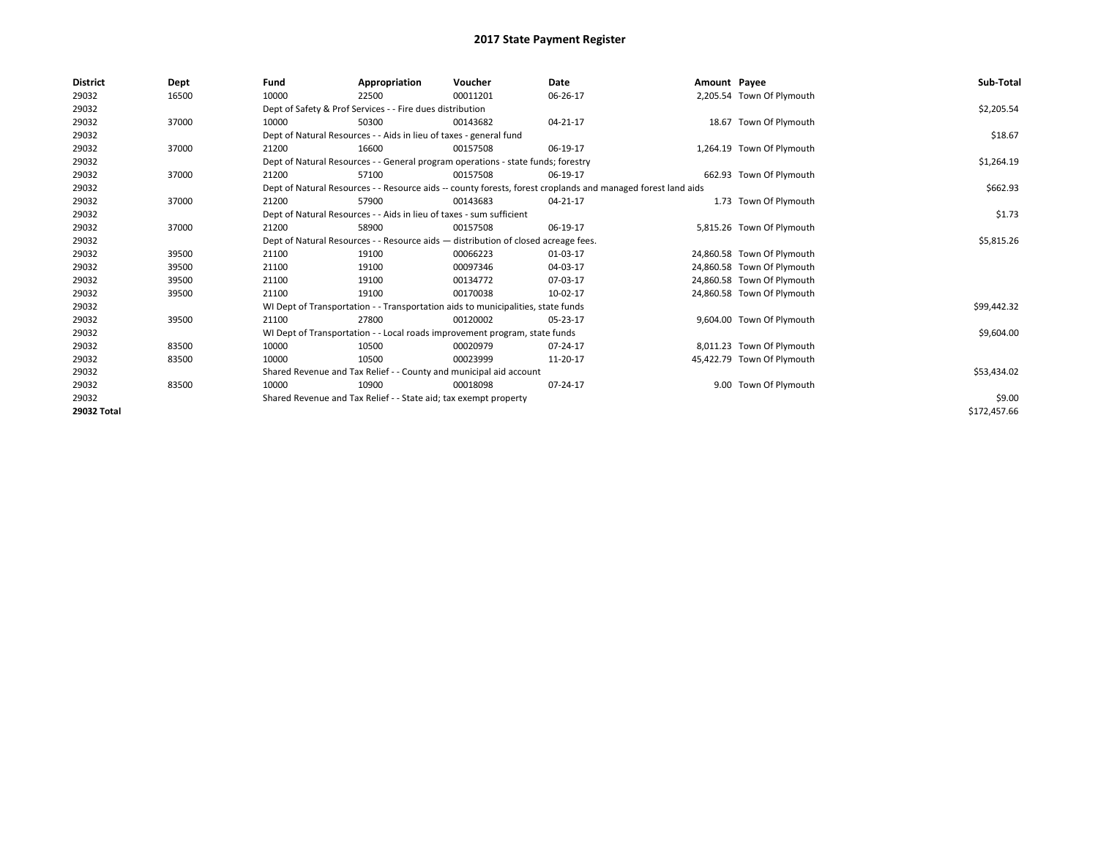| <b>District</b> | Dept  | Fund                                                             | Appropriation                                                                      | Voucher  | Date                                                                                                         | Amount Payee |                            | Sub-Total    |  |  |
|-----------------|-------|------------------------------------------------------------------|------------------------------------------------------------------------------------|----------|--------------------------------------------------------------------------------------------------------------|--------------|----------------------------|--------------|--|--|
| 29032           | 16500 | 10000                                                            | 22500                                                                              | 00011201 | 06-26-17                                                                                                     |              | 2,205.54 Town Of Plymouth  |              |  |  |
| 29032           |       |                                                                  | Dept of Safety & Prof Services - - Fire dues distribution                          |          |                                                                                                              |              |                            | \$2,205.54   |  |  |
| 29032           | 37000 | 10000                                                            | 50300                                                                              | 00143682 | $04 - 21 - 17$                                                                                               |              | 18.67 Town Of Plymouth     |              |  |  |
| 29032           |       |                                                                  | Dept of Natural Resources - - Aids in lieu of taxes - general fund                 |          |                                                                                                              |              |                            | \$18.67      |  |  |
| 29032           | 37000 | 21200                                                            | 16600                                                                              | 00157508 | 06-19-17                                                                                                     |              | 1,264.19 Town Of Plymouth  |              |  |  |
| 29032           |       |                                                                  | Dept of Natural Resources - - General program operations - state funds; forestry   |          |                                                                                                              |              |                            | \$1,264.19   |  |  |
| 29032           | 37000 | 21200                                                            | 57100                                                                              | 00157508 | 06-19-17                                                                                                     |              | 662.93 Town Of Plymouth    |              |  |  |
| 29032           |       |                                                                  |                                                                                    |          | Dept of Natural Resources - - Resource aids -- county forests, forest croplands and managed forest land aids |              |                            | \$662.93     |  |  |
| 29032           | 37000 | 21200                                                            | 57900                                                                              | 00143683 | 04-21-17                                                                                                     |              | 1.73 Town Of Plymouth      |              |  |  |
| 29032           |       |                                                                  | Dept of Natural Resources - - Aids in lieu of taxes - sum sufficient               |          |                                                                                                              |              |                            |              |  |  |
| 29032           | 37000 | 21200                                                            | 58900                                                                              | 00157508 | 06-19-17                                                                                                     |              | 5,815.26 Town Of Plymouth  |              |  |  |
| 29032           |       |                                                                  | Dept of Natural Resources - - Resource aids - distribution of closed acreage fees. |          | \$5,815.26                                                                                                   |              |                            |              |  |  |
| 29032           | 39500 | 21100                                                            | 19100                                                                              | 00066223 | 01-03-17                                                                                                     |              | 24,860.58 Town Of Plymouth |              |  |  |
| 29032           | 39500 | 21100                                                            | 19100                                                                              | 00097346 | 04-03-17                                                                                                     |              | 24,860.58 Town Of Plymouth |              |  |  |
| 29032           | 39500 | 21100                                                            | 19100                                                                              | 00134772 | 07-03-17                                                                                                     |              | 24,860.58 Town Of Plymouth |              |  |  |
| 29032           | 39500 | 21100                                                            | 19100                                                                              | 00170038 | 10-02-17                                                                                                     |              | 24,860.58 Town Of Plymouth |              |  |  |
| 29032           |       |                                                                  | WI Dept of Transportation - - Transportation aids to municipalities, state funds   |          |                                                                                                              |              |                            | \$99,442.32  |  |  |
| 29032           | 39500 | 21100                                                            | 27800                                                                              | 00120002 | 05-23-17                                                                                                     |              | 9,604.00 Town Of Plymouth  |              |  |  |
| 29032           |       |                                                                  | WI Dept of Transportation - - Local roads improvement program, state funds         |          |                                                                                                              |              |                            | \$9,604.00   |  |  |
| 29032           | 83500 | 10000                                                            | 10500                                                                              | 00020979 | $07 - 24 - 17$                                                                                               |              | 8,011.23 Town Of Plymouth  |              |  |  |
| 29032           | 83500 | 10000                                                            | 10500                                                                              | 00023999 | 11-20-17                                                                                                     |              | 45,422.79 Town Of Plymouth |              |  |  |
| 29032           |       |                                                                  | Shared Revenue and Tax Relief - - County and municipal aid account                 |          |                                                                                                              |              |                            | \$53,434.02  |  |  |
| 29032           | 83500 | 10000                                                            | 10900                                                                              | 00018098 | 07-24-17                                                                                                     |              | 9.00 Town Of Plymouth      |              |  |  |
| 29032           |       | Shared Revenue and Tax Relief - - State aid; tax exempt property |                                                                                    | \$9.00   |                                                                                                              |              |                            |              |  |  |
| 29032 Total     |       |                                                                  |                                                                                    |          |                                                                                                              |              |                            | \$172,457.66 |  |  |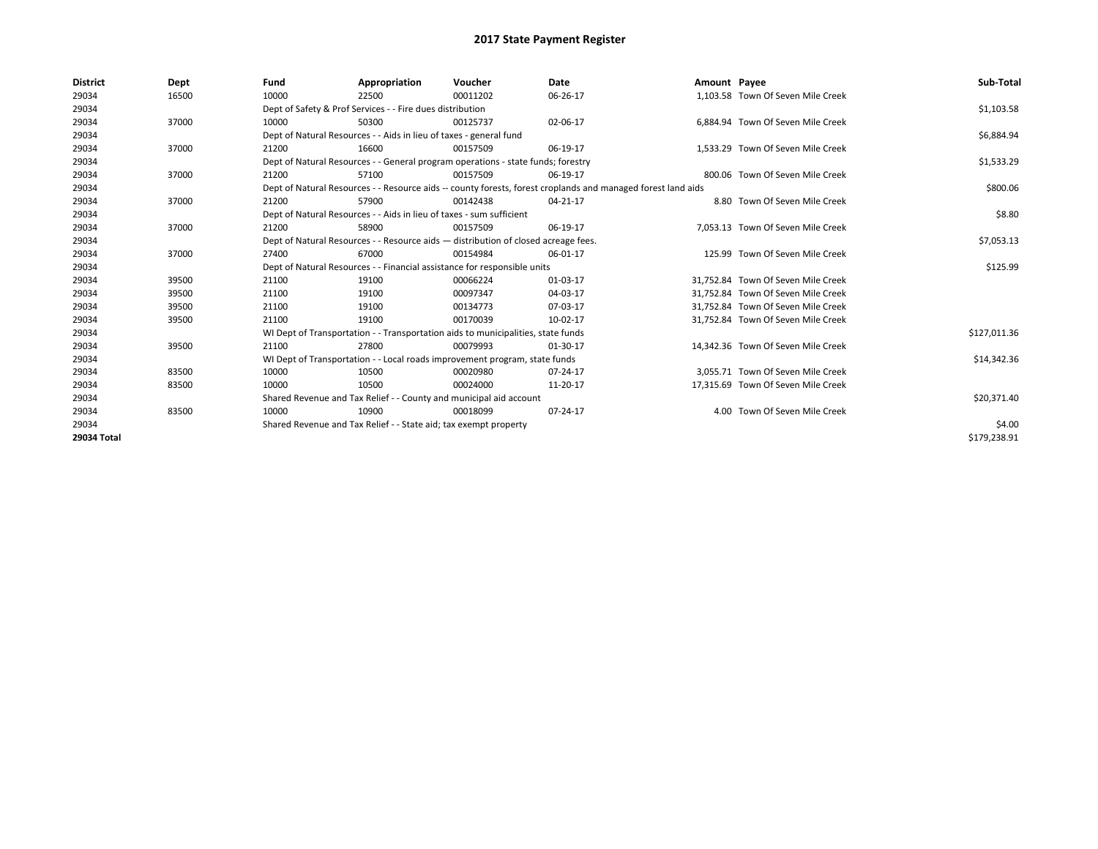| <b>District</b> | Dept  | Fund  | Appropriation                                                                      | Voucher  | Date                                                                                                         | Amount Payee |                                    | Sub-Total    |
|-----------------|-------|-------|------------------------------------------------------------------------------------|----------|--------------------------------------------------------------------------------------------------------------|--------------|------------------------------------|--------------|
| 29034           | 16500 | 10000 | 22500                                                                              | 00011202 | 06-26-17                                                                                                     |              | 1.103.58 Town Of Seven Mile Creek  |              |
| 29034           |       |       | Dept of Safety & Prof Services - - Fire dues distribution                          |          |                                                                                                              |              |                                    | \$1,103.58   |
| 29034           | 37000 | 10000 | 50300                                                                              | 00125737 | 02-06-17                                                                                                     |              | 6.884.94 Town Of Seven Mile Creek  |              |
| 29034           |       |       | Dept of Natural Resources - - Aids in lieu of taxes - general fund                 |          |                                                                                                              |              |                                    | \$6,884.94   |
| 29034           | 37000 | 21200 | 16600                                                                              | 00157509 | 06-19-17                                                                                                     |              | 1,533.29 Town Of Seven Mile Creek  |              |
| 29034           |       |       | Dept of Natural Resources - - General program operations - state funds; forestry   |          |                                                                                                              |              |                                    | \$1,533.29   |
| 29034           | 37000 | 21200 | 57100                                                                              | 00157509 | 06-19-17                                                                                                     |              | 800.06 Town Of Seven Mile Creek    |              |
| 29034           |       |       |                                                                                    |          | Dept of Natural Resources - - Resource aids -- county forests, forest croplands and managed forest land aids |              |                                    | \$800.06     |
| 29034           | 37000 | 21200 | 57900                                                                              | 00142438 | 04-21-17                                                                                                     |              | 8.80 Town Of Seven Mile Creek      |              |
| 29034           |       |       | Dept of Natural Resources - - Aids in lieu of taxes - sum sufficient               |          |                                                                                                              |              |                                    | \$8.80       |
| 29034           | 37000 | 21200 | 58900                                                                              | 00157509 | 06-19-17                                                                                                     |              | 7,053.13 Town Of Seven Mile Creek  |              |
| 29034           |       |       | Dept of Natural Resources - - Resource aids - distribution of closed acreage fees. |          |                                                                                                              |              |                                    | \$7,053.13   |
| 29034           | 37000 | 27400 | 67000                                                                              | 00154984 | 06-01-17                                                                                                     |              | 125.99 Town Of Seven Mile Creek    |              |
| 29034           |       |       | Dept of Natural Resources - - Financial assistance for responsible units           |          |                                                                                                              |              |                                    | \$125.99     |
| 29034           | 39500 | 21100 | 19100                                                                              | 00066224 | 01-03-17                                                                                                     |              | 31,752.84 Town Of Seven Mile Creek |              |
| 29034           | 39500 | 21100 | 19100                                                                              | 00097347 | 04-03-17                                                                                                     |              | 31.752.84 Town Of Seven Mile Creek |              |
| 29034           | 39500 | 21100 | 19100                                                                              | 00134773 | 07-03-17                                                                                                     |              | 31.752.84 Town Of Seven Mile Creek |              |
| 29034           | 39500 | 21100 | 19100                                                                              | 00170039 | 10-02-17                                                                                                     |              | 31,752.84 Town Of Seven Mile Creek |              |
| 29034           |       |       | WI Dept of Transportation - - Transportation aids to municipalities, state funds   |          |                                                                                                              |              |                                    | \$127,011.36 |
| 29034           | 39500 | 21100 | 27800                                                                              | 00079993 | 01-30-17                                                                                                     |              | 14,342.36 Town Of Seven Mile Creek |              |
| 29034           |       |       | WI Dept of Transportation - - Local roads improvement program, state funds         |          |                                                                                                              |              |                                    | \$14,342.36  |
| 29034           | 83500 | 10000 | 10500                                                                              | 00020980 | 07-24-17                                                                                                     |              | 3.055.71 Town Of Seven Mile Creek  |              |
| 29034           | 83500 | 10000 | 10500                                                                              | 00024000 | 11-20-17                                                                                                     |              | 17,315.69 Town Of Seven Mile Creek |              |
| 29034           |       |       | Shared Revenue and Tax Relief - - County and municipal aid account                 |          |                                                                                                              |              |                                    | \$20,371.40  |
| 29034           | 83500 | 10000 | 10900                                                                              | 00018099 | 07-24-17                                                                                                     |              | 4.00 Town Of Seven Mile Creek      |              |
| 29034           |       |       | Shared Revenue and Tax Relief - - State aid; tax exempt property                   |          |                                                                                                              |              |                                    | \$4.00       |
| 29034 Total     |       |       |                                                                                    |          |                                                                                                              |              |                                    | \$179,238.91 |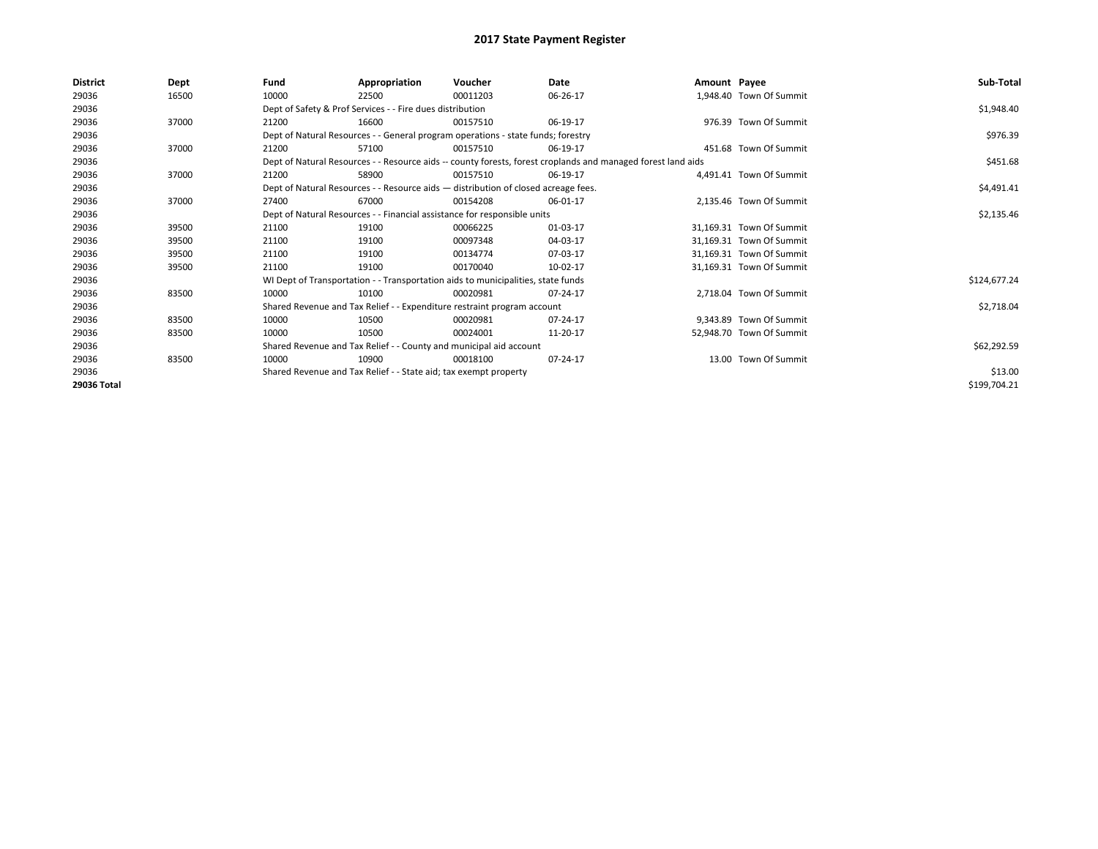| <b>District</b> | Dept  | Fund  | Appropriation                                                                      | Voucher  | Date                                                                                                         | Amount Payee |                          | Sub-Total    |
|-----------------|-------|-------|------------------------------------------------------------------------------------|----------|--------------------------------------------------------------------------------------------------------------|--------------|--------------------------|--------------|
| 29036           | 16500 | 10000 | 22500                                                                              | 00011203 | 06-26-17                                                                                                     |              | 1,948.40 Town Of Summit  |              |
| 29036           |       |       | Dept of Safety & Prof Services - - Fire dues distribution                          |          |                                                                                                              |              |                          | \$1,948.40   |
| 29036           | 37000 | 21200 | 16600                                                                              | 00157510 | 06-19-17                                                                                                     |              | 976.39 Town Of Summit    |              |
| 29036           |       |       | Dept of Natural Resources - - General program operations - state funds; forestry   |          |                                                                                                              |              |                          | \$976.39     |
| 29036           | 37000 | 21200 | 57100                                                                              | 00157510 | 06-19-17                                                                                                     |              | 451.68 Town Of Summit    |              |
| 29036           |       |       |                                                                                    |          | Dept of Natural Resources - - Resource aids -- county forests, forest croplands and managed forest land aids |              |                          | \$451.68     |
| 29036           | 37000 | 21200 | 58900                                                                              | 00157510 | 06-19-17                                                                                                     |              | 4,491.41 Town Of Summit  |              |
| 29036           |       |       | Dept of Natural Resources - - Resource aids - distribution of closed acreage fees. |          |                                                                                                              |              |                          | \$4,491.41   |
| 29036           | 37000 | 27400 | 67000                                                                              | 00154208 | 06-01-17                                                                                                     |              | 2,135.46 Town Of Summit  |              |
| 29036           |       |       | Dept of Natural Resources - - Financial assistance for responsible units           |          | \$2,135.46                                                                                                   |              |                          |              |
| 29036           | 39500 | 21100 | 19100                                                                              | 00066225 | 01-03-17                                                                                                     |              | 31.169.31 Town Of Summit |              |
| 29036           | 39500 | 21100 | 19100                                                                              | 00097348 | 04-03-17                                                                                                     |              | 31.169.31 Town Of Summit |              |
| 29036           | 39500 | 21100 | 19100                                                                              | 00134774 | 07-03-17                                                                                                     |              | 31,169.31 Town Of Summit |              |
| 29036           | 39500 | 21100 | 19100                                                                              | 00170040 | 10-02-17                                                                                                     |              | 31,169.31 Town Of Summit |              |
| 29036           |       |       | WI Dept of Transportation - - Transportation aids to municipalities, state funds   |          |                                                                                                              |              |                          | \$124,677.24 |
| 29036           | 83500 | 10000 | 10100                                                                              | 00020981 | 07-24-17                                                                                                     |              | 2,718.04 Town Of Summit  |              |
| 29036           |       |       | Shared Revenue and Tax Relief - - Expenditure restraint program account            |          |                                                                                                              |              |                          | \$2,718.04   |
| 29036           | 83500 | 10000 | 10500                                                                              | 00020981 | 07-24-17                                                                                                     |              | 9,343.89 Town Of Summit  |              |
| 29036           | 83500 | 10000 | 10500                                                                              | 00024001 | 11-20-17                                                                                                     |              | 52,948.70 Town Of Summit |              |
| 29036           |       |       | Shared Revenue and Tax Relief - - County and municipal aid account                 |          |                                                                                                              |              |                          | \$62,292.59  |
| 29036           | 83500 | 10000 | 10900                                                                              | 00018100 | 07-24-17                                                                                                     |              | 13.00 Town Of Summit     |              |
| 29036           |       |       | Shared Revenue and Tax Relief - - State aid; tax exempt property                   |          |                                                                                                              |              |                          | \$13.00      |
| 29036 Total     |       |       |                                                                                    |          |                                                                                                              |              |                          | \$199,704.21 |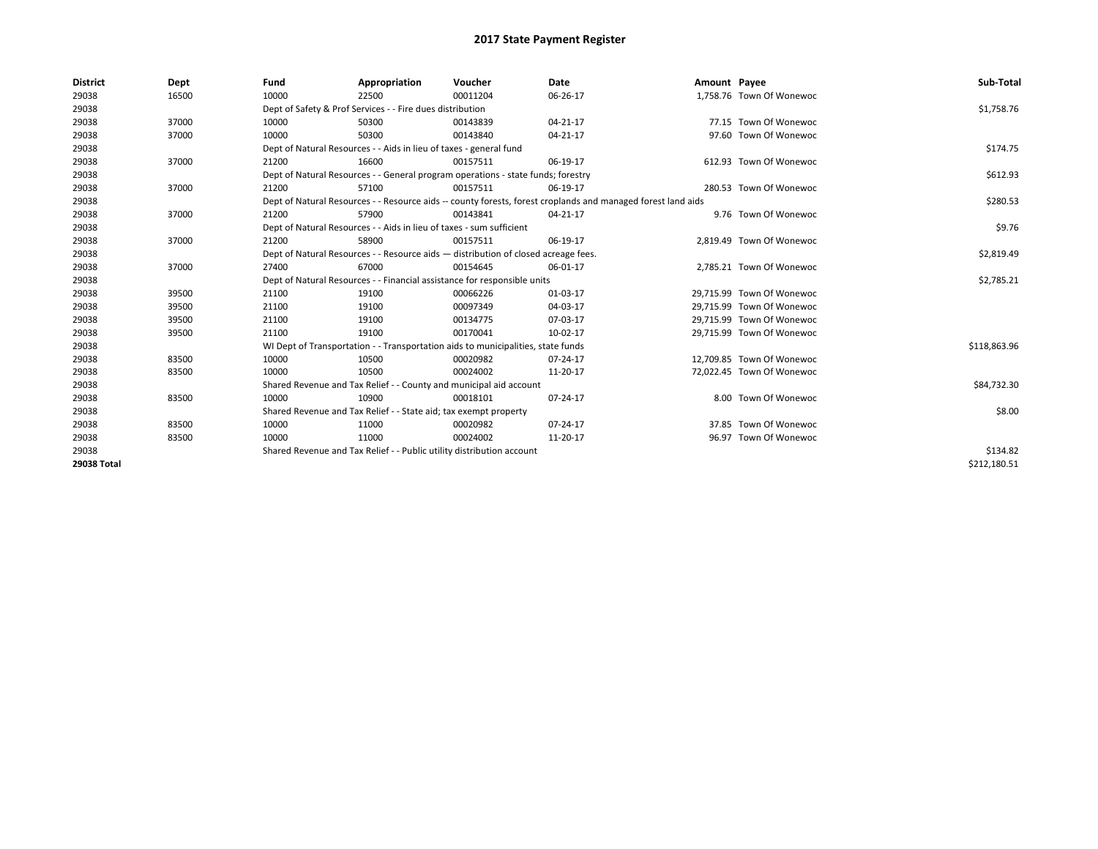| <b>District</b> | Dept  | Fund  | Appropriation                                                         | Voucher                                                                            | Date                                                                                                         | Amount Payee |                           | Sub-Total    |
|-----------------|-------|-------|-----------------------------------------------------------------------|------------------------------------------------------------------------------------|--------------------------------------------------------------------------------------------------------------|--------------|---------------------------|--------------|
| 29038           | 16500 | 10000 | 22500                                                                 | 00011204                                                                           | 06-26-17                                                                                                     |              | 1,758.76 Town Of Wonewoc  |              |
| 29038           |       |       | Dept of Safety & Prof Services - - Fire dues distribution             |                                                                                    |                                                                                                              |              |                           | \$1,758.76   |
| 29038           | 37000 | 10000 | 50300                                                                 | 00143839                                                                           | 04-21-17                                                                                                     |              | 77.15 Town Of Wonewoc     |              |
| 29038           | 37000 | 10000 | 50300                                                                 | 00143840                                                                           | 04-21-17                                                                                                     |              | 97.60 Town Of Wonewoc     |              |
| 29038           |       |       | Dept of Natural Resources - - Aids in lieu of taxes - general fund    |                                                                                    |                                                                                                              |              |                           | \$174.75     |
| 29038           | 37000 | 21200 | 16600                                                                 | 00157511                                                                           | 06-19-17                                                                                                     |              | 612.93 Town Of Wonewoc    |              |
| 29038           |       |       |                                                                       | Dept of Natural Resources - - General program operations - state funds; forestry   |                                                                                                              |              |                           | \$612.93     |
| 29038           | 37000 | 21200 | 57100                                                                 | 00157511                                                                           | 06-19-17                                                                                                     |              | 280.53 Town Of Wonewoc    |              |
| 29038           |       |       |                                                                       |                                                                                    | Dept of Natural Resources - - Resource aids -- county forests, forest croplands and managed forest land aids |              |                           | \$280.53     |
| 29038           | 37000 | 21200 | 57900                                                                 | 00143841                                                                           | 04-21-17                                                                                                     |              | 9.76 Town Of Wonewoc      |              |
| 29038           |       |       | Dept of Natural Resources - - Aids in lieu of taxes - sum sufficient  |                                                                                    |                                                                                                              |              |                           | \$9.76       |
| 29038           | 37000 | 21200 | 58900                                                                 | 00157511                                                                           | 06-19-17                                                                                                     |              | 2,819.49 Town Of Wonewoc  |              |
| 29038           |       |       |                                                                       | Dept of Natural Resources - - Resource aids - distribution of closed acreage fees. |                                                                                                              |              |                           | \$2,819.49   |
| 29038           | 37000 | 27400 | 67000                                                                 | 00154645                                                                           | 06-01-17                                                                                                     |              | 2,785.21 Town Of Wonewoc  |              |
| 29038           |       |       |                                                                       | Dept of Natural Resources - - Financial assistance for responsible units           |                                                                                                              |              |                           | \$2,785.21   |
| 29038           | 39500 | 21100 | 19100                                                                 | 00066226                                                                           | 01-03-17                                                                                                     |              | 29,715.99 Town Of Wonewoc |              |
| 29038           | 39500 | 21100 | 19100                                                                 | 00097349                                                                           | 04-03-17                                                                                                     |              | 29.715.99 Town Of Wonewoc |              |
| 29038           | 39500 | 21100 | 19100                                                                 | 00134775                                                                           | 07-03-17                                                                                                     |              | 29,715.99 Town Of Wonewoc |              |
| 29038           | 39500 | 21100 | 19100                                                                 | 00170041                                                                           | 10-02-17                                                                                                     |              | 29,715.99 Town Of Wonewoc |              |
| 29038           |       |       |                                                                       | WI Dept of Transportation - - Transportation aids to municipalities, state funds   |                                                                                                              |              |                           | \$118,863.96 |
| 29038           | 83500 | 10000 | 10500                                                                 | 00020982                                                                           | 07-24-17                                                                                                     |              | 12,709.85 Town Of Wonewoc |              |
| 29038           | 83500 | 10000 | 10500                                                                 | 00024002                                                                           | 11-20-17                                                                                                     |              | 72,022.45 Town Of Wonewoc |              |
| 29038           |       |       |                                                                       | Shared Revenue and Tax Relief - - County and municipal aid account                 |                                                                                                              |              |                           | \$84,732.30  |
| 29038           | 83500 | 10000 | 10900                                                                 | 00018101                                                                           | 07-24-17                                                                                                     |              | 8.00 Town Of Wonewoc      |              |
| 29038           |       |       | Shared Revenue and Tax Relief - - State aid; tax exempt property      |                                                                                    |                                                                                                              |              |                           | \$8.00       |
| 29038           | 83500 | 10000 | 11000                                                                 | 00020982                                                                           | 07-24-17                                                                                                     |              | 37.85 Town Of Wonewoc     |              |
| 29038           | 83500 | 10000 | 11000                                                                 | 00024002                                                                           | 11-20-17                                                                                                     |              | 96.97 Town Of Wonewoc     |              |
| 29038           |       |       | Shared Revenue and Tax Relief - - Public utility distribution account |                                                                                    |                                                                                                              |              |                           | \$134.82     |
| 29038 Total     |       |       |                                                                       |                                                                                    |                                                                                                              |              |                           | \$212,180.51 |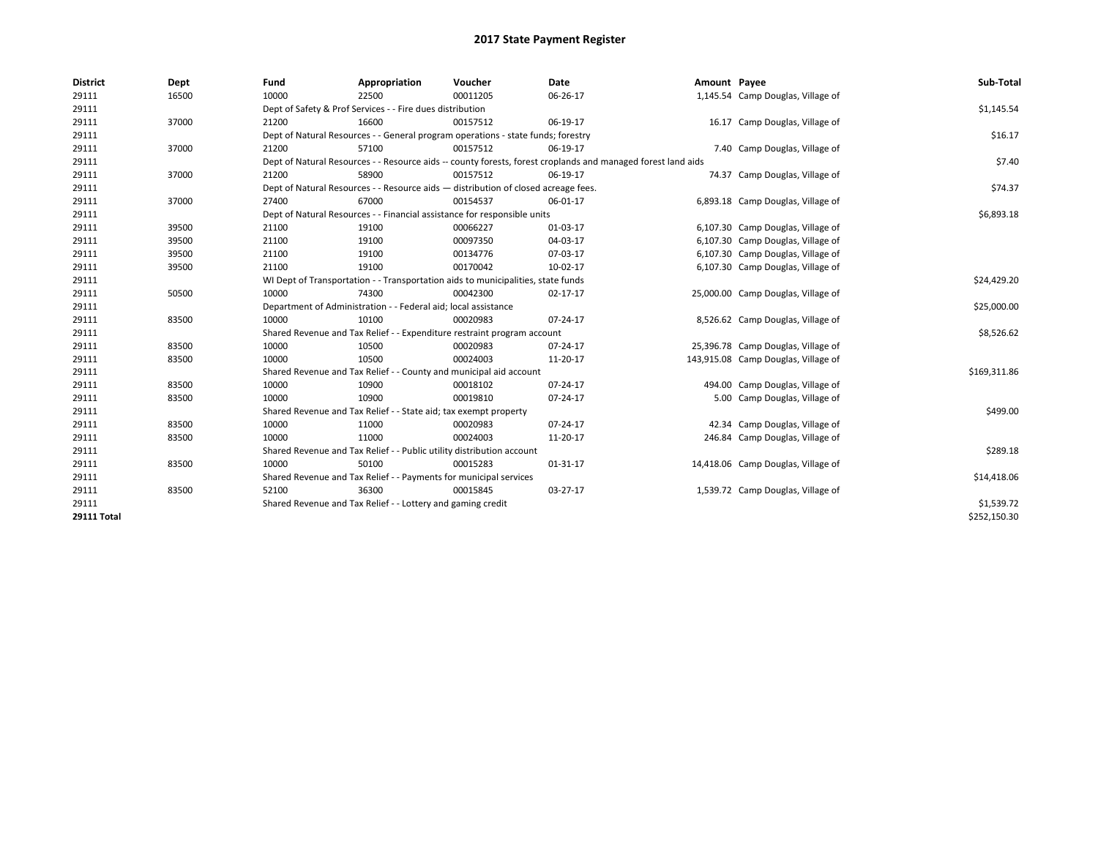| <b>District</b>    | Dept  | Fund  | Appropriation                                                                                                | Voucher  | <b>Date</b> | Amount Payee |                                     | Sub-Total    |
|--------------------|-------|-------|--------------------------------------------------------------------------------------------------------------|----------|-------------|--------------|-------------------------------------|--------------|
| 29111              | 16500 | 10000 | 22500                                                                                                        | 00011205 | 06-26-17    |              | 1,145.54 Camp Douglas, Village of   |              |
| 29111              |       |       | Dept of Safety & Prof Services - - Fire dues distribution                                                    |          |             |              |                                     | \$1,145.54   |
| 29111              | 37000 | 21200 | 16600                                                                                                        | 00157512 | 06-19-17    |              | 16.17 Camp Douglas, Village of      |              |
| 29111              |       |       | Dept of Natural Resources - - General program operations - state funds; forestry                             |          |             |              |                                     | \$16.17      |
| 29111              | 37000 | 21200 | 57100                                                                                                        | 00157512 | 06-19-17    |              | 7.40 Camp Douglas, Village of       |              |
| 29111              |       |       | Dept of Natural Resources - - Resource aids -- county forests, forest croplands and managed forest land aids |          |             |              |                                     | \$7.40       |
| 29111              | 37000 | 21200 | 58900                                                                                                        | 00157512 | 06-19-17    |              | 74.37 Camp Douglas, Village of      |              |
| 29111              |       |       | Dept of Natural Resources - - Resource aids - distribution of closed acreage fees.                           |          |             |              |                                     | \$74.37      |
| 29111              | 37000 | 27400 | 67000                                                                                                        | 00154537 | 06-01-17    |              | 6,893.18 Camp Douglas, Village of   |              |
| 29111              |       |       | Dept of Natural Resources - - Financial assistance for responsible units                                     |          |             |              |                                     | \$6,893.18   |
| 29111              | 39500 | 21100 | 19100                                                                                                        | 00066227 | 01-03-17    |              | 6,107.30 Camp Douglas, Village of   |              |
| 29111              | 39500 | 21100 | 19100                                                                                                        | 00097350 | 04-03-17    |              | 6,107.30 Camp Douglas, Village of   |              |
| 29111              | 39500 | 21100 | 19100                                                                                                        | 00134776 | 07-03-17    |              | 6,107.30 Camp Douglas, Village of   |              |
| 29111              | 39500 | 21100 | 19100                                                                                                        | 00170042 | 10-02-17    |              | 6,107.30 Camp Douglas, Village of   |              |
| 29111              |       |       | WI Dept of Transportation - - Transportation aids to municipalities, state funds                             |          |             |              |                                     | \$24,429.20  |
| 29111              | 50500 | 10000 | 74300                                                                                                        | 00042300 | 02-17-17    |              | 25,000.00 Camp Douglas, Village of  |              |
| 29111              |       |       | Department of Administration - - Federal aid; local assistance                                               |          |             |              |                                     | \$25,000.00  |
| 29111              | 83500 | 10000 | 10100                                                                                                        | 00020983 | 07-24-17    |              | 8,526.62 Camp Douglas, Village of   |              |
| 29111              |       |       | Shared Revenue and Tax Relief - - Expenditure restraint program account                                      |          |             |              |                                     | \$8,526.62   |
| 29111              | 83500 | 10000 | 10500                                                                                                        | 00020983 | 07-24-17    |              | 25,396.78 Camp Douglas, Village of  |              |
| 29111              | 83500 | 10000 | 10500                                                                                                        | 00024003 | 11-20-17    |              | 143,915.08 Camp Douglas, Village of |              |
| 29111              |       |       | Shared Revenue and Tax Relief - - County and municipal aid account                                           |          |             |              |                                     | \$169,311.86 |
| 29111              | 83500 | 10000 | 10900                                                                                                        | 00018102 | 07-24-17    |              | 494.00 Camp Douglas, Village of     |              |
| 29111              | 83500 | 10000 | 10900                                                                                                        | 00019810 | 07-24-17    |              | 5.00 Camp Douglas, Village of       |              |
| 29111              |       |       | Shared Revenue and Tax Relief - - State aid; tax exempt property                                             |          |             |              |                                     | \$499.00     |
| 29111              | 83500 | 10000 | 11000                                                                                                        | 00020983 | 07-24-17    |              | 42.34 Camp Douglas, Village of      |              |
| 29111              | 83500 | 10000 | 11000                                                                                                        | 00024003 | 11-20-17    |              | 246.84 Camp Douglas, Village of     |              |
| 29111              |       |       | Shared Revenue and Tax Relief - - Public utility distribution account                                        |          |             |              |                                     | \$289.18     |
| 29111              | 83500 | 10000 | 50100                                                                                                        | 00015283 | 01-31-17    |              | 14,418.06 Camp Douglas, Village of  |              |
| 29111              |       |       | Shared Revenue and Tax Relief - - Payments for municipal services                                            |          |             |              |                                     | \$14,418.06  |
| 29111              | 83500 | 52100 | 36300                                                                                                        | 00015845 | 03-27-17    |              | 1,539.72 Camp Douglas, Village of   |              |
| 29111              |       |       | Shared Revenue and Tax Relief - - Lottery and gaming credit                                                  |          |             |              |                                     | \$1,539.72   |
| <b>29111 Total</b> |       |       |                                                                                                              |          |             |              |                                     | \$252,150.30 |
|                    |       |       |                                                                                                              |          |             |              |                                     |              |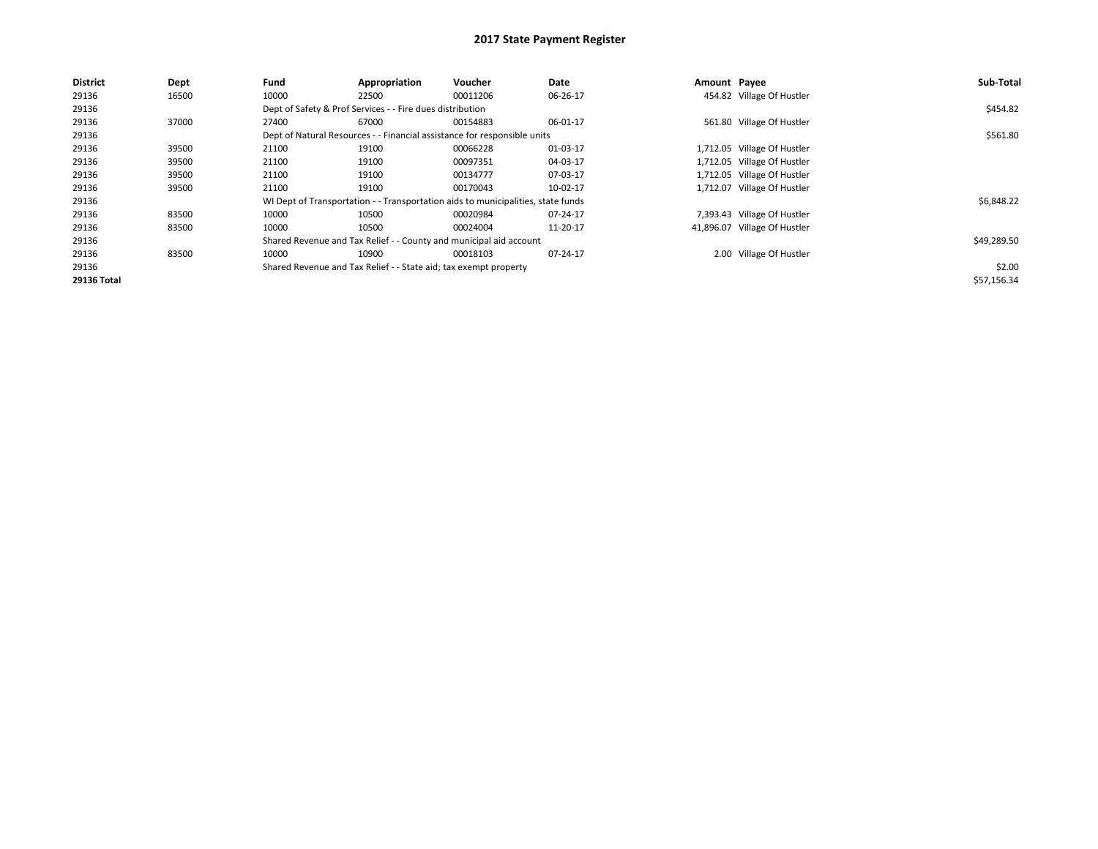| <b>District</b>    | Dept  | Fund  | Appropriation                                                                    | Voucher  | Date     | Amount Payee |                              | Sub-Total   |
|--------------------|-------|-------|----------------------------------------------------------------------------------|----------|----------|--------------|------------------------------|-------------|
| 29136              | 16500 | 10000 | 22500                                                                            | 00011206 | 06-26-17 |              | 454.82 Village Of Hustler    |             |
| 29136              |       |       | Dept of Safety & Prof Services - - Fire dues distribution                        |          |          |              |                              | \$454.82    |
| 29136              | 37000 | 27400 | 67000                                                                            | 00154883 | 06-01-17 |              | 561.80 Village Of Hustler    |             |
| 29136              |       |       | Dept of Natural Resources - - Financial assistance for responsible units         |          |          |              |                              | \$561.80    |
| 29136              | 39500 | 21100 | 19100                                                                            | 00066228 | 01-03-17 |              | 1,712.05 Village Of Hustler  |             |
| 29136              | 39500 | 21100 | 19100                                                                            | 00097351 | 04-03-17 |              | 1,712.05 Village Of Hustler  |             |
| 29136              | 39500 | 21100 | 19100                                                                            | 00134777 | 07-03-17 |              | 1,712.05 Village Of Hustler  |             |
| 29136              | 39500 | 21100 | 19100                                                                            | 00170043 | 10-02-17 |              | 1,712.07 Village Of Hustler  |             |
| 29136              |       |       | WI Dept of Transportation - - Transportation aids to municipalities, state funds |          |          |              |                              | \$6,848.22  |
| 29136              | 83500 | 10000 | 10500                                                                            | 00020984 | 07-24-17 |              | 7,393.43 Village Of Hustler  |             |
| 29136              | 83500 | 10000 | 10500                                                                            | 00024004 | 11-20-17 |              | 41,896.07 Village Of Hustler |             |
| 29136              |       |       | Shared Revenue and Tax Relief - - County and municipal aid account               |          |          |              |                              | \$49,289.50 |
| 29136              | 83500 | 10000 | 10900                                                                            | 00018103 | 07-24-17 |              | 2.00 Village Of Hustler      |             |
| 29136              |       |       | Shared Revenue and Tax Relief - - State aid; tax exempt property                 |          |          |              |                              | \$2.00      |
| <b>29136 Total</b> |       |       |                                                                                  |          |          |              |                              | \$57,156.34 |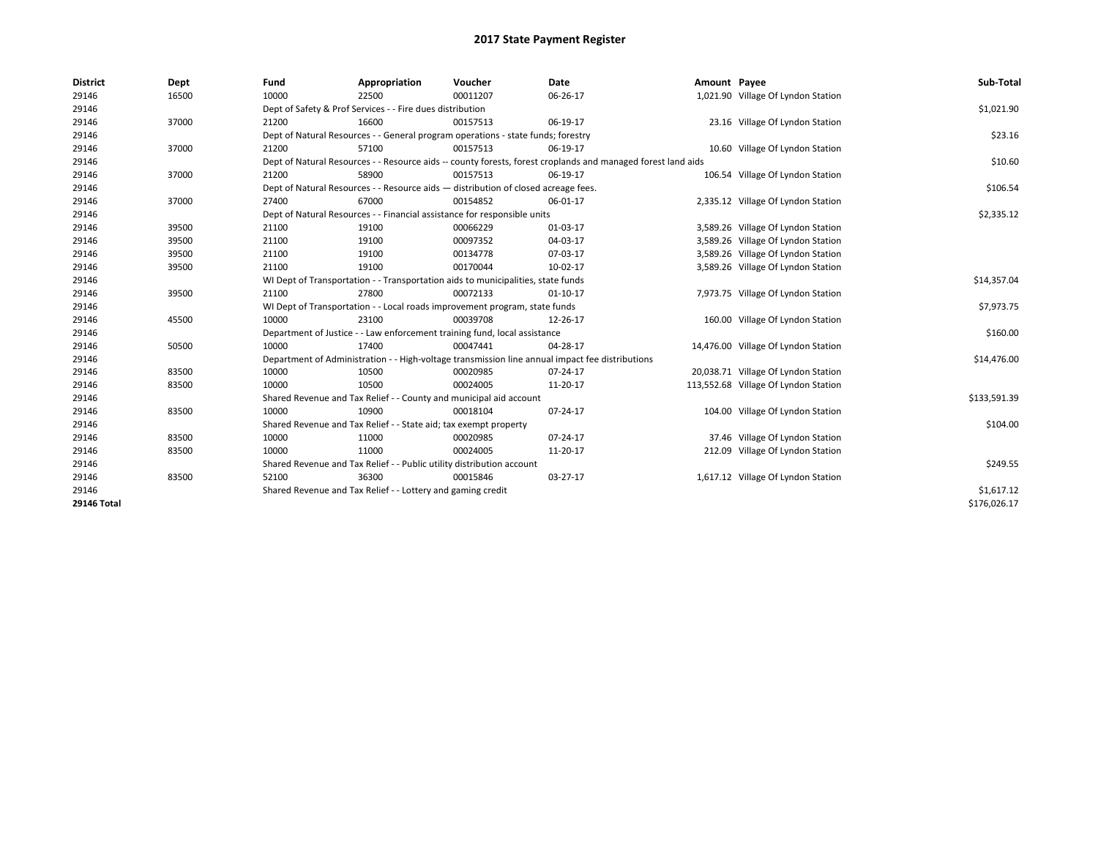| <b>District</b>    | Dept  | Fund  | Appropriation                                                                                                | Voucher  | Date           | Amount Payee |                                      | Sub-Total    |
|--------------------|-------|-------|--------------------------------------------------------------------------------------------------------------|----------|----------------|--------------|--------------------------------------|--------------|
| 29146              | 16500 | 10000 | 22500                                                                                                        | 00011207 | 06-26-17       |              | 1,021.90 Village Of Lyndon Station   |              |
| 29146              |       |       | Dept of Safety & Prof Services - - Fire dues distribution                                                    |          |                |              |                                      | \$1,021.90   |
| 29146              | 37000 | 21200 | 16600                                                                                                        | 00157513 | 06-19-17       |              | 23.16 Village Of Lyndon Station      |              |
| 29146              |       |       | Dept of Natural Resources - - General program operations - state funds; forestry                             |          |                |              |                                      | \$23.16      |
| 29146              | 37000 | 21200 | 57100                                                                                                        | 00157513 | 06-19-17       |              | 10.60 Village Of Lyndon Station      |              |
| 29146              |       |       | Dept of Natural Resources - - Resource aids -- county forests, forest croplands and managed forest land aids |          |                |              |                                      | \$10.60      |
| 29146              | 37000 | 21200 | 58900                                                                                                        | 00157513 | 06-19-17       |              | 106.54 Village Of Lyndon Station     |              |
| 29146              |       |       | Dept of Natural Resources - - Resource aids - distribution of closed acreage fees.                           |          |                |              |                                      | \$106.54     |
| 29146              | 37000 | 27400 | 67000                                                                                                        | 00154852 | 06-01-17       |              | 2,335.12 Village Of Lyndon Station   |              |
| 29146              |       |       | Dept of Natural Resources - - Financial assistance for responsible units                                     |          |                |              |                                      | \$2,335.12   |
| 29146              | 39500 | 21100 | 19100                                                                                                        | 00066229 | 01-03-17       |              | 3,589.26 Village Of Lyndon Station   |              |
| 29146              | 39500 | 21100 | 19100                                                                                                        | 00097352 | 04-03-17       |              | 3,589.26 Village Of Lyndon Station   |              |
| 29146              | 39500 | 21100 | 19100                                                                                                        | 00134778 | 07-03-17       |              | 3,589.26 Village Of Lyndon Station   |              |
| 29146              | 39500 | 21100 | 19100                                                                                                        | 00170044 | 10-02-17       |              | 3,589.26 Village Of Lyndon Station   |              |
| 29146              |       |       | WI Dept of Transportation - - Transportation aids to municipalities, state funds                             |          |                |              |                                      | \$14,357.04  |
| 29146              | 39500 | 21100 | 27800                                                                                                        | 00072133 | $01 - 10 - 17$ |              | 7,973.75 Village Of Lyndon Station   |              |
| 29146              |       |       | WI Dept of Transportation - - Local roads improvement program, state funds                                   |          |                |              |                                      | \$7,973.75   |
| 29146              | 45500 | 10000 | 23100                                                                                                        | 00039708 | 12-26-17       |              | 160.00 Village Of Lyndon Station     |              |
| 29146              |       |       | Department of Justice - - Law enforcement training fund, local assistance                                    |          |                |              |                                      | \$160.00     |
| 29146              | 50500 | 10000 | 17400                                                                                                        | 00047441 | 04-28-17       |              | 14,476.00 Village Of Lyndon Station  |              |
| 29146              |       |       | Department of Administration - - High-voltage transmission line annual impact fee distributions              |          |                |              |                                      | \$14,476.00  |
| 29146              | 83500 | 10000 | 10500                                                                                                        | 00020985 | 07-24-17       |              | 20,038.71 Village Of Lyndon Station  |              |
| 29146              | 83500 | 10000 | 10500                                                                                                        | 00024005 | 11-20-17       |              | 113,552.68 Village Of Lyndon Station |              |
| 29146              |       |       | Shared Revenue and Tax Relief - - County and municipal aid account                                           |          |                |              |                                      | \$133,591.39 |
| 29146              | 83500 | 10000 | 10900                                                                                                        | 00018104 | 07-24-17       |              | 104.00 Village Of Lyndon Station     |              |
| 29146              |       |       | Shared Revenue and Tax Relief - - State aid; tax exempt property                                             |          |                |              |                                      | \$104.00     |
| 29146              | 83500 | 10000 | 11000                                                                                                        | 00020985 | 07-24-17       |              | 37.46 Village Of Lyndon Station      |              |
| 29146              | 83500 | 10000 | 11000                                                                                                        | 00024005 | 11-20-17       |              | 212.09 Village Of Lyndon Station     |              |
| 29146              |       |       | Shared Revenue and Tax Relief - - Public utility distribution account                                        |          |                |              |                                      | \$249.55     |
| 29146              | 83500 | 52100 | 36300                                                                                                        | 00015846 | 03-27-17       |              | 1,617.12 Village Of Lyndon Station   |              |
| 29146              |       |       | Shared Revenue and Tax Relief - - Lottery and gaming credit                                                  |          |                |              |                                      | \$1,617.12   |
| <b>29146 Total</b> |       |       |                                                                                                              |          |                |              |                                      | \$176,026.17 |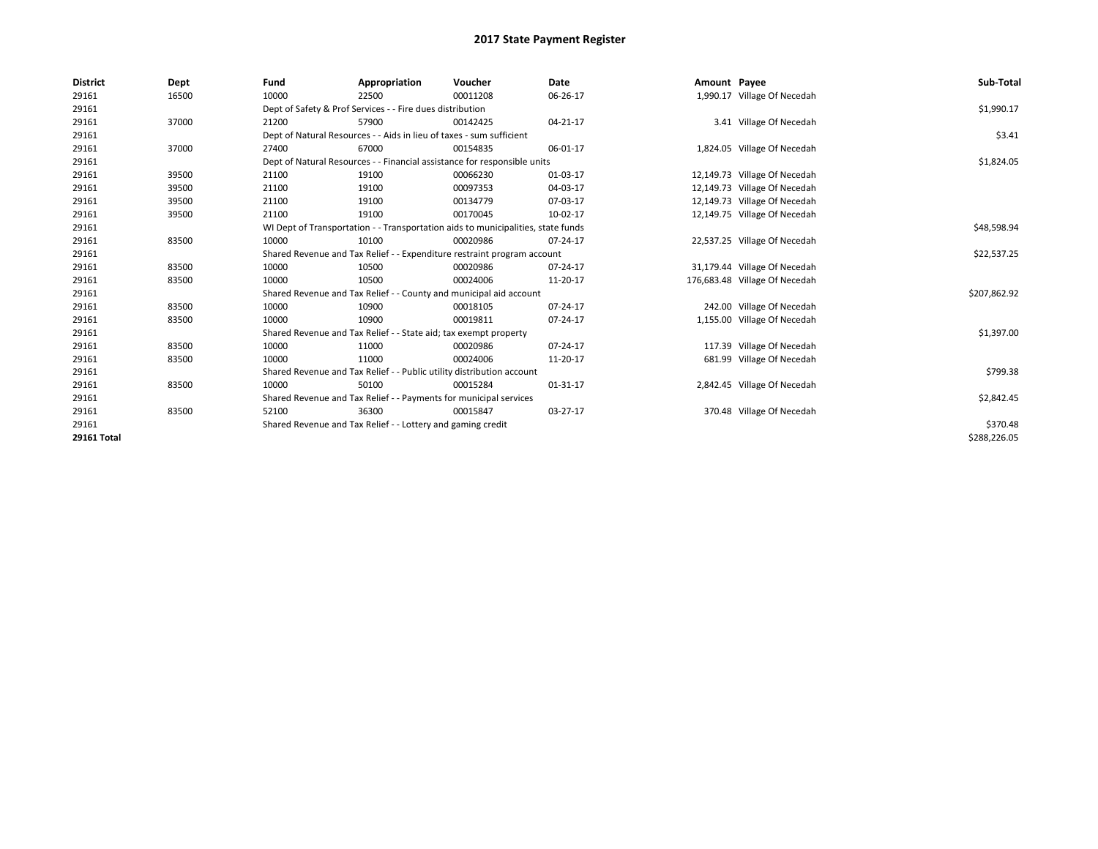| <b>District</b>    | Dept  | Fund  | Appropriation                                                                    | Voucher  | Date     | Amount Payee |                               | Sub-Total    |
|--------------------|-------|-------|----------------------------------------------------------------------------------|----------|----------|--------------|-------------------------------|--------------|
| 29161              | 16500 | 10000 | 22500                                                                            | 00011208 | 06-26-17 |              | 1,990.17 Village Of Necedah   |              |
| 29161              |       |       | Dept of Safety & Prof Services - - Fire dues distribution                        |          |          |              |                               | \$1,990.17   |
| 29161              | 37000 | 21200 | 57900                                                                            | 00142425 | 04-21-17 |              | 3.41 Village Of Necedah       |              |
| 29161              |       |       | Dept of Natural Resources - - Aids in lieu of taxes - sum sufficient             |          |          |              |                               | \$3.41       |
| 29161              | 37000 | 27400 | 67000                                                                            | 00154835 | 06-01-17 |              | 1,824.05 Village Of Necedah   |              |
| 29161              |       |       | Dept of Natural Resources - - Financial assistance for responsible units         |          |          |              |                               | \$1,824.05   |
| 29161              | 39500 | 21100 | 19100                                                                            | 00066230 | 01-03-17 |              | 12,149.73 Village Of Necedah  |              |
| 29161              | 39500 | 21100 | 19100                                                                            | 00097353 | 04-03-17 |              | 12,149.73 Village Of Necedah  |              |
| 29161              | 39500 | 21100 | 19100                                                                            | 00134779 | 07-03-17 |              | 12,149.73 Village Of Necedah  |              |
| 29161              | 39500 | 21100 | 19100                                                                            | 00170045 | 10-02-17 |              | 12,149.75 Village Of Necedah  |              |
| 29161              |       |       | WI Dept of Transportation - - Transportation aids to municipalities, state funds |          |          |              |                               | \$48,598.94  |
| 29161              | 83500 | 10000 | 10100                                                                            | 00020986 | 07-24-17 |              | 22,537.25 Village Of Necedah  |              |
| 29161              |       |       | Shared Revenue and Tax Relief - - Expenditure restraint program account          |          |          |              |                               | \$22,537.25  |
| 29161              | 83500 | 10000 | 10500                                                                            | 00020986 | 07-24-17 |              | 31,179.44 Village Of Necedah  |              |
| 29161              | 83500 | 10000 | 10500                                                                            | 00024006 | 11-20-17 |              | 176,683.48 Village Of Necedah |              |
| 29161              |       |       | Shared Revenue and Tax Relief - - County and municipal aid account               |          |          |              |                               | \$207,862.92 |
| 29161              | 83500 | 10000 | 10900                                                                            | 00018105 | 07-24-17 |              | 242.00 Village Of Necedah     |              |
| 29161              | 83500 | 10000 | 10900                                                                            | 00019811 | 07-24-17 |              | 1,155.00 Village Of Necedah   |              |
| 29161              |       |       | Shared Revenue and Tax Relief - - State aid; tax exempt property                 |          |          |              |                               | \$1,397.00   |
| 29161              | 83500 | 10000 | 11000                                                                            | 00020986 | 07-24-17 |              | 117.39 Village Of Necedah     |              |
| 29161              | 83500 | 10000 | 11000                                                                            | 00024006 | 11-20-17 |              | 681.99 Village Of Necedah     |              |
| 29161              |       |       | Shared Revenue and Tax Relief - - Public utility distribution account            |          |          |              |                               | \$799.38     |
| 29161              | 83500 | 10000 | 50100                                                                            | 00015284 | 01-31-17 |              | 2,842.45 Village Of Necedah   |              |
| 29161              |       |       | Shared Revenue and Tax Relief - - Payments for municipal services                |          |          |              |                               | \$2,842.45   |
| 29161              | 83500 | 52100 | 36300                                                                            | 00015847 | 03-27-17 |              | 370.48 Village Of Necedah     |              |
| 29161              |       |       | Shared Revenue and Tax Relief - - Lottery and gaming credit                      |          |          |              |                               | \$370.48     |
| <b>29161 Total</b> |       |       |                                                                                  |          |          |              |                               | \$288,226.05 |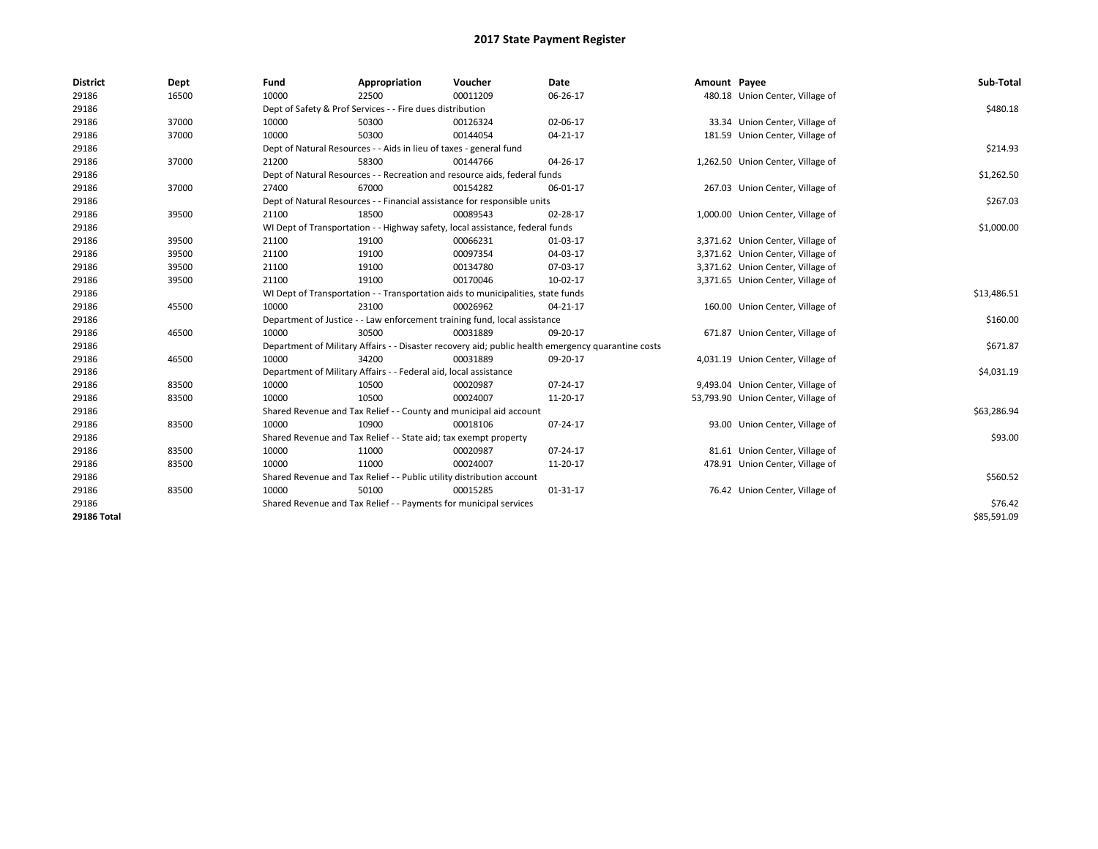| <b>District</b> | Dept  | Fund  | Appropriation                                                                    | Voucher  | <b>Date</b>                                                                                        | Amount Payee |                                    | Sub-Total   |
|-----------------|-------|-------|----------------------------------------------------------------------------------|----------|----------------------------------------------------------------------------------------------------|--------------|------------------------------------|-------------|
| 29186           | 16500 | 10000 | 22500                                                                            | 00011209 | 06-26-17                                                                                           |              | 480.18 Union Center, Village of    |             |
| 29186           |       |       | Dept of Safety & Prof Services - - Fire dues distribution                        |          |                                                                                                    |              |                                    | \$480.18    |
| 29186           | 37000 | 10000 | 50300                                                                            | 00126324 | 02-06-17                                                                                           |              | 33.34 Union Center, Village of     |             |
| 29186           | 37000 | 10000 | 50300                                                                            | 00144054 | 04-21-17                                                                                           |              | 181.59 Union Center, Village of    |             |
| 29186           |       |       | Dept of Natural Resources - - Aids in lieu of taxes - general fund               |          |                                                                                                    |              |                                    | \$214.93    |
| 29186           | 37000 | 21200 | 58300                                                                            | 00144766 | 04-26-17                                                                                           |              | 1,262.50 Union Center, Village of  |             |
| 29186           |       |       | Dept of Natural Resources - - Recreation and resource aids, federal funds        |          |                                                                                                    |              |                                    | \$1,262.50  |
| 29186           | 37000 | 27400 | 67000                                                                            | 00154282 | 06-01-17                                                                                           |              | 267.03 Union Center, Village of    |             |
| 29186           |       |       | Dept of Natural Resources - - Financial assistance for responsible units         |          |                                                                                                    |              |                                    | \$267.03    |
| 29186           | 39500 | 21100 | 18500                                                                            | 00089543 | 02-28-17                                                                                           |              | 1,000.00 Union Center, Village of  |             |
| 29186           |       |       | WI Dept of Transportation - - Highway safety, local assistance, federal funds    |          |                                                                                                    |              |                                    | \$1,000.00  |
| 29186           | 39500 | 21100 | 19100                                                                            | 00066231 | 01-03-17                                                                                           |              | 3,371.62 Union Center, Village of  |             |
| 29186           | 39500 | 21100 | 19100                                                                            | 00097354 | 04-03-17                                                                                           |              | 3,371.62 Union Center, Village of  |             |
| 29186           | 39500 | 21100 | 19100                                                                            | 00134780 | 07-03-17                                                                                           |              | 3,371.62 Union Center, Village of  |             |
| 29186           | 39500 | 21100 | 19100                                                                            | 00170046 | 10-02-17                                                                                           |              | 3,371.65 Union Center, Village of  |             |
| 29186           |       |       | WI Dept of Transportation - - Transportation aids to municipalities, state funds |          |                                                                                                    |              |                                    | \$13,486.51 |
| 29186           | 45500 | 10000 | 23100                                                                            | 00026962 | 04-21-17                                                                                           |              | 160.00 Union Center, Village of    |             |
| 29186           |       |       | Department of Justice - - Law enforcement training fund, local assistance        |          |                                                                                                    |              |                                    | \$160.00    |
| 29186           | 46500 | 10000 | 30500                                                                            | 00031889 | 09-20-17                                                                                           |              | 671.87 Union Center, Village of    |             |
| 29186           |       |       |                                                                                  |          | Department of Military Affairs - - Disaster recovery aid; public health emergency quarantine costs |              |                                    | \$671.87    |
| 29186           | 46500 | 10000 | 34200                                                                            | 00031889 | 09-20-17                                                                                           |              | 4,031.19 Union Center, Village of  |             |
| 29186           |       |       | Department of Military Affairs - - Federal aid, local assistance                 |          |                                                                                                    |              |                                    | \$4,031.19  |
| 29186           | 83500 | 10000 | 10500                                                                            | 00020987 | 07-24-17                                                                                           |              | 9,493.04 Union Center, Village of  |             |
| 29186           | 83500 | 10000 | 10500                                                                            | 00024007 | 11-20-17                                                                                           |              | 53,793.90 Union Center, Village of |             |
| 29186           |       |       | Shared Revenue and Tax Relief - - County and municipal aid account               |          |                                                                                                    |              |                                    | \$63,286.94 |
| 29186           | 83500 | 10000 | 10900                                                                            | 00018106 | 07-24-17                                                                                           |              | 93.00 Union Center, Village of     |             |
| 29186           |       |       | Shared Revenue and Tax Relief - - State aid; tax exempt property                 |          |                                                                                                    |              |                                    | \$93.00     |
| 29186           | 83500 | 10000 | 11000                                                                            | 00020987 | 07-24-17                                                                                           |              | 81.61 Union Center, Village of     |             |
| 29186           | 83500 | 10000 | 11000                                                                            | 00024007 | 11-20-17                                                                                           |              | 478.91 Union Center, Village of    |             |
| 29186           |       |       | Shared Revenue and Tax Relief - - Public utility distribution account            |          |                                                                                                    |              |                                    | \$560.52    |
| 29186           | 83500 | 10000 | 50100                                                                            | 00015285 | 01-31-17                                                                                           |              | 76.42 Union Center, Village of     |             |
| 29186           |       |       | Shared Revenue and Tax Relief - - Payments for municipal services                |          |                                                                                                    |              |                                    | \$76.42     |
| 29186 Total     |       |       |                                                                                  |          |                                                                                                    |              |                                    | \$85,591.09 |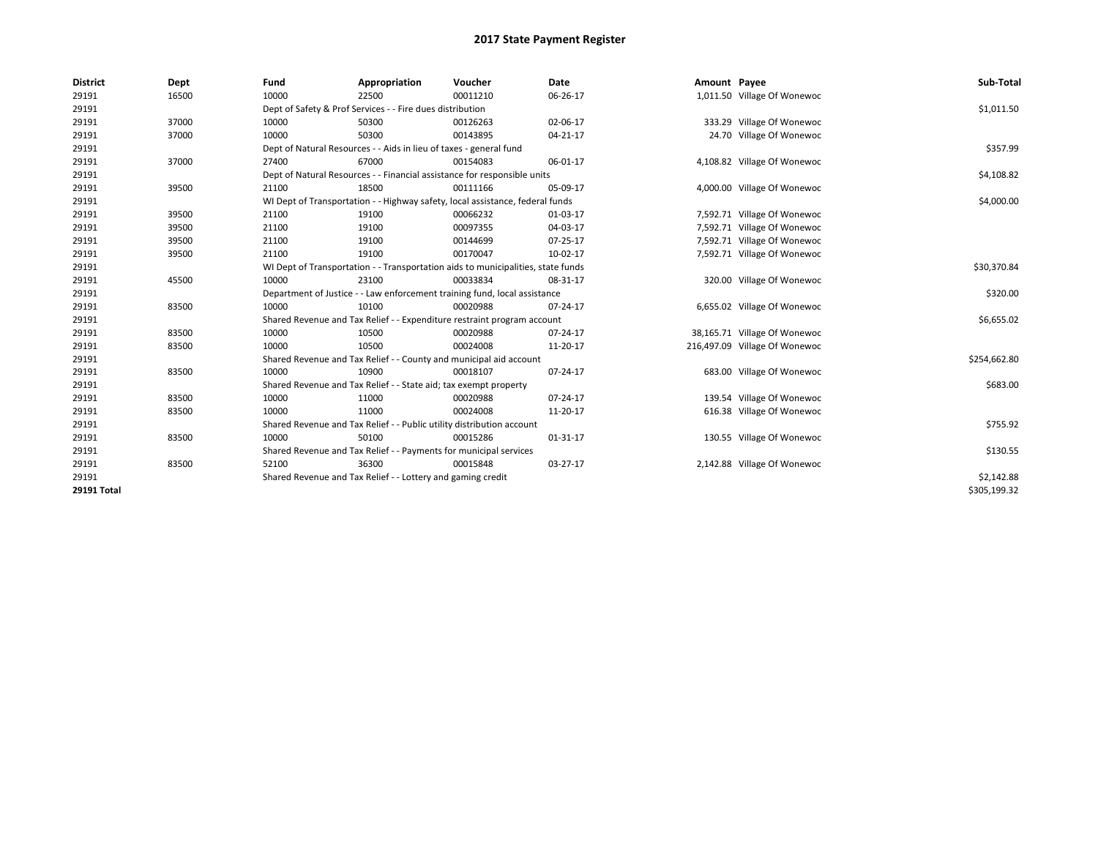| <b>District</b>    | Dept  | Fund  | Appropriation                                                                    | Voucher  | <b>Date</b> | Amount Payee |                               | Sub-Total    |
|--------------------|-------|-------|----------------------------------------------------------------------------------|----------|-------------|--------------|-------------------------------|--------------|
| 29191              | 16500 | 10000 | 22500                                                                            | 00011210 | 06-26-17    |              | 1,011.50 Village Of Wonewoc   |              |
| 29191              |       |       | Dept of Safety & Prof Services - - Fire dues distribution                        |          |             |              |                               | \$1,011.50   |
| 29191              | 37000 | 10000 | 50300                                                                            | 00126263 | 02-06-17    |              | 333.29 Village Of Wonewoc     |              |
| 29191              | 37000 | 10000 | 50300                                                                            | 00143895 | 04-21-17    |              | 24.70 Village Of Wonewoc      |              |
| 29191              |       |       | Dept of Natural Resources - - Aids in lieu of taxes - general fund               |          |             |              |                               | \$357.99     |
| 29191              | 37000 | 27400 | 67000                                                                            | 00154083 | 06-01-17    |              | 4,108.82 Village Of Wonewoc   |              |
| 29191              |       |       | Dept of Natural Resources - - Financial assistance for responsible units         |          |             |              |                               | \$4,108.82   |
| 29191              | 39500 | 21100 | 18500                                                                            | 00111166 | 05-09-17    |              | 4,000.00 Village Of Wonewoc   |              |
| 29191              |       |       | WI Dept of Transportation - - Highway safety, local assistance, federal funds    |          |             |              |                               | \$4,000.00   |
| 29191              | 39500 | 21100 | 19100                                                                            | 00066232 | 01-03-17    |              | 7,592.71 Village Of Wonewoc   |              |
| 29191              | 39500 | 21100 | 19100                                                                            | 00097355 | 04-03-17    |              | 7,592.71 Village Of Wonewoc   |              |
| 29191              | 39500 | 21100 | 19100                                                                            | 00144699 | 07-25-17    |              | 7,592.71 Village Of Wonewoc   |              |
| 29191              | 39500 | 21100 | 19100                                                                            | 00170047 | 10-02-17    |              | 7,592.71 Village Of Wonewoc   |              |
| 29191              |       |       | WI Dept of Transportation - - Transportation aids to municipalities, state funds |          |             |              |                               | \$30,370.84  |
| 29191              | 45500 | 10000 | 23100                                                                            | 00033834 | 08-31-17    |              | 320.00 Village Of Wonewoc     |              |
| 29191              |       |       | Department of Justice - - Law enforcement training fund, local assistance        |          |             |              |                               | \$320.00     |
| 29191              | 83500 | 10000 | 10100                                                                            | 00020988 | 07-24-17    |              | 6,655.02 Village Of Wonewoc   |              |
| 29191              |       |       | Shared Revenue and Tax Relief - - Expenditure restraint program account          |          |             |              |                               | \$6,655.02   |
| 29191              | 83500 | 10000 | 10500                                                                            | 00020988 | 07-24-17    |              | 38,165.71 Village Of Wonewoc  |              |
| 29191              | 83500 | 10000 | 10500                                                                            | 00024008 | 11-20-17    |              | 216,497.09 Village Of Wonewoc |              |
| 29191              |       |       | Shared Revenue and Tax Relief - - County and municipal aid account               |          |             |              |                               | \$254,662.80 |
| 29191              | 83500 | 10000 | 10900                                                                            | 00018107 | 07-24-17    |              | 683.00 Village Of Wonewoc     |              |
| 29191              |       |       | Shared Revenue and Tax Relief - - State aid; tax exempt property                 |          |             |              |                               | \$683.00     |
| 29191              | 83500 | 10000 | 11000                                                                            | 00020988 | 07-24-17    |              | 139.54 Village Of Wonewoc     |              |
| 29191              | 83500 | 10000 | 11000                                                                            | 00024008 | 11-20-17    |              | 616.38 Village Of Wonewoc     |              |
| 29191              |       |       | Shared Revenue and Tax Relief - - Public utility distribution account            |          |             |              |                               | \$755.92     |
| 29191              | 83500 | 10000 | 50100                                                                            | 00015286 | 01-31-17    |              | 130.55 Village Of Wonewoc     |              |
| 29191              |       |       | Shared Revenue and Tax Relief - - Payments for municipal services                |          |             |              |                               | \$130.55     |
| 29191              | 83500 | 52100 | 36300                                                                            | 00015848 | 03-27-17    |              | 2,142.88 Village Of Wonewoc   |              |
| 29191              |       |       | Shared Revenue and Tax Relief - - Lottery and gaming credit                      |          |             |              |                               | \$2,142.88   |
| <b>29191 Total</b> |       |       |                                                                                  |          |             |              |                               | \$305,199.32 |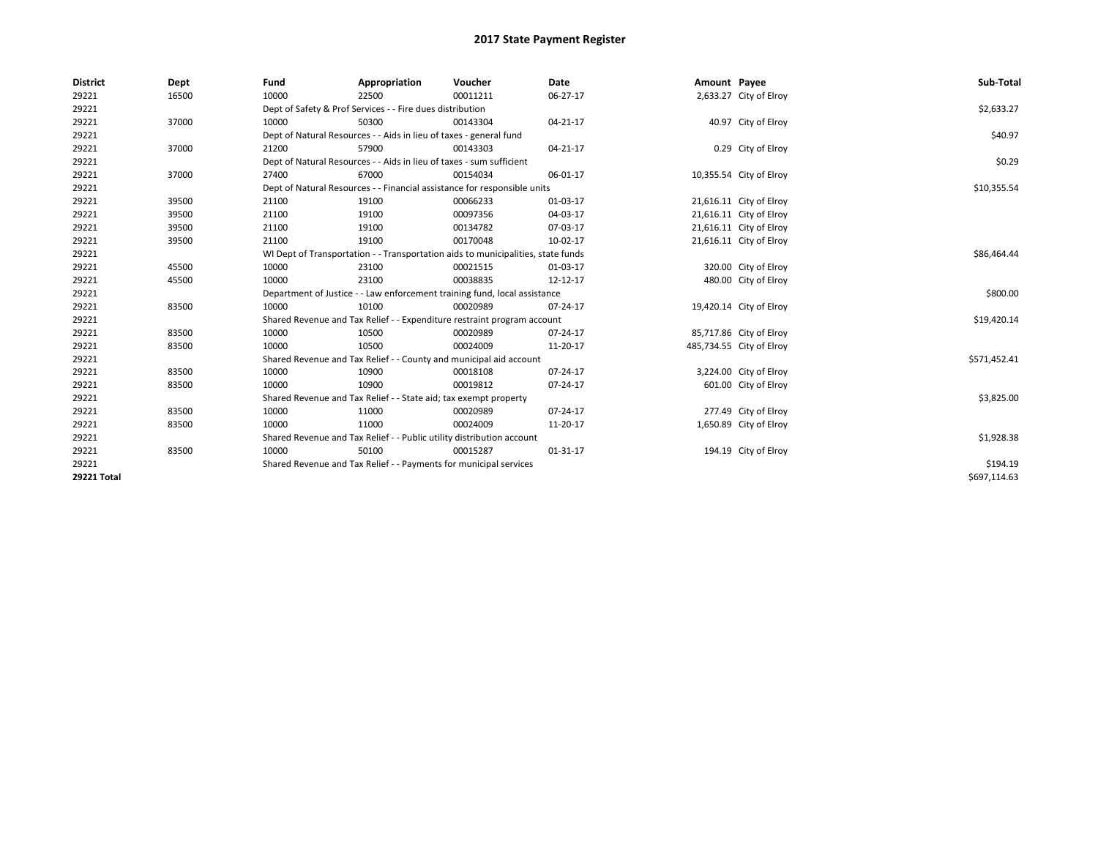| <b>District</b>    | Dept  | Fund  | Appropriation                                                                    | Voucher  | Date           | Amount Payee |                          | Sub-Total    |
|--------------------|-------|-------|----------------------------------------------------------------------------------|----------|----------------|--------------|--------------------------|--------------|
| 29221              | 16500 | 10000 | 22500                                                                            | 00011211 | 06-27-17       |              | 2,633.27 City of Elroy   |              |
| 29221              |       |       | Dept of Safety & Prof Services - - Fire dues distribution                        |          |                |              |                          | \$2,633.27   |
| 29221              | 37000 | 10000 | 50300                                                                            | 00143304 | 04-21-17       |              | 40.97 City of Elroy      |              |
| 29221              |       |       | Dept of Natural Resources - - Aids in lieu of taxes - general fund               |          |                |              |                          | \$40.97      |
| 29221              | 37000 | 21200 | 57900                                                                            | 00143303 | 04-21-17       |              | 0.29 City of Elroy       |              |
| 29221              |       |       | Dept of Natural Resources - - Aids in lieu of taxes - sum sufficient             |          |                |              |                          | \$0.29       |
| 29221              | 37000 | 27400 | 67000                                                                            | 00154034 | 06-01-17       |              | 10,355.54 City of Elroy  |              |
| 29221              |       |       | Dept of Natural Resources - - Financial assistance for responsible units         |          |                |              |                          | \$10,355.54  |
| 29221              | 39500 | 21100 | 19100                                                                            | 00066233 | 01-03-17       |              | 21,616.11 City of Elroy  |              |
| 29221              | 39500 | 21100 | 19100                                                                            | 00097356 | 04-03-17       |              | 21,616.11 City of Elroy  |              |
| 29221              | 39500 | 21100 | 19100                                                                            | 00134782 | 07-03-17       |              | 21,616.11 City of Elroy  |              |
| 29221              | 39500 | 21100 | 19100                                                                            | 00170048 | 10-02-17       |              | 21,616.11 City of Elroy  |              |
| 29221              |       |       | WI Dept of Transportation - - Transportation aids to municipalities, state funds |          |                |              |                          | \$86,464.44  |
| 29221              | 45500 | 10000 | 23100                                                                            | 00021515 | 01-03-17       |              | 320.00 City of Elroy     |              |
| 29221              | 45500 | 10000 | 23100                                                                            | 00038835 | 12-12-17       |              | 480.00 City of Elroy     |              |
| 29221              |       |       | Department of Justice - - Law enforcement training fund, local assistance        |          |                |              |                          | \$800.00     |
| 29221              | 83500 | 10000 | 10100                                                                            | 00020989 | 07-24-17       |              | 19,420.14 City of Elroy  |              |
| 29221              |       |       | Shared Revenue and Tax Relief - - Expenditure restraint program account          |          |                |              |                          | \$19,420.14  |
| 29221              | 83500 | 10000 | 10500                                                                            | 00020989 | 07-24-17       |              | 85,717.86 City of Elroy  |              |
| 29221              | 83500 | 10000 | 10500                                                                            | 00024009 | 11-20-17       |              | 485,734.55 City of Elroy |              |
| 29221              |       |       | Shared Revenue and Tax Relief - - County and municipal aid account               |          |                |              |                          | \$571,452.41 |
| 29221              | 83500 | 10000 | 10900                                                                            | 00018108 | 07-24-17       |              | 3,224.00 City of Elroy   |              |
| 29221              | 83500 | 10000 | 10900                                                                            | 00019812 | 07-24-17       |              | 601.00 City of Elroy     |              |
| 29221              |       |       | Shared Revenue and Tax Relief - - State aid; tax exempt property                 |          |                |              |                          | \$3,825.00   |
| 29221              | 83500 | 10000 | 11000                                                                            | 00020989 | 07-24-17       |              | 277.49 City of Elroy     |              |
| 29221              | 83500 | 10000 | 11000                                                                            | 00024009 | 11-20-17       |              | 1,650.89 City of Elroy   |              |
| 29221              |       |       | Shared Revenue and Tax Relief - - Public utility distribution account            |          |                |              |                          | \$1,928.38   |
| 29221              | 83500 | 10000 | 50100                                                                            | 00015287 | $01 - 31 - 17$ |              | 194.19 City of Elroy     |              |
| 29221              |       |       | Shared Revenue and Tax Relief - - Payments for municipal services                |          |                |              |                          | \$194.19     |
| <b>29221 Total</b> |       |       |                                                                                  |          |                |              |                          | \$697,114.63 |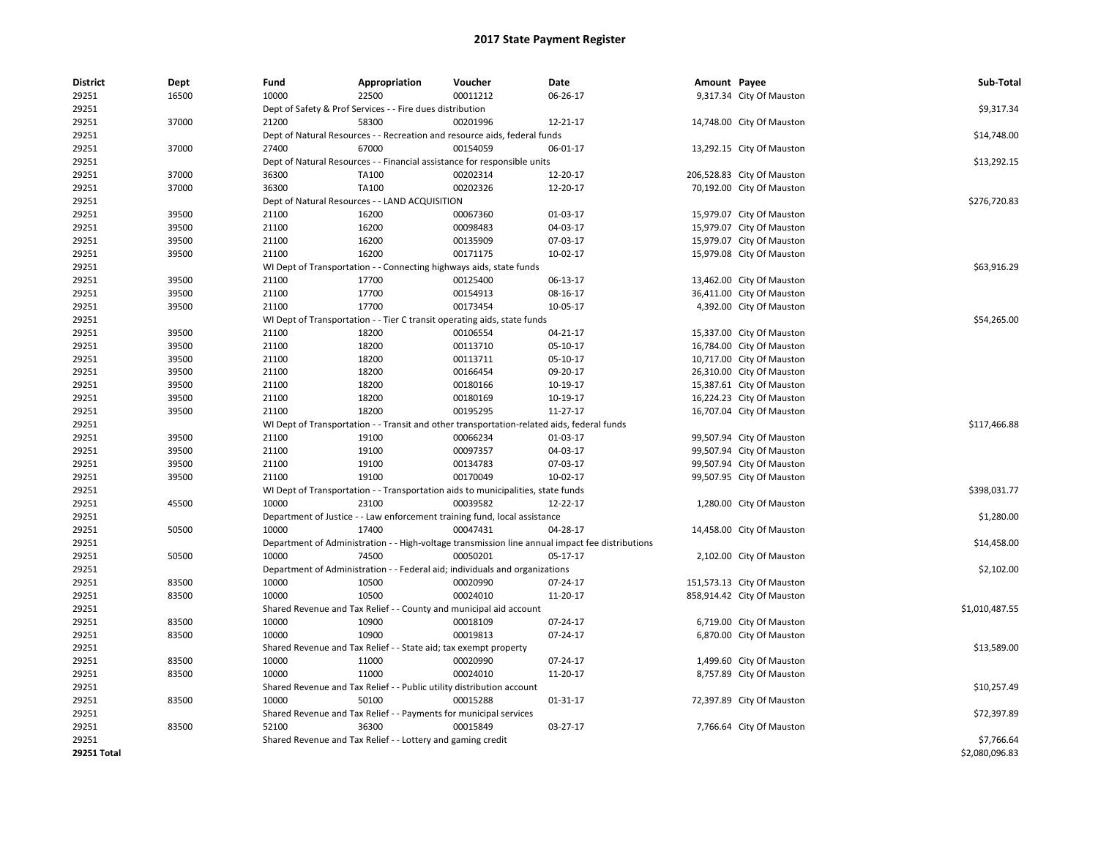| <b>District</b> | Dept  | Fund  | Appropriation                                                                              | Voucher  | Date                                                                                            | Amount Payee |                            | Sub-Total      |
|-----------------|-------|-------|--------------------------------------------------------------------------------------------|----------|-------------------------------------------------------------------------------------------------|--------------|----------------------------|----------------|
| 29251           | 16500 | 10000 | 22500                                                                                      | 00011212 | 06-26-17                                                                                        |              | 9,317.34 City Of Mauston   |                |
| 29251           |       |       | Dept of Safety & Prof Services - - Fire dues distribution                                  |          |                                                                                                 |              |                            | \$9,317.34     |
| 29251           | 37000 | 21200 | 58300                                                                                      | 00201996 | 12-21-17                                                                                        |              | 14,748.00 City Of Mauston  |                |
| 29251           |       |       | Dept of Natural Resources - - Recreation and resource aids, federal funds                  |          |                                                                                                 |              |                            | \$14,748.00    |
| 29251           | 37000 | 27400 | 67000                                                                                      | 00154059 | 06-01-17                                                                                        |              | 13,292.15 City Of Mauston  |                |
| 29251           |       |       | Dept of Natural Resources - - Financial assistance for responsible units                   |          |                                                                                                 |              |                            | \$13,292.15    |
| 29251           | 37000 | 36300 | TA100                                                                                      | 00202314 | 12-20-17                                                                                        |              | 206,528.83 City Of Mauston |                |
| 29251           | 37000 | 36300 | TA100                                                                                      | 00202326 | 12-20-17                                                                                        |              | 70,192.00 City Of Mauston  |                |
| 29251           |       |       | Dept of Natural Resources - - LAND ACQUISITION                                             |          |                                                                                                 |              |                            | \$276,720.83   |
| 29251           | 39500 | 21100 | 16200                                                                                      | 00067360 | 01-03-17                                                                                        |              | 15,979.07 City Of Mauston  |                |
| 29251           | 39500 | 21100 | 16200                                                                                      | 00098483 | 04-03-17                                                                                        |              | 15,979.07 City Of Mauston  |                |
| 29251           | 39500 | 21100 | 16200                                                                                      | 00135909 | 07-03-17                                                                                        |              | 15,979.07 City Of Mauston  |                |
| 29251           | 39500 | 21100 | 16200                                                                                      | 00171175 | 10-02-17                                                                                        |              | 15,979.08 City Of Mauston  |                |
| 29251           |       |       | WI Dept of Transportation - - Connecting highways aids, state funds                        |          |                                                                                                 |              |                            | \$63,916.29    |
| 29251           | 39500 | 21100 | 17700                                                                                      | 00125400 | 06-13-17                                                                                        |              | 13,462.00 City Of Mauston  |                |
| 29251           | 39500 | 21100 | 17700                                                                                      | 00154913 | 08-16-17                                                                                        |              | 36,411.00 City Of Mauston  |                |
| 29251           | 39500 | 21100 | 17700                                                                                      | 00173454 | 10-05-17                                                                                        |              | 4,392.00 City Of Mauston   |                |
| 29251           |       |       | WI Dept of Transportation - - Tier C transit operating aids, state funds                   |          |                                                                                                 |              |                            | \$54,265.00    |
| 29251           | 39500 | 21100 | 18200                                                                                      | 00106554 | 04-21-17                                                                                        |              | 15,337.00 City Of Mauston  |                |
| 29251           | 39500 | 21100 | 18200                                                                                      | 00113710 | 05-10-17                                                                                        |              | 16,784.00 City Of Mauston  |                |
| 29251           | 39500 | 21100 | 18200                                                                                      | 00113711 | 05-10-17                                                                                        |              | 10,717.00 City Of Mauston  |                |
| 29251           | 39500 | 21100 | 18200                                                                                      | 00166454 | 09-20-17                                                                                        |              | 26,310.00 City Of Mauston  |                |
| 29251           | 39500 | 21100 | 18200                                                                                      | 00180166 | 10-19-17                                                                                        |              | 15,387.61 City Of Mauston  |                |
| 29251           | 39500 | 21100 | 18200                                                                                      | 00180169 | 10-19-17                                                                                        |              | 16,224.23 City Of Mauston  |                |
| 29251           | 39500 | 21100 | 18200                                                                                      | 00195295 | 11-27-17                                                                                        |              | 16,707.04 City Of Mauston  |                |
| 29251           |       |       | WI Dept of Transportation - - Transit and other transportation-related aids, federal funds |          |                                                                                                 |              |                            | \$117,466.88   |
| 29251           | 39500 | 21100 | 19100                                                                                      | 00066234 | 01-03-17                                                                                        |              | 99,507.94 City Of Mauston  |                |
| 29251           | 39500 | 21100 | 19100                                                                                      | 00097357 | 04-03-17                                                                                        |              | 99,507.94 City Of Mauston  |                |
| 29251           | 39500 | 21100 | 19100                                                                                      | 00134783 | 07-03-17                                                                                        |              | 99,507.94 City Of Mauston  |                |
| 29251           | 39500 | 21100 | 19100                                                                                      | 00170049 | 10-02-17                                                                                        |              | 99,507.95 City Of Mauston  |                |
| 29251           |       |       | WI Dept of Transportation - - Transportation aids to municipalities, state funds           |          |                                                                                                 |              |                            | \$398,031.77   |
| 29251           | 45500 | 10000 | 23100                                                                                      | 00039582 | 12-22-17                                                                                        |              | 1,280.00 City Of Mauston   |                |
| 29251           |       |       | Department of Justice - - Law enforcement training fund, local assistance                  |          |                                                                                                 |              |                            | \$1,280.00     |
| 29251           | 50500 | 10000 | 17400                                                                                      | 00047431 | 04-28-17                                                                                        |              | 14,458.00 City Of Mauston  |                |
| 29251           |       |       |                                                                                            |          | Department of Administration - - High-voltage transmission line annual impact fee distributions |              |                            | \$14,458.00    |
| 29251           | 50500 | 10000 | 74500                                                                                      | 00050201 | 05-17-17                                                                                        |              | 2,102.00 City Of Mauston   |                |
| 29251           |       |       | Department of Administration - - Federal aid; individuals and organizations                |          |                                                                                                 |              |                            | \$2,102.00     |
| 29251           | 83500 | 10000 | 10500                                                                                      | 00020990 | 07-24-17                                                                                        |              | 151,573.13 City Of Mauston |                |
| 29251           | 83500 | 10000 | 10500                                                                                      | 00024010 | 11-20-17                                                                                        |              | 858,914.42 City Of Mauston |                |
| 29251           |       |       | Shared Revenue and Tax Relief - - County and municipal aid account                         |          |                                                                                                 |              |                            | \$1,010,487.55 |
| 29251           | 83500 | 10000 | 10900                                                                                      | 00018109 | 07-24-17                                                                                        |              | 6,719.00 City Of Mauston   |                |
| 29251           | 83500 | 10000 | 10900                                                                                      | 00019813 | 07-24-17                                                                                        |              | 6,870.00 City Of Mauston   |                |
| 29251           |       |       | Shared Revenue and Tax Relief - - State aid; tax exempt property                           |          |                                                                                                 |              |                            | \$13,589.00    |
| 29251           | 83500 | 10000 | 11000                                                                                      | 00020990 | 07-24-17                                                                                        |              | 1,499.60 City Of Mauston   |                |
| 29251           | 83500 | 10000 | 11000                                                                                      | 00024010 | 11-20-17                                                                                        |              | 8,757.89 City Of Mauston   |                |
| 29251           |       |       | Shared Revenue and Tax Relief - - Public utility distribution account                      |          |                                                                                                 |              |                            | \$10,257.49    |
| 29251           | 83500 | 10000 | 50100                                                                                      | 00015288 | 01-31-17                                                                                        |              | 72,397.89 City Of Mauston  |                |
| 29251           |       |       | Shared Revenue and Tax Relief - - Payments for municipal services                          |          |                                                                                                 |              |                            | \$72,397.89    |
| 29251           | 83500 | 52100 | 36300                                                                                      | 00015849 | 03-27-17                                                                                        |              | 7,766.64 City Of Mauston   |                |
| 29251           |       |       | Shared Revenue and Tax Relief - - Lottery and gaming credit                                |          |                                                                                                 |              |                            | \$7,766.64     |
| 29251 Total     |       |       |                                                                                            |          |                                                                                                 |              |                            | \$2,080,096.83 |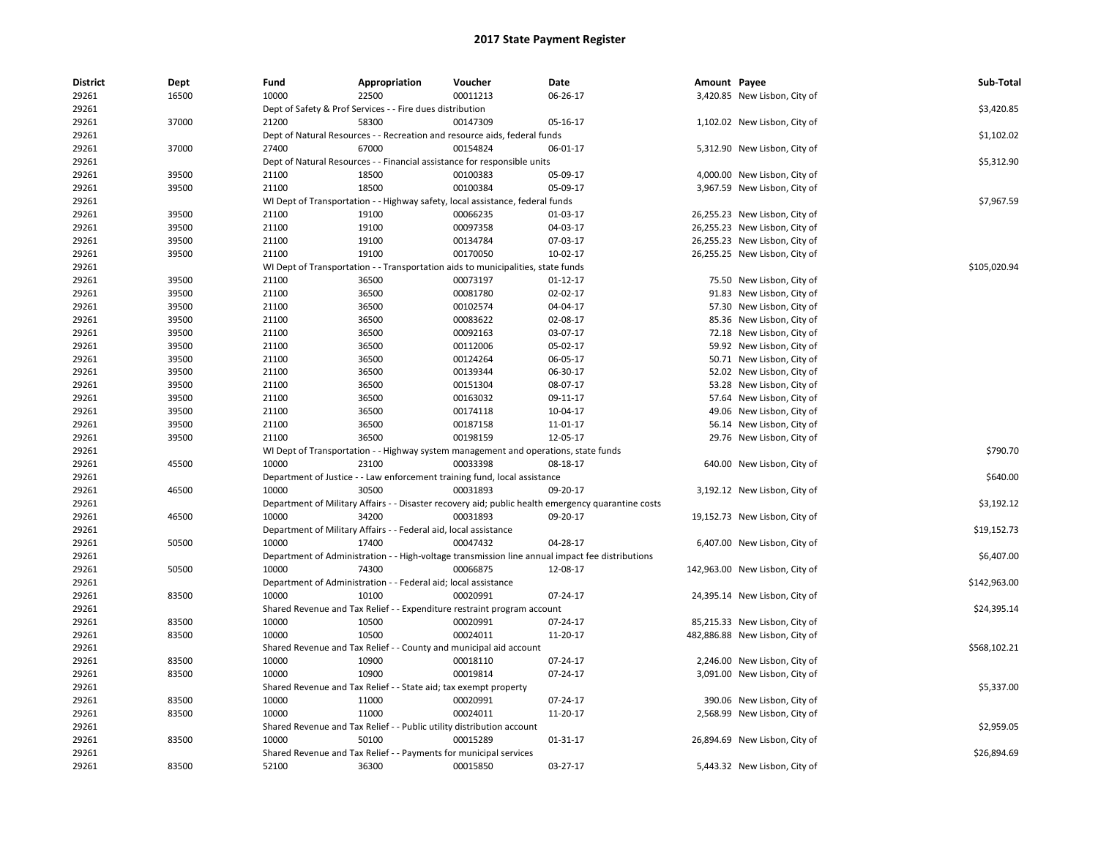| <b>District</b> | Dept  | Fund  | Appropriation                                                                       | Voucher  | Date                                                                                               | Amount Payee |                                | Sub-Total    |
|-----------------|-------|-------|-------------------------------------------------------------------------------------|----------|----------------------------------------------------------------------------------------------------|--------------|--------------------------------|--------------|
| 29261           | 16500 | 10000 | 22500                                                                               | 00011213 | 06-26-17                                                                                           |              | 3,420.85 New Lisbon, City of   |              |
| 29261           |       |       | Dept of Safety & Prof Services - - Fire dues distribution                           |          |                                                                                                    |              |                                | \$3,420.85   |
| 29261           | 37000 | 21200 | 58300                                                                               | 00147309 | 05-16-17                                                                                           |              | 1,102.02 New Lisbon, City of   |              |
| 29261           |       |       | Dept of Natural Resources - - Recreation and resource aids, federal funds           |          |                                                                                                    |              |                                | \$1,102.02   |
| 29261           | 37000 | 27400 | 67000                                                                               | 00154824 | 06-01-17                                                                                           |              | 5,312.90 New Lisbon, City of   |              |
| 29261           |       |       | Dept of Natural Resources - - Financial assistance for responsible units            |          |                                                                                                    |              |                                | \$5,312.90   |
| 29261           | 39500 | 21100 | 18500                                                                               | 00100383 | 05-09-17                                                                                           |              | 4,000.00 New Lisbon, City of   |              |
| 29261           | 39500 | 21100 | 18500                                                                               | 00100384 | 05-09-17                                                                                           |              | 3,967.59 New Lisbon, City of   |              |
| 29261           |       |       | WI Dept of Transportation - - Highway safety, local assistance, federal funds       |          |                                                                                                    |              |                                | \$7,967.59   |
| 29261           | 39500 | 21100 | 19100                                                                               | 00066235 | 01-03-17                                                                                           |              | 26,255.23 New Lisbon, City of  |              |
| 29261           | 39500 | 21100 | 19100                                                                               | 00097358 | 04-03-17                                                                                           |              | 26,255.23 New Lisbon, City of  |              |
| 29261           | 39500 | 21100 | 19100                                                                               | 00134784 | 07-03-17                                                                                           |              | 26,255.23 New Lisbon, City of  |              |
| 29261           | 39500 | 21100 | 19100                                                                               | 00170050 | 10-02-17                                                                                           |              | 26,255.25 New Lisbon, City of  |              |
| 29261           |       |       | WI Dept of Transportation - - Transportation aids to municipalities, state funds    |          |                                                                                                    |              |                                | \$105,020.94 |
| 29261           | 39500 | 21100 | 36500                                                                               | 00073197 | 01-12-17                                                                                           |              | 75.50 New Lisbon, City of      |              |
| 29261           | 39500 | 21100 | 36500                                                                               | 00081780 | 02-02-17                                                                                           |              | 91.83 New Lisbon, City of      |              |
| 29261           | 39500 | 21100 | 36500                                                                               | 00102574 | 04-04-17                                                                                           |              | 57.30 New Lisbon, City of      |              |
| 29261           | 39500 | 21100 | 36500                                                                               | 00083622 | 02-08-17                                                                                           |              | 85.36 New Lisbon, City of      |              |
| 29261           | 39500 | 21100 | 36500                                                                               | 00092163 | 03-07-17                                                                                           |              | 72.18 New Lisbon, City of      |              |
| 29261           | 39500 | 21100 | 36500                                                                               | 00112006 | 05-02-17                                                                                           |              | 59.92 New Lisbon, City of      |              |
| 29261           | 39500 | 21100 | 36500                                                                               | 00124264 | 06-05-17                                                                                           |              | 50.71 New Lisbon, City of      |              |
| 29261           | 39500 | 21100 | 36500                                                                               | 00139344 | 06-30-17                                                                                           |              | 52.02 New Lisbon, City of      |              |
| 29261           | 39500 | 21100 | 36500                                                                               | 00151304 | 08-07-17                                                                                           |              | 53.28 New Lisbon, City of      |              |
| 29261           | 39500 | 21100 | 36500                                                                               | 00163032 | 09-11-17                                                                                           |              | 57.64 New Lisbon, City of      |              |
| 29261           | 39500 | 21100 | 36500                                                                               | 00174118 | 10-04-17                                                                                           |              | 49.06 New Lisbon, City of      |              |
| 29261           | 39500 | 21100 | 36500                                                                               | 00187158 | 11-01-17                                                                                           |              | 56.14 New Lisbon, City of      |              |
| 29261           | 39500 | 21100 | 36500                                                                               | 00198159 | 12-05-17                                                                                           |              | 29.76 New Lisbon, City of      |              |
| 29261           |       |       | WI Dept of Transportation - - Highway system management and operations, state funds |          |                                                                                                    |              |                                | \$790.70     |
| 29261           | 45500 | 10000 | 23100                                                                               | 00033398 | 08-18-17                                                                                           |              | 640.00 New Lisbon, City of     |              |
| 29261           |       |       | Department of Justice - - Law enforcement training fund, local assistance           |          |                                                                                                    |              |                                | \$640.00     |
| 29261           | 46500 | 10000 | 30500                                                                               | 00031893 | 09-20-17                                                                                           |              | 3,192.12 New Lisbon, City of   |              |
| 29261           |       |       |                                                                                     |          | Department of Military Affairs - - Disaster recovery aid; public health emergency quarantine costs |              |                                | \$3,192.12   |
| 29261           | 46500 | 10000 | 34200                                                                               | 00031893 | 09-20-17                                                                                           |              | 19,152.73 New Lisbon, City of  |              |
| 29261           |       |       | Department of Military Affairs - - Federal aid, local assistance                    |          |                                                                                                    |              |                                | \$19,152.73  |
| 29261           | 50500 | 10000 | 17400                                                                               | 00047432 | 04-28-17                                                                                           |              | 6,407.00 New Lisbon, City of   |              |
| 29261           |       |       |                                                                                     |          | Department of Administration - - High-voltage transmission line annual impact fee distributions    |              |                                | \$6,407.00   |
| 29261           | 50500 | 10000 | 74300                                                                               | 00066875 | 12-08-17                                                                                           |              | 142,963.00 New Lisbon, City of |              |
| 29261           |       |       | Department of Administration - - Federal aid; local assistance                      |          |                                                                                                    |              |                                | \$142,963.00 |
| 29261           | 83500 | 10000 | 10100                                                                               | 00020991 | 07-24-17                                                                                           |              | 24,395.14 New Lisbon, City of  |              |
| 29261           |       |       | Shared Revenue and Tax Relief - - Expenditure restraint program account             |          |                                                                                                    |              |                                | \$24,395.14  |
| 29261           | 83500 | 10000 | 10500                                                                               | 00020991 | 07-24-17                                                                                           |              | 85,215.33 New Lisbon, City of  |              |
| 29261           | 83500 | 10000 | 10500                                                                               | 00024011 | 11-20-17                                                                                           |              | 482,886.88 New Lisbon, City of |              |
|                 |       |       |                                                                                     |          |                                                                                                    |              |                                | \$568,102.21 |
| 29261           |       | 10000 | Shared Revenue and Tax Relief - - County and municipal aid account                  |          |                                                                                                    |              |                                |              |
| 29261           | 83500 |       | 10900                                                                               | 00018110 | 07-24-17                                                                                           |              | 2,246.00 New Lisbon, City of   |              |
| 29261           | 83500 | 10000 | 10900                                                                               | 00019814 | 07-24-17                                                                                           |              | 3,091.00 New Lisbon, City of   |              |
| 29261           |       |       | Shared Revenue and Tax Relief - - State aid; tax exempt property                    |          |                                                                                                    |              |                                | \$5,337.00   |
| 29261           | 83500 | 10000 | 11000                                                                               | 00020991 | 07-24-17                                                                                           |              | 390.06 New Lisbon, City of     |              |
| 29261           | 83500 | 10000 | 11000                                                                               | 00024011 | 11-20-17                                                                                           |              | 2,568.99 New Lisbon, City of   |              |
| 29261           |       |       | Shared Revenue and Tax Relief - - Public utility distribution account               |          |                                                                                                    |              |                                | \$2,959.05   |
| 29261           | 83500 | 10000 | 50100                                                                               | 00015289 | 01-31-17                                                                                           |              | 26,894.69 New Lisbon, City of  |              |
| 29261           |       |       | Shared Revenue and Tax Relief - - Payments for municipal services                   |          |                                                                                                    |              |                                | \$26,894.69  |
| 29261           | 83500 | 52100 | 36300                                                                               | 00015850 | 03-27-17                                                                                           |              | 5,443.32 New Lisbon, City of   |              |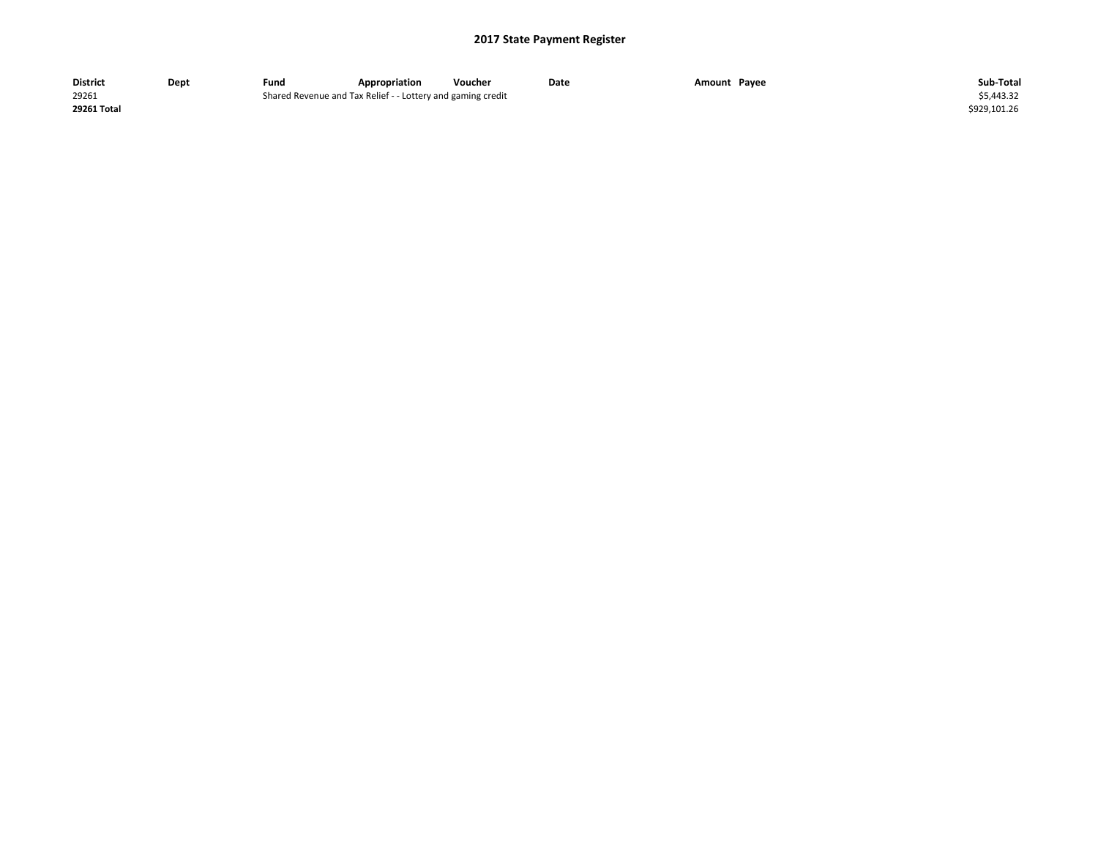| <b>District</b>    | Dept | Fund                                                        | Appropriation | Voucher | Date | Amount Payee | Sub-Total    |
|--------------------|------|-------------------------------------------------------------|---------------|---------|------|--------------|--------------|
| 29261              |      | Shared Revenue and Tax Relief - - Lottery and gaming credit |               |         |      |              | \$5,443.32   |
| <b>29261 Total</b> |      |                                                             |               |         |      |              | \$929.101.26 |